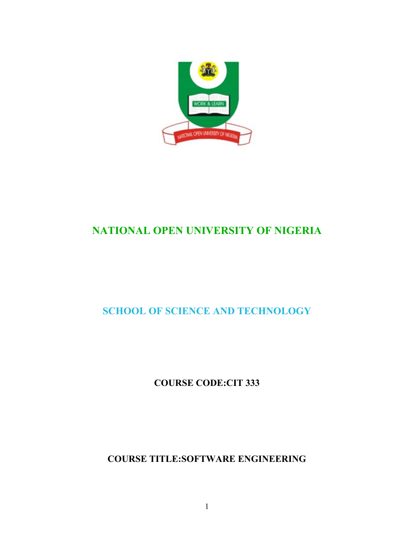

# **NATIONAL OPEN UNIVERSITY OF NIGERIA**

# **SCHOOL OF SCIENCE AND TECHNOLOGY**

# **COURSE CODE:CIT 333**

# **COURSE TITLE:SOFTWARE ENGINEERING**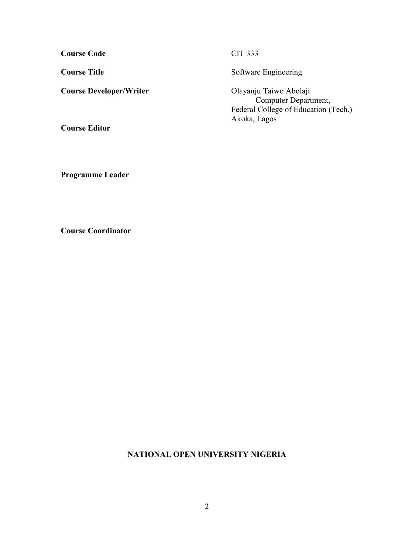**Course Code** CIT 333

**Course Developer/Writer** Olayanju Taiwo Abolaji

**Course Editor**

**Course Title** Software Engineering

Computer Department, Federal College of Education (Tech.) Akoka, Lagos

**Programme Leader**

**Course Coordinator**

## **NATIONAL OPEN UNIVERSITY NIGERIA**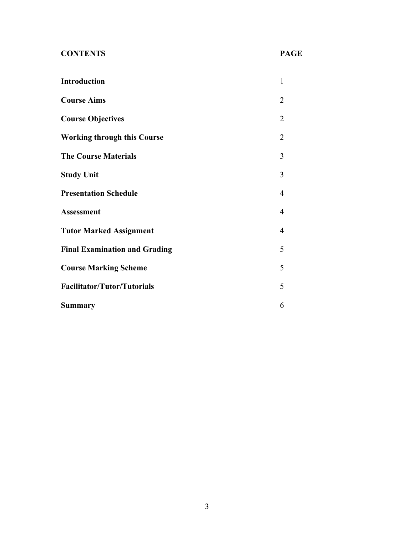## **CONTENTS PAGE**

| <b>Introduction</b>                  | $\mathbf{1}$   |
|--------------------------------------|----------------|
| <b>Course Aims</b>                   | $\overline{2}$ |
| <b>Course Objectives</b>             | $\overline{2}$ |
| <b>Working through this Course</b>   | $\overline{2}$ |
| <b>The Course Materials</b>          | 3              |
| <b>Study Unit</b>                    | 3              |
| <b>Presentation Schedule</b>         | $\overline{4}$ |
| <b>Assessment</b>                    | $\overline{4}$ |
| <b>Tutor Marked Assignment</b>       | 4              |
| <b>Final Examination and Grading</b> | 5              |
| <b>Course Marking Scheme</b>         | 5              |
| <b>Facilitator/Tutor/Tutorials</b>   | 5              |
| <b>Summary</b>                       | 6              |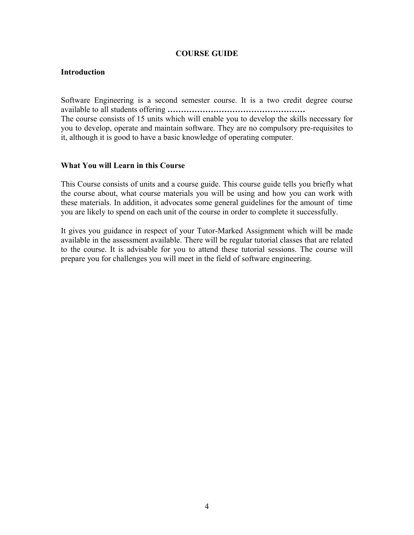#### **COURSE GUIDE**

#### **Introduction**

Software Engineering is a second semester course. It is a two credit degree course available to all students offering **……………………………………………**

The course consists of 15 units which will enable you to develop the skills necessary for you to develop, operate and maintain software. They are no compulsory pre-requisites to it, although it is good to have a basic knowledge of operating computer.

#### **What You will Learn in this Course**

This Course consists of units and a course guide. This course guide tells you briefly what the course about, what course materials you will be using and how you can work with these materials. In addition, it advocates some general guidelines for the amount of time you are likely to spend on each unit of the course in order to complete it successfully.

It gives you guidance in respect of your Tutor-Marked Assignment which will be made available in the assessment available. There will be regular tutorial classes that are related to the course. It is advisable for you to attend these tutorial sessions. The course will prepare you for challenges you will meet in the field of software engineering.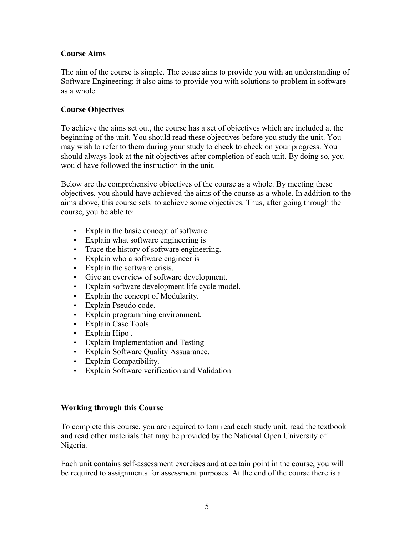## **Course Aims**

The aim of the course is simple. The couse aims to provide you with an understanding of Software Engineering; it also aims to provide you with solutions to problem in software as a whole.

## **Course Objectives**

To achieve the aims set out, the course has a set of objectives which are included at the beginning of the unit. You should read these objectives before you study the unit. You may wish to refer to them during your study to check to check on your progress. You should always look at the nit objectives after completion of each unit. By doing so, you would have followed the instruction in the unit.

Below are the comprehensive objectives of the course as a whole. By meeting these objectives, you should have achieved the aims of the course as a whole. In addition to the aims above, this course sets to achieve some objectives. Thus, after going through the course, you be able to:

- Explain the basic concept of software
- Explain what software engineering is
- Trace the history of software engineering.
- Explain who a software engineer is
- Explain the software crisis.
- Give an overview of software development.
- Explain software development life cycle model.
- Explain the concept of Modularity.
- Explain Pseudo code.
- Explain programming environment.
- Explain Case Tools.
- Explain Hipo .
- Explain Implementation and Testing
- Explain Software Quality Assuarance.
- Explain Compatibility.
- Explain Software verification and Validation

#### **Working through this Course**

To complete this course, you are required to tom read each study unit, read the textbook and read other materials that may be provided by the National Open University of Nigeria.

Each unit contains self-assessment exercises and at certain point in the course, you will be required to assignments for assessment purposes. At the end of the course there is a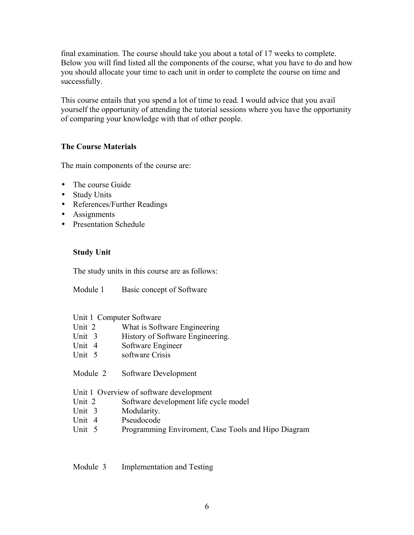final examination. The course should take you about a total of 17 weeks to complete. Below you will find listed all the components of the course, what you have to do and how you should allocate your time to each unit in order to complete the course on time and successfully.

This course entails that you spend a lot of time to read. I would advice that you avail yourself the opportunity of attending the tutorial sessions where you have the opportunity of comparing your knowledge with that of other people.

## **The Course Materials**

The main components of the course are:

- The course Guide
- Study Units
- References/Further Readings
- Assignments
- Presentation Schedule

#### **Study Unit**

The study units in this course are as follows:

Module 1 Basic concept of Software

#### Unit 1 Computer Software

- Unit 2 What is Software Engineering
- Unit 3 History of Software Engineering.
- Unit 4 Software Engineer
- Unit 5 software Crisis
- Module 2 Software Development

Unit 1 Overview of software development

- Unit 2 Software development life cycle model
- Unit 3 Modularity.
- Unit 4 Pseudocode
- Unit 5 Programming Enviroment, Case Tools and Hipo Diagram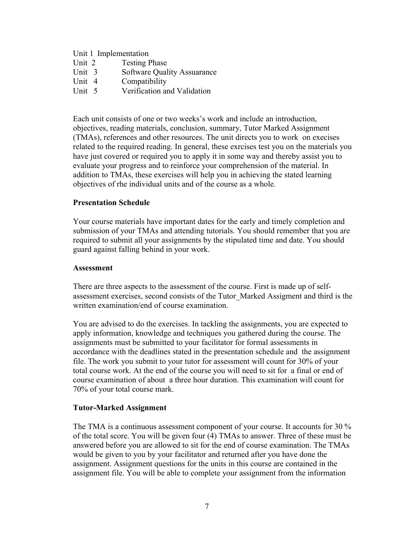#### Unit 1 Implementation

| Unit 2   | <b>Testing Phase</b>               |
|----------|------------------------------------|
| Unit $3$ | <b>Software Quality Assuarance</b> |
| Unit 4   | Compatibility                      |
| Unit 5   | Verification and Validation        |

Each unit consists of one or two weeks's work and include an introduction, objectives, reading materials, conclusion, summary, Tutor Marked Assignment (TMAs), references and other resources. The unit directs you to work on execises related to the required reading. In general, these exrcises test you on the materials you have just covered or required you to apply it in some way and thereby assist you to evaluate your progress and to reinforce your comprehension of the material. In addition to TMAs, these exercises will help you in achieving the stated learning objectives of rhe individual units and of the course as a whole.

#### **Presentation Schedule**

Your course materials have important dates for the early and timely completion and submission of your TMAs and attending tutorials. You should remember that you are required to submit all your assignments by the stipulated time and date. You should guard against falling behind in your work.

#### **Assessment**

There are three aspects to the assessment of the course. First is made up of selfassessment exercises, second consists of the Tutor\_Marked Assigment and third is the written examination/end of course examination.

You are advised to do the exercises. In tackling the assignments, you are expected to apply information, knowledge and techniques you gathered during the course. The assignments must be submitted to your facilitator for formal assessments in accordance with the deadlines stated in the presentation schedule and the assignment file. The work you submit to your tutor for assessment will count for 30% of your total course work. At the end of the course you will need to sit for a final or end of course examination of about a three hour duration. This examination will count for 70% of your total course mark.

#### **Tutor-Marked Assignment**

The TMA is a continuous assessment component of your course. It accounts for 30 % of the total score. You will be given four (4) TMAs to answer. Three of these must be answered before you are allowed to sit for the end of course examination. The TMAs would be given to you by your facilitator and returned after you have done the assignment. Assignment questions for the units in this course are contained in the assignment file. You will be able to complete your assignment from the information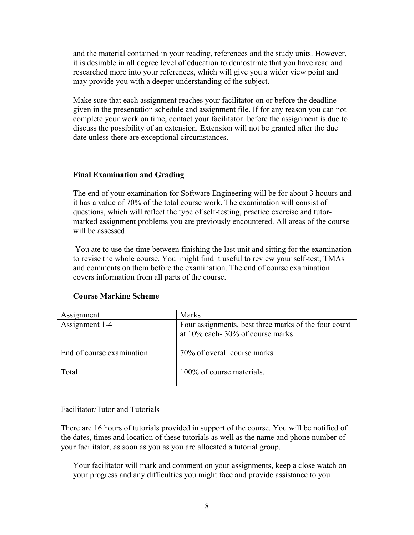and the material contained in your reading, references and the study units. However, it is desirable in all degree level of education to demostrrate that you have read and researched more into your references, which will give you a wider view point and may provide you with a deeper understanding of the subject.

Make sure that each assignment reaches your facilitator on or before the deadline given in the presentation schedule and assignment file. If for any reason you can not complete your work on time, contact your facilitator before the assignment is due to discuss the possibility of an extension. Extension will not be granted after the due date unless there are exceptional circumstances.

#### **Final Examination and Grading**

The end of your examination for Software Engineering will be for about 3 houurs and it has a value of 70% of the total course work. The examination will consist of questions, which will reflect the type of self-testing, practice exercise and tutormarked assignment problems you are previously encountered. All areas of the course will be assessed.

 You ate to use the time between finishing the last unit and sitting for the examination to revise the whole course. You might find it useful to review your self-test, TMAs and comments on them before the examination. The end of course examination covers information from all parts of the course.

| Assignment                | <b>Marks</b>                                                                            |
|---------------------------|-----------------------------------------------------------------------------------------|
| Assignment 1-4            | Four assignments, best three marks of the four count<br>at 10% each-30% of course marks |
| End of course examination | 70% of overall course marks                                                             |
| Total                     | 100% of course materials.                                                               |

#### **Course Marking Scheme**

## Facilitator/Tutor and Tutorials

There are 16 hours of tutorials provided in support of the course. You will be notified of the dates, times and location of these tutorials as well as the name and phone number of your facilitator, as soon as you as you are allocated a tutorial group.

Your facilitator will mark and comment on your assignments, keep a close watch on your progress and any difficulties you might face and provide assistance to you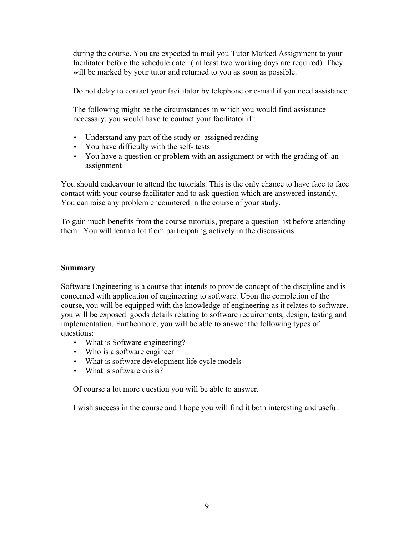during the course. You are expected to mail you Tutor Marked Assignment to your facilitator before the schedule date.  $\parallel$  at least two working days are required). They will be marked by your tutor and returned to you as soon as possible.

Do not delay to contact your facilitator by telephone or e-mail if you need assistance

The following might be the circumstances in which you would find assistance necessary, you would have to contact your facilitator if :

- Understand any part of the study or assigned reading
- You have difficulty with the self- tests
- You have a question or problem with an assignment or with the grading of an assignment

You should endeavour to attend the tutorials. This is the only chance to have face to face contact with your course facilitator and to ask question which are answered instantly. You can raise any problem encountered in the course of your study.

To gain much benefits from the course tutorials, prepare a question list before attending them. You will learn a lot from participating actively in the discussions.

## **Summary**

Software Engineering is a course that intends to provide concept of the discipline and is concerned with application of engineering to software. Upon the completion of the course, you will be equipped with the knowledge of engineering as it relates to software. you will be exposed goods details relating to software requirements, design, testing and implementation. Furthermore, you will be able to answer the following types of questions:

- What is Software engineering?
- Who is a software engineer
- What is software development life cycle models
- What is software crisis?

Of course a lot more question you will be able to answer.

I wish success in the course and I hope you will find it both interesting and useful.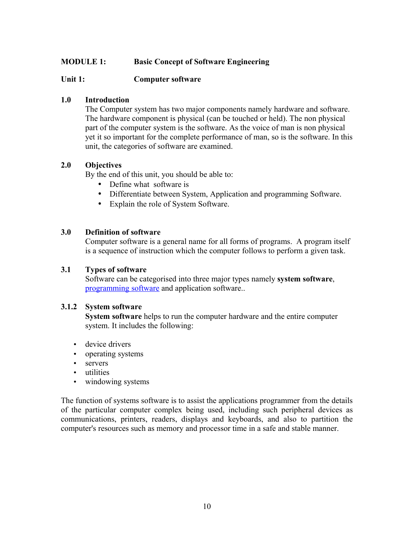## **MODULE 1: Basic Concept of Software Engineering**

## **Unit 1: Computer software**

#### **1.0 Introduction**

The Computer system has two major components namely hardware and software. The hardware component is physical (can be touched or held). The non physical part of the computer system is the software. As the voice of man is non physical yet it so important for the complete performance of man, so is the software. In this unit, the categories of software are examined.

#### **2.0 Objectives**

By the end of this unit, you should be able to:

- Define what software is
- Differentiate between System, Application and programming Software.
- Explain the role of System Software.

#### **3.0 Definition of software**

Computer software is a general name for all forms of programs. A program itself is a sequence of instruction which the computer follows to perform a given task.

#### **3.1 Types of software**

Software can be categorised into three major types namely **[system software](http://en.wikipedia.org/wiki/System_software)**, [programming software](http://en.wikipedia.org/wiki/Programming_software) and application software..

#### **3.1.2 System software**

**[System software](http://en.wikipedia.org/wiki/System_software)** helps to run the computer hardware and the entire computer system. It includes the following:

- [device drivers](http://en.wikipedia.org/wiki/Device_driver)
- [operating systems](http://en.wikipedia.org/wiki/Operating_system)
- [servers](http://en.wikipedia.org/wiki/Server_(computing))
- [utilities](http://en.wikipedia.org/wiki/Software_utility)
- [windowing systems](http://en.wikipedia.org/wiki/Windowing_system)

The function of systems software is to assist the applications programmer from the details of the particular computer complex being used, including such peripheral devices as communications, printers, readers, displays and keyboards, and also to partition the computer's resources such as memory and processor time in a safe and stable manner.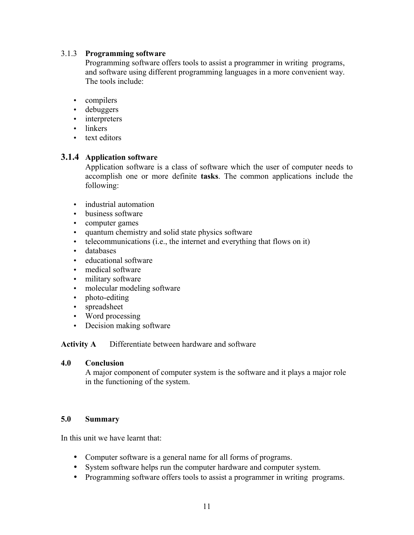## 3.1.3 **Programming software**

Programming software offers tools to assist a programmer in writing [programs,](http://en.wikipedia.org/wiki/Computer_program) and software using different programming languages in a more convenient way. The tools include:

- compilers
- debuggers
- [interpreters](http://en.wikipedia.org/wiki/Interpreter_(computing))
- linkers
- [text editors](http://en.wikipedia.org/wiki/Text_editor)

## **3.1.4 Application software**

Application software is a class of software which the user of computer needs to accomplish one or more definite **[tasks](http://en.wikipedia.org/wiki/Task)**. The common applications include the following:

- industrial automation
- business software
- [computer games](http://en.wikipedia.org/wiki/Computer_games)
- quantum chemistry and solid state physics software
- [telecommunications](http://en.wikipedia.org/wiki/Telecommunication) (i.e., the internet and everything that flows on it)
- [databases](http://en.wikipedia.org/wiki/Database)
- educational software
- [medical software](http://en.wikipedia.org/wiki/Medical_software)
- [military software](http://en.wikipedia.org/w/index.php?title=Military_software&action=edit&redlink=1)
- [molecular modeling software](http://en.wikipedia.org/wiki/List_of_software_for_molecular_mechanics_modeling)
- [photo-editing](http://en.wikipedia.org/w/index.php?title=Photo-editing&action=edit&redlink=1)
- spreadsheet
- [Word processing](http://en.wikipedia.org/wiki/Word_processing)
- Decision making software

## **Activity A** Differentiate between hardware and software

## **4.0 Conclusion**

A major component of computer system is the software and it plays a major role in the functioning of the system.

## **5.0 Summary**

In this unit we have learnt that:

- Computer software is a general name for all forms of programs.
- [System software](http://en.wikipedia.org/wiki/System_software) helps run the computer hardware and computer system.
- Programming software offers tools to assist a programmer in writing [programs.](http://en.wikipedia.org/wiki/Computer_program)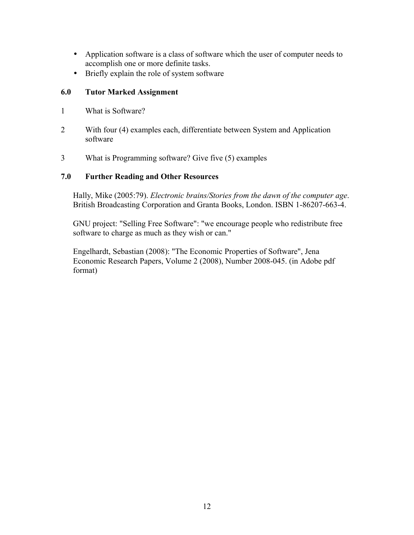- Application software is a class of software which the user of computer needs to accomplish one or more definite tasks.
- Briefly explain the role of system software

## **6.0 Tutor Marked Assignment**

- 1 What is Software?
- 2 With four (4) examples each, differentiate between System and Application software
- 3 What is Programming software? Give five (5) examples

## **7.0 Further Reading and Other Resources**

Hally, Mike (2005:79). *Electronic brains/Stories from the dawn of the computer age*. British Broadcasting Corporation and Granta Books, London. [ISBN 1-86207-663-4.](http://en.wikipedia.org/wiki/Special:BookSources/1862076634)

[GNU project: "Selling Free Software":](http://www.gnu.org/philosophy/selling.html) "we encourage people who redistribute free software to charge as much as they wish or can."

Engelhardt, Sebastian (2008): ["The Economic Properties of Software", Jena](http://ideas.repec.org/p/jrp/jrpwrp/2008-045.html) [Economic Research Papers, Volume 2 \(2008\), Number 2008-045.](http://ideas.repec.org/p/jrp/jrpwrp/2008-045.html) (in Adobe [pdf](http://en.wikipedia.org/wiki/Portable_Document_Format) format)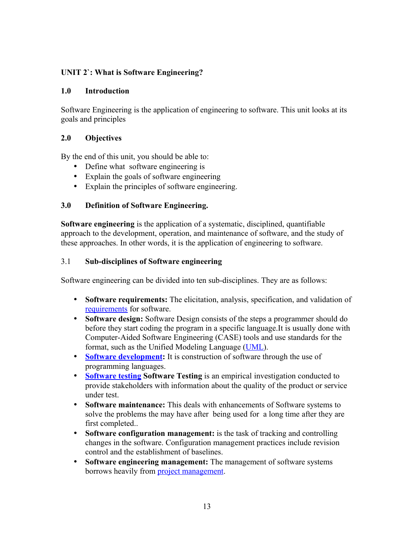## **UNIT 2`: What is Software Engineering?**

## **1.0 Introduction**

Software Engineering is the application of engineering to software. This unit looks at its goals and principles

## **2.0 Objectives**

By the end of this unit, you should be able to:

- Define what software engineering is
- Explain the goals of software engineering
- Explain the principles of software engineering.

#### **3.0 Definition of Software Engineering.**

**Software engineering** is the application of a systematic, disciplined, quantifiable approach to the development, operation, and maintenance of software, and the study of these approaches. In other words, it is the application of engineering to software.

#### 3.1 **Sub-disciplines of Software engineering**

Software engineering can be divided into ten sub-disciplines. They are as follows:

- **Software requirements:** The elicitation, analysis, specification, and validation of [requirements](http://en.wikipedia.org/wiki/Requirements) for software.
- **Software design:** Software Design consists of the steps a programmer should do before they start coding the program in a specific language.It is usually done with Computer-Aided Software Engineering (CASE) tools and use standards for the format, such as the Unified Modeling Language [\(UML\)](http://en.wikipedia.org/wiki/Unified_Modeling_Language).
- **Software development:** It is construction of software through the use of programming languages.
- **Software testing Software Testing** is an empirical investigation conducted to provide stakeholders with information about the quality of the product or service under test.
- **Software maintenance:** This deals with enhancements of Software systems to solve the problems the may have after being used for a long time after they are first completed..
- **Software configuration management:** is the task of tracking and controlling changes in the software. Configuration management practices include revision control and the establishment of baselines.
- **Software engineering management:** The management of software systems borrows heavily from **project** management.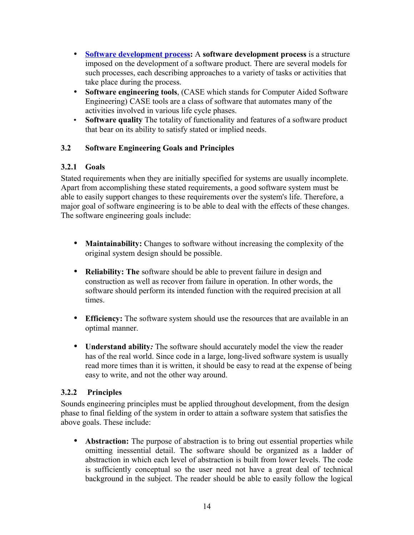- • **[Software development process:](http://en.wikipedia.org/wiki/Software_development_process)** A **software development process** is a structure imposed on the development of a software product. There are several models for such processes, each describing approaches to a variety of tasks or activities that take place during the process.
- **Software engineering tools**, (CASE which stands for Computer Aided Software Engineering) CASE tools are a class of software that automates many of the activities involved in various life cycle phases.
- **Software quality** The totality of functionality and features of a software product that bear on its ability to satisfy stated or implied needs.

## **3.2 Software Engineering Goals and Principles**

## **3.2.1 Goals**

Stated requirements when they are initially specified for systems are usually incomplete. Apart from accomplishing these stated requirements, a good software system must be able to easily support changes to these requirements over the system's life. Therefore, a major goal of software engineering is to be able to deal with the effects of these changes. The software engineering goals include:

- **Maintainability:** Changes to software without increasing the complexity of the original system design should be possible.
- **Reliability: The** software should be able to prevent failure in design and construction as well as recover from failure in operation. In other words, the software should perform its intended function with the required precision at all times.
- **Efficiency:** The software system should use the resources that are available in an optimal manner.
- **Understand ability***:* The software should accurately model the view the reader has of the real world. Since code in a large, long-lived software system is usually read more times than it is written, it should be easy to read at the expense of being easy to write, and not the other way around.

## **3.2.2 Principles**

Sounds engineering principles must be applied throughout development, from the design phase to final fielding of the system in order to attain a software system that satisfies the above goals. These include:

• **Abstraction:** The purpose of abstraction is to bring out essential properties while omitting inessential detail. The software should be organized as a ladder of abstraction in which each level of abstraction is built from lower levels. The code is sufficiently conceptual so the user need not have a great deal of technical background in the subject. The reader should be able to easily follow the logical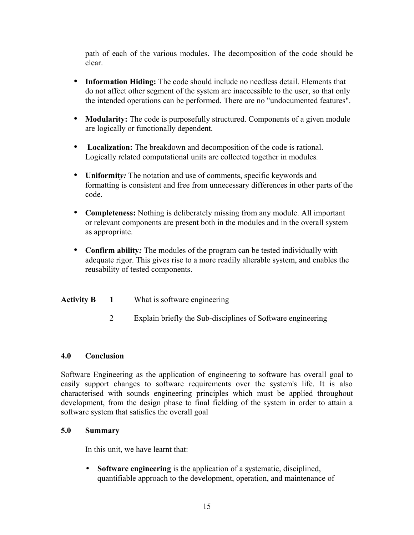path of each of the various modules. The decomposition of the code should be clear.

- **Information Hiding:** The code should include no needless detail. Elements that do not affect other segment of the system are inaccessible to the user, so that only the intended operations can be performed. There are no "undocumented features".
- **Modularity:** The code is purposefully structured. Components of a given module are logically or functionally dependent.
- • **Localization:** The breakdown and decomposition of the code is rational. Logically related computational units are collected together in modules*.*
- **Uniformit***y:* The notation and use of comments, specific keywords and formatting is consistent and free from unnecessary differences in other parts of the code.
- **Completeness:** Nothing is deliberately missing from any module. All important or relevant components are present both in the modules and in the overall system as appropriate.
- **Confirm ability***:* The modules of the program can be tested individually with adequate rigor. This gives rise to a more readily alterable system, and enables the reusability of tested components.
- **Activity B 1** What is software engineering
	- 2 Explain briefly the Sub-disciplines of Software engineering

## **4.0 Conclusion**

Software Engineering as the application of engineering to software has overall goal to easily support changes to software requirements over the system's life. It is also characterised with sounds engineering principles which must be applied throughout development, from the design phase to final fielding of the system in order to attain a software system that satisfies the overall goal

#### **5.0 Summary**

In this unit, we have learnt that:

• **Software engineering** is the application of a systematic, disciplined, quantifiable approach to the development, operation, and maintenance of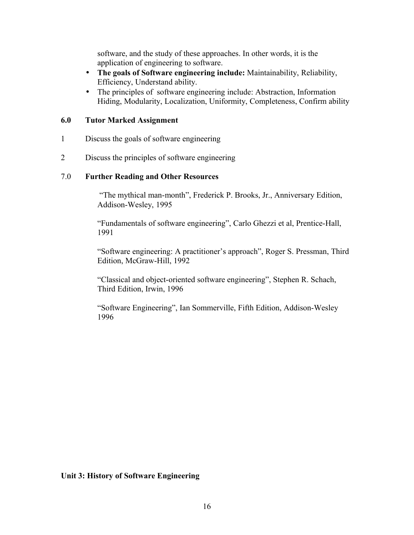software, and the study of these approaches. In other words, it is the application of engineering to software.

- **The goals of Software engineering include:** Maintainability, Reliability, Efficiency, Understand ability.
- The principles of software engineering include: Abstraction, Information Hiding, Modularity, Localization, Uniformity, Completeness, Confirm ability

## **6.0 Tutor Marked Assignment**

- 1 Discuss the goals of software engineering
- 2 Discuss the principles of software engineering

## 7.0 **Further Reading and Other Resources**

 "The mythical man-month", Frederick P. Brooks, Jr., Anniversary Edition, Addison-Wesley, 1995

"Fundamentals of software engineering", Carlo Ghezzi et al, Prentice-Hall, 1991

"Software engineering: A practitioner's approach", Roger S. Pressman, Third Edition, McGraw-Hill, 1992

"Classical and object-oriented software engineering", Stephen R. Schach, Third Edition, Irwin, 1996

"Software Engineering", Ian Sommerville, Fifth Edition, Addison-Wesley 1996

## **Unit 3: History of Software Engineering**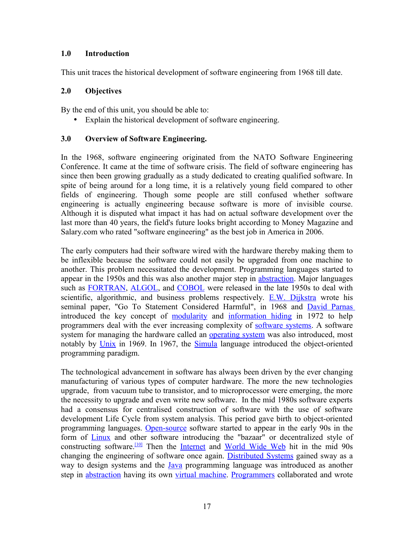## **1.0 Introduction**

This unit traces the historical development of software engineering from 1968 till date.

## **2.0 Objectives**

By the end of this unit, you should be able to:

Explain the historical development of software engineering.

## **3.0 Overview of Software Engineering.**

In the 1968, software engineering originated from the NATO Software Engineering Conference. It came at the time of software crisis. The field of software engineering has since then been growing gradually as a study dedicated to creating qualified software. In spite of being around for a long time, it is a relatively young field compared to other fields of engineering. Though some people are still confused whether software engineering is actually engineering because software is more of invisible course. Although it is disputed what impact it has had on actual software development over the last more than 40 years, the field's future looks bright according to Money Magazine and Salary.com who rated "software engineering" as the best job in America in 2006.

The early computers had their software wired with the hardware thereby making them to be inflexible because the software could not easily be upgraded from one machine to another. This problem necessitated the development. Programming languages started to appear in the 1950s and this was also another major step in [abstraction.](http://en.wikipedia.org/wiki/Abstraction) Major languages such as [FORTRAN,](http://en.wikipedia.org/wiki/Fortran) [ALGOL,](http://en.wikipedia.org/wiki/ALGOL) and [COBOL](http://en.wikipedia.org/wiki/Cobol) were released in the late 1950s to deal with scientific, algorithmic, and business problems respectively. [E.W. Dijkstra](http://en.wikipedia.org/wiki/Edsger_Dijkstra) wrote his seminal paper, "Go To Statement Considered Harmful", in 1968 and [David Parnas](http://en.wikipedia.org/wiki/David_Parnas) introduced the key concept of [modularity](http://en.wikipedia.org/wiki/Modularity) and [information hiding](http://en.wikipedia.org/wiki/Information_hiding) in 1972 to help programmers deal with the ever increasing complexity of [software systems.](http://en.wikipedia.org/wiki/Software_systems) A software system for managing the hardware called an [operating system](http://en.wikipedia.org/wiki/Operating_system) was also introduced, most notably by [Unix](http://en.wikipedia.org/wiki/Unix) in 1969. In 1967, the **Simula** language introduced the object-oriented programming paradigm.

The technological advancement in software has always been driven by the ever changing manufacturing of various types of computer hardware. The more the new technologies upgrade, from vacuum tube to transistor, and to microprocessor were emerging, the more the necessity to upgrade and even write new software. In the mid 1980s software experts had a consensus for centralised construction of software with the use of software development Life Cycle from system analysis. This period gave birth to object-oriented programming languages. [Open-source](http://en.wikipedia.org/wiki/Open-source) software started to appear in the early 90s in the form of [Linux](http://en.wikipedia.org/wiki/Linux) and other software introducing the "bazaar" or decentralized style of constructing software.<sup>[\[10\]](http://en.wikipedia.org/wiki/Software_engineering#cite_note-9%23cite_note-9)</sup> Then the *Internet* and *World Wide Web* hit in the mid 90s changing the engineering of software once again. [Distributed Systems](http://en.wikipedia.org/wiki/Distributed_Systems) gained sway as a way to design systems and the [Java](http://en.wikipedia.org/wiki/Java_(programming_language)) programming language was introduced as another step in [abstraction](http://en.wikipedia.org/wiki/Abstraction) having its own [virtual machine.](http://en.wikipedia.org/wiki/Virtual_machine) [Programmers](http://en.wikipedia.org/wiki/Programmers) collaborated and wrote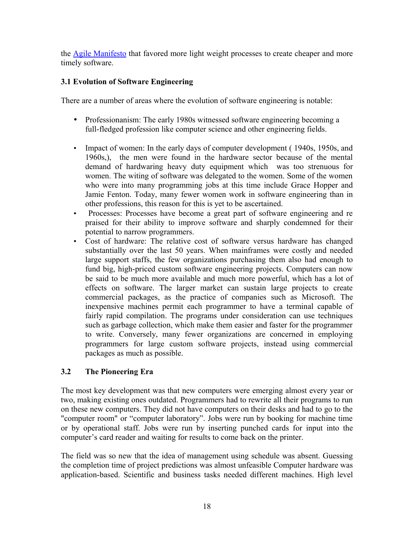the [Agile Manifesto](http://en.wikipedia.org/wiki/Agile_Manifesto) that favored more light weight processes to create cheaper and more timely software.

## **3.1 Evolution of Software Engineering**

There are a number of areas where the evolution of software engineering is notable:

- Professionanism: The early 1980s witnessed software engineering becoming a full-fledged profession like computer science and other engineering fields.
- Impact of women: In the early days of computer development (1940s, 1950s, and 1960s,), the men were found in the hardware sector because of the mental demand of hardwaring heavy duty equipment which was too strenuous for women. The witing of software was delegated to the women. Some of the women who were into many programming jobs at this time include [Grace Hopper](http://en.wikipedia.org/wiki/Grace_Hopper) and [Jamie Fenton.](http://en.wikipedia.org/wiki/Jamie_Fenton) Today, many fewer women work in software engineering than in other professions, this reason for this is yet to be ascertained.
- Processes: [Processes](http://en.wikipedia.org/wiki/Software_development_process) have become a great part of software engineering and re praised for their ability to improve software and sharply condemned for their potential to narrow programmers.
- Cost of hardware: The relative [cost](http://en.wikipedia.org/wiki/Cost) of software versus hardware has changed substantially over the last 50 years. When [mainframes](http://en.wikipedia.org/wiki/Mainframe_computer) were costly and needed large support staffs, the few organizations purchasing them also had enough to fund big, high-priced custom software engineering projects. Computers can now be said to be much more available and much more powerful, which has a lot of effects on software. The larger market can sustain large projects to create [commercial packages,](http://en.wikipedia.org/wiki/Commercial_off_the_shelf) as the practice of companies such as [Microsoft.](http://en.wikipedia.org/wiki/Microsoft) The inexpensive machines permit each programmer to have a terminal capable of fairly rapid [compilation.](http://en.wikipedia.org/wiki/Compiler) The programs under consideration can use techniques such as [garbage collection,](http://en.wikipedia.org/wiki/Garbage_collection) which make them easier and faster for the programmer to write. Conversely, many fewer organizations are concerned in employing programmers for large custom software projects, instead using commercial packages as much as possible.

## **3.2 The Pioneering Era**

The most key development was that new computers were emerging almost every year or two, making existing ones outdated. Programmers had to rewrite all their programs to run on these new computers. They did not have computers on their desks and had to go to the "computer room" or "computer laboratory". Jobs were run by booking for machine time or by operational staff. Jobs were run by inserting punched cards for input into the computer's card reader and waiting for results to come back on the printer.

The field was so new that the idea of management using schedule was absent. Guessing the completion time of project predictions was almost unfeasible Computer hardware was application-based. Scientific and business tasks needed different machines. High level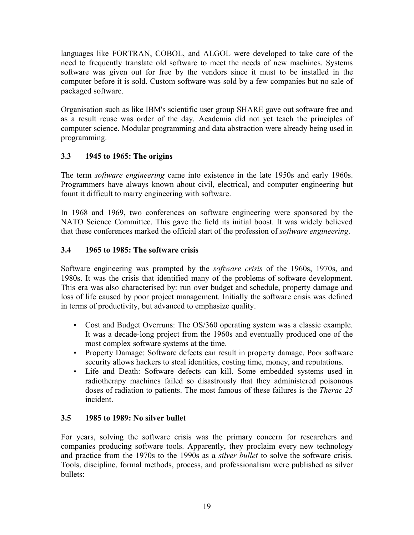languages like FORTRAN, COBOL, and ALGOL were developed to take care of the need to frequently translate old software to meet the needs of new machines. Systems software was given out for free by the vendors since it must to be installed in the computer before it is sold. Custom software was sold by a few companies but no sale of packaged software.

Organisation such as like IBM's scientific user group SHARE gave out software free and as a result reuse was order of the day. Academia did not yet teach the principles of computer science. Modular programming and data abstraction were already being used in programming.

## **3.3 1945 to 1965: The origins**

The term *software engineering* came into existence in the late 1950s and early 1960s. Programmers have always known about civil, electrical, and computer engineering but fount it difficult to marry engineering with software.

In 1968 and 1969, two conferences on software engineering were sponsored by the [NATO Science Committee.](http://en.wikipedia.org/w/index.php?title=NATO_Science_Committee&action=edit&redlink=1) This gave the field its initial boost. It was widely believed that these conferences marked the official start of the profession of *software engineering*.

## **3.4 1965 to 1985: The software crisis**

Software engineering was prompted by the *[software crisis](http://en.wikipedia.org/wiki/Software_crisis)* of the 1960s, 1970s, and 1980s. It was the crisis that identified many of the problems of software development. This era was also characterised by: run over budget and schedule, property damage and loss of life caused by poor project management. Initially the software crisis was defined in terms of [productivity,](http://en.wikipedia.org/wiki/Productivity) but advanced to emphasize [quality.](http://en.wikipedia.org/wiki/Software_quality_assurance)

- Cost and [Budget Overruns:](http://en.wikipedia.org/wiki/Budget_overrun) The [OS/360](http://en.wikipedia.org/wiki/OS/360) operating system was a classic example. It was a decade-long project from the 1960s and eventually produced one of the most complex software systems at the time.
- Property Damage: Software defects can result in property damage. Poor [software](http://en.wikipedia.org/wiki/Software_security) [security](http://en.wikipedia.org/wiki/Software_security) allows hackers to steal identities, costing time, money, and reputations.
- Life and Death: Software defects can kill. Some embedded systems used in [radiotherapy](http://en.wikipedia.org/wiki/Radiotherapy) machines failed so disastrously that they administered poisonous doses of [radiation](http://en.wikipedia.org/wiki/Radiation) to patients. The most famous of these failures is the *[Therac 25](http://en.wikipedia.org/wiki/Therac_25)* incident.

## **3.5 1985 to 1989: No silver bullet**

For years, solving the software crisis was the primary concern for researchers and companies producing software tools. Apparently, they proclaim every new technology and practice from the 1970s to the 1990s as a *[silver bullet](http://en.wikipedia.org/wiki/Silver_bullet)* to solve the software crisis. Tools, discipline, [formal methods,](http://en.wikipedia.org/wiki/Formal_methods) process, and professionalism were published as silver bullets: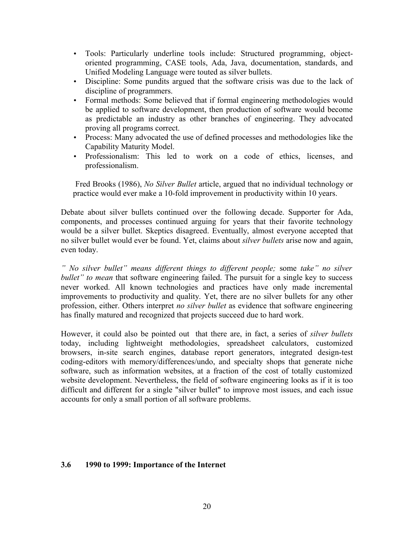- Tools: Particularly underline tools include: [Structured programming,](http://en.wikipedia.org/wiki/Structured_programming) [object](http://en.wikipedia.org/wiki/Object-oriented_programming)[oriented programming,](http://en.wikipedia.org/wiki/Object-oriented_programming) CASE tools, [Ada,](http://en.wikipedia.org/wiki/Ada_programming_language) [Java,](http://en.wikipedia.org/wiki/Java_(programming_language)) [documentation,](http://en.wikipedia.org/wiki/Documentation) [standards,](http://en.wikipedia.org/wiki/Standardization) and [Unified Modeling Language](http://en.wikipedia.org/wiki/Unified_Modeling_Language) were touted as silver bullets.
- Discipline: Some pundits argued that the software crisis was due to the lack of [discipline](http://en.wikipedia.org/wiki/Discipline) of programmers.
- Formal methods: Some believed that if formal engineering methodologies would be applied to [software development,](http://en.wikipedia.org/wiki/Software_development) then production of software would become as predictable an [industry](http://en.wikipedia.org/wiki/Industry) as other branches of [engineering.](http://en.wikipedia.org/wiki/Engineering) They advocated proving all programs correct.
- Process: Many advocated the use of defined processes and [methodologies](http://en.wikipedia.org/wiki/Methodology_(software_engineering)) like the [Capability Maturity Model.](http://en.wikipedia.org/wiki/Capability_Maturity_Model)
- Professionalism: This led to work on a code of [ethics,](http://en.wikipedia.org/wiki/Ethic) [licenses,](http://en.wikipedia.org/wiki/License) and [professionalism.](http://en.wikipedia.org/wiki/Professionalism)

 Fred Brooks [\(1986\)](http://en.wikipedia.org/wiki/1986), *No Silver Bullet* article, argued that no individual [technology](http://en.wikipedia.org/wiki/Technology) or practice would ever make a 10-fold improvement in productivity within 10 years.

Debate about silver bullets continued over the following decade. Supporter for [Ada,](http://en.wikipedia.org/wiki/Ada_programming_language) [components,](http://en.wikipedia.org/wiki/Software_componentry) and [processes](http://en.wikipedia.org/wiki/Process_(computing)) continued arguing for years that their favorite technology would be a silver bullet. Skeptics disagreed. Eventually, almost everyone accepted that no silver bullet would ever be found. Yet, claims about *silver bullets* arise now and again, even today.

*" No silver bullet" means different things to different people;* some *take" no silver bullet" to mean that software engineering failed. The pursuit for a single key to success* never worked. All known technologies and practices have only made incremental improvements to productivity and quality. Yet, there are no silver bullets for any other profession, either. Others interpret *no silver bullet* as evidence that software engineering has finally matured and recognized that projects succeed due to hard work.

However, it could also be pointed out that there are, in fact, a series of *silver bullets* today, including lightweight methodologies, spreadsheet calculators, customized [browsers,](http://en.wikipedia.org/wiki/Web_browser) in-site search engines, database report generators, integrated design-test coding-editors with memory/differences/undo, and specialty shops that generate niche software, such as information websites, at a fraction of the cost of totally customized website development. Nevertheless, the field of software engineering looks as if it is too difficult and different for a single "silver bullet" to improve most issues, and each issue accounts for only a small portion of all software problems.

## **3.6 1990 to 1999: Importance of the Internet**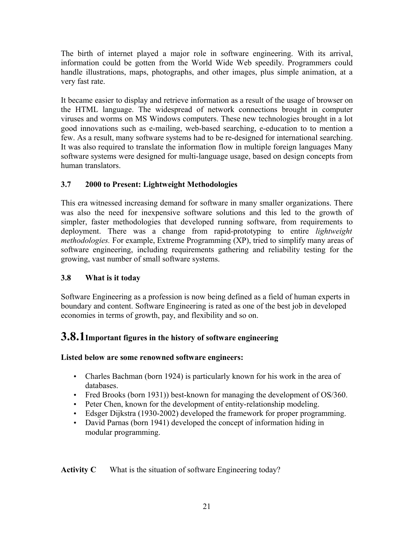The birth of internet played a major role in software engineering. With its arrival, information could be gotten from the World Wide Web speedily. Programmers could handle illustrations, maps, photographs, and other images, plus simple animation, at a very fast rate.

It became easier to display and retrieve information as a result of the usage of browser on the HTML language. The widespread of network connections brought in computer viruses and worms on MS Windows computers. These new technologies brought in a lot good innovations such as e-mailing, web-based searching, e-education to to mention a few. As a result, many software systems had to be re-designed for international searching. It was also required to translate the information flow in multiple foreign languages Many software systems were designed for multi-language usage, based on design concepts from human translators.

## **3.7 2000 to Present: Lightweight Methodologies**

This era witnessed increasing demand for software in many smaller organizations. There was also the need for inexpensive software solutions and this led to the growth of simpler, faster methodologies that developed running software, from requirements to deployment. There was a change from rapid-prototyping to entire *lightweight methodologies.* For example, Extreme Programming (XP), tried to simplify many areas of software engineering, including requirements gathering and reliability testing for the growing, vast number of small software systems.

## **3.8 What is it today**

Software Engineering as a profession is now being defined as a field of human experts in boundary and content. Software Engineering is rated as one of the best job in developed economies in terms of growth, pay, and flexibility and so on.

# **3.8.1Important figures in the history of software engineering**

## **Listed below are some renowned software engineers:**

- [Charles Bachman](http://en.wikipedia.org/wiki/Charles_Bachman) (born 1924) is particularly known for his work in the area of [databases.](http://en.wikipedia.org/wiki/Databases)
- [Fred Brooks](http://en.wikipedia.org/wiki/Fred_Brooks) (born 1931)) best-known for managing the development of [OS/360.](http://en.wikipedia.org/wiki/OS/360)
- [Peter Chen,](http://en.wikipedia.org/wiki/Peter_Chen) known for the development of [entity-relationship modeling.](http://en.wikipedia.org/wiki/Entity-relationship_model)
- [Edsger Dijkstra](http://en.wikipedia.org/wiki/Edsger_Dijkstra) (1930-2002) developed the framework for proper programming.
- [David Parnas](http://en.wikipedia.org/wiki/David_Parnas) (born 1941) developed the concept of [information hiding](http://en.wikipedia.org/wiki/Information_hiding) in [modular programming.](http://en.wikipedia.org/wiki/Modular_programming)

**Activity C** What is the situation of software Engineering today?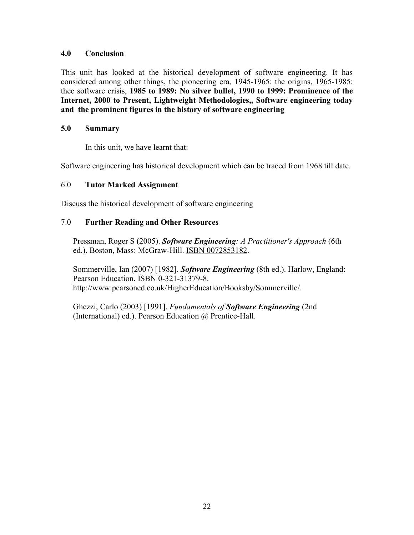## **4.0 Conclusion**

This unit has looked at the historical development of software engineering. It has considered among other things, the pioneering era, 1945-1965: the origins, 1965-1985: thee software crisis, **1985 to 1989: No silver bullet, 1990 to 1999: Prominence of the Internet, 2000 to Present, Lightweight Methodologies,, Software engineering today and the prominent figures in the history of software engineering**

#### **5.0 Summary**

In this unit, we have learnt that:

Software engineering has historical development which can be traced from 1968 till date.

#### 6.0 **Tutor Marked Assignment**

Discuss the historical development of software engineering

#### 7.0 **Further Reading and Other Resources**

Pressman, Roger S (2005). *Software Engineering: A Practitioner's Approach* (6th ed.). Boston, Mass: McGraw-Hill. ISBN 0072853182.

Sommerville, Ian (2007) [1982]. *Software Engineering* (8th ed.). Harlow, England: Pearson Education. ISBN 0-321-31379-8. http://www.pearsoned.co.uk/HigherEducation/Booksby/Sommerville/.

Ghezzi, Carlo (2003) [1991]. *Fundamentals of Software Engineering* (2nd (International) ed.). Pearson Education @ Prentice-Hall.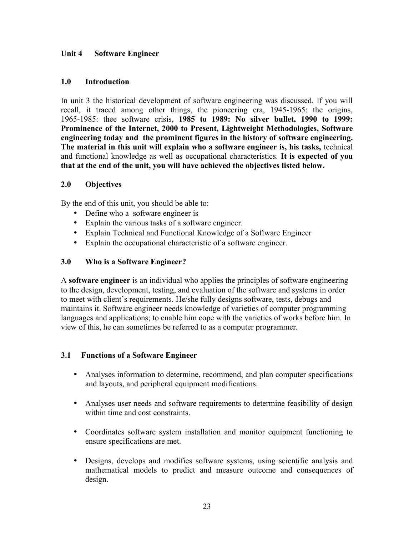## **Unit 4 Software Engineer**

## **1.0 Introduction**

In unit 3 the historical development of software engineering was discussed. If you will recall, it traced among other things, the pioneering era, 1945-1965: the origins, 1965-1985: thee software crisis, **1985 to 1989: No silver bullet, 1990 to 1999: Prominence of the Internet, 2000 to Present, Lightweight Methodologies, Software engineering today and the prominent figures in the history of software engineering. The material in this unit will explain who a software engineer is, his tasks,** technical and functional knowledge as well as occupational characteristics. **It is expected of you that at the end of the unit, you will have achieved the objectives listed below.**

## **2.0 Objectives**

By the end of this unit, you should be able to:

- Define who a software engineer is
- Explain the various tasks of a software engineer.
- Explain Technical and Functional Knowledge of a Software Engineer
- Explain the occupational characteristic of a software engineer.

## **3.0 Who is a Software Engineer?**

A **software engineer** is an individual who applies the principles of software engineering to the design, development, testing, and evaluation of the software and systems in order to meet with client's requirements. He/she fully designs software, tests, debugs and maintains it. Software engineer needs knowledge of varieties of computer programming languages and applications; to enable him cope with the varieties of works before him. In view of this, he can sometimes be referred to as a computer programmer.

## **3.1 Functions of a Software Engineer**

- Analyses information to determine, recommend, and plan computer specifications and layouts, and peripheral equipment modifications.
- Analyses user needs and software requirements to determine feasibility of design within time and cost constraints.
- Coordinates software system installation and monitor equipment functioning to ensure specifications are met.
- Designs, develops and modifies software systems, using scientific analysis and mathematical models to predict and measure outcome and consequences of design.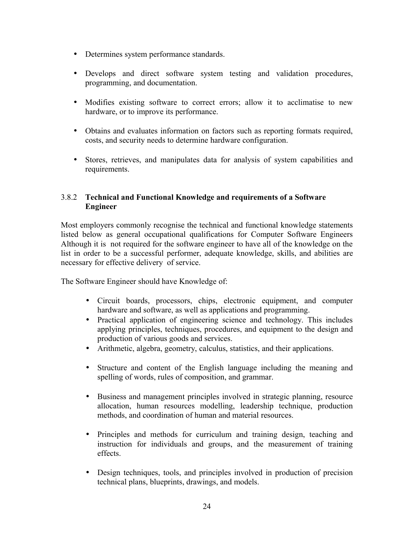- Determines system performance standards.
- Develops and direct software system testing and validation procedures, programming, and documentation.
- Modifies existing software to correct errors; allow it to acclimatise to new hardware, or to improve its performance.
- Obtains and evaluates information on factors such as reporting formats required, costs, and security needs to determine hardware configuration.
- Stores, retrieves, and manipulates data for analysis of system capabilities and requirements.

## 3.8.2 **Technical and Functional Knowledge and requirements of a Software Engineer**

Most employers commonly recognise the technical and functional knowledge statements listed below as general occupational qualifications for Computer Software Engineers Although it is not required for the software engineer to have all of the knowledge on the list in order to be a successful performer, adequate knowledge, skills, and abilities are necessary for effective delivery of service.

The Software Engineer should have Knowledge of:

- Circuit boards, processors, chips, electronic equipment, and computer hardware and software, as well as applications and programming.
- Practical application of engineering science and technology. This includes applying principles, techniques, procedures, and equipment to the design and production of various goods and services.
- Arithmetic, algebra, geometry, calculus, statistics, and their applications.
- Structure and content of the English language including the meaning and spelling of words, rules of composition, and grammar.
- Business and management principles involved in strategic planning, resource allocation, human resources modelling, leadership technique, production methods, and coordination of human and material resources.
- Principles and methods for curriculum and training design, teaching and instruction for individuals and groups, and the measurement of training effects.
- Design techniques, tools, and principles involved in production of precision technical plans, blueprints, drawings, and models.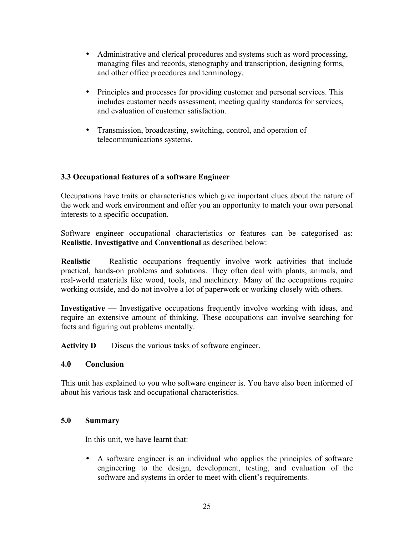- Administrative and clerical procedures and systems such as word processing, managing files and records, stenography and transcription, designing forms, and other office procedures and terminology.
- Principles and processes for providing customer and personal services. This includes customer needs assessment, meeting quality standards for services, and evaluation of customer satisfaction.
- Transmission, broadcasting, switching, control, and operation of telecommunications systems.

## **3.3 Occupational features of a software Engineer**

Occupations have traits or characteristics which give important clues about the nature of the work and work environment and offer you an opportunity to match your own personal interests to a specific occupation.

Software engineer occupational characteristics or features can be categorised as: **Realistic**, **Investigative** and **Conventional** as described below:

**Realistic** — Realistic occupations frequently involve work activities that include practical, hands-on problems and solutions. They often deal with plants, animals, and real-world materials like wood, tools, and machinery. Many of the occupations require working outside, and do not involve a lot of paperwork or working closely with others.

**Investigative** — Investigative occupations frequently involve working with ideas, and require an extensive amount of thinking. These occupations can involve searching for facts and figuring out problems mentally.

Activity **D** Discus the various tasks of software engineer.

## **4.0 Conclusion**

This unit has explained to you who software engineer is. You have also been informed of about his various task and occupational characteristics.

## **5.0 Summary**

In this unit, we have learnt that:

• A software engineer is an individual who applies the principles of software engineering to the design, development, testing, and evaluation of the software and systems in order to meet with client's requirements.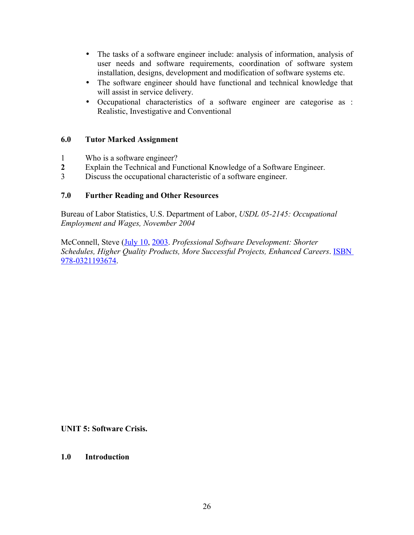- The tasks of a software engineer include: analysis of information, analysis of user needs and software requirements, coordination of software system installation, designs, development and modification of software systems etc.
- The software engineer should have functional and technical knowledge that will assist in service delivery.
- Occupational characteristics of a software engineer are categorise as : Realistic, Investigative and Conventional

## **6.0 Tutor Marked Assignment**

- 1 Who is a software engineer?
- **2** Explain the Technical and Functional Knowledge of a Software Engineer.
- 3 Discuss the occupational characteristic of a software engineer.

#### **7.0 Further Reading and Other Resources**

Bureau of Labor Statistics, U.S. Department of Labor, *USDL 05-2145: Occupational Employment and Wages, November 2004*

McConnell, Steve [\(July 10,](http://en.wikipedia.org/wiki/July_10) [2003.](http://en.wikipedia.org/wiki/2003) *Professional Software Development: Shorter Schedules, Higher Quality Products, More Successful Projects, Enhanced Careers*. [ISBN](http://en.wikipedia.org/wiki/Special:BookSources/9780321193674) [978-0321193674.](http://en.wikipedia.org/wiki/Special:BookSources/9780321193674)

**UNIT 5: Software Crisis.**

#### **1.0 Introduction**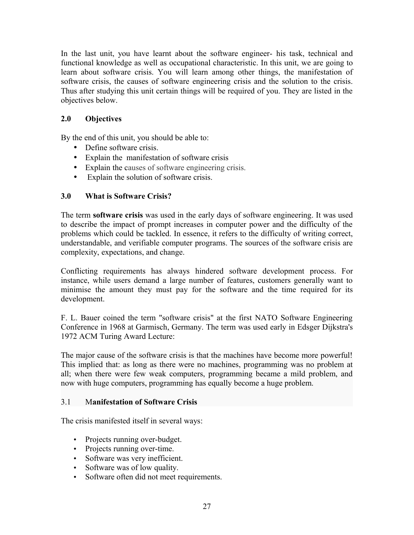In the last unit, you have learnt about the software engineer- his task, technical and functional knowledge as well as occupational characteristic. In this unit, we are going to learn about software crisis. You will learn among other things, the manifestation of software crisis, the causes of software engineering crisis and the solution to the crisis. Thus after studying this unit certain things will be required of you. They are listed in the objectives below.

## **2.0 Objectives**

By the end of this unit, you should be able to:

- Define software crisis.
- Explain the manifestation of software crisis
- Explain the causes of software engineering crisis.
- Explain the solution of software crisis.

## **3.0 What is Software Crisis?**

The term **software crisis** was used in the early days of [software engineering.](http://en.wikipedia.org/wiki/Software_engineering) It was used to describe the impact of prompt increases in computer power and the difficulty of the problems which could be tackled. In essence, it refers to the difficulty of writing correct, understandable, and verifiable computer programs. The sources of the software crisis are complexity, expectations, and change.

Conflicting requirements has always hindered software development process. For instance, while users demand a large number of features, customers generally want to minimise the amount they must pay for the software and the time required for its development.

F. L. Bauer coined the term "software crisis" at the first NATO Software Engineering Conference in 1968 at [Garmisch,](http://en.wikipedia.org/wiki/Garmisch) Germany. The term was used early in [Edsger Dijkstra'](http://en.wikipedia.org/wiki/Edsger_Dijkstra)s 1972 ACM Turing Award Lecture:

The major cause of the software crisis is that the machines have become more powerful! This implied that: as long as there were no machines, programming was no problem at all; when there were few weak computers, programming became a mild problem, and now with huge computers, programming has equally become a huge problem.

#### 3.1 M**anifestation of Software Crisis**

The crisis manifested itself in several ways:

- Projects running over-budget.
- Projects running over-time.
- Software was very inefficient.
- Software was of low quality.
- Software often did not meet requirements.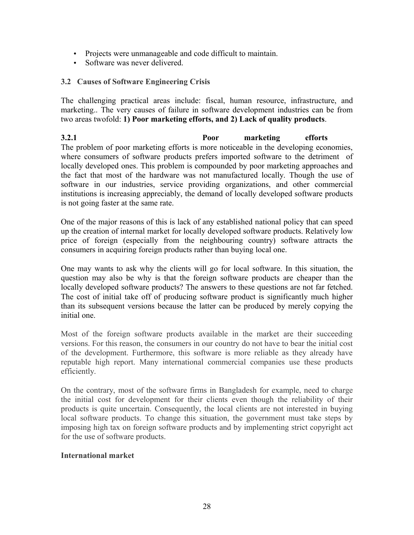- Projects were unmanageable and code difficult to maintain.
- Software was never delivered.

## **3.2 Causes of Software Engineering Crisis**

The challenging practical areas include: fiscal, human resource, infrastructure, and marketing.. The very causes of failure in software development industries can be from two areas twofold: **1) Poor marketing efforts, and 2) Lack of quality products**.

**3.2.1 Poor marketing efforts**  The problem of poor marketing efforts is more noticeable in the developing economies, where consumers of software products prefers imported software to the detriment of locally developed ones. This problem is compounded by poor marketing approaches and the fact that most of the hardware was not manufactured locally. Though the use of software in our industries, service providing organizations, and other commercial institutions is increasing appreciably, the demand of locally developed software products is not going faster at the same rate.

One of the major reasons of this is lack of any established national policy that can speed up the creation of internal market for locally developed software products. Relatively low price of foreign (especially from the neighbouring country) software attracts the consumers in acquiring foreign products rather than buying local one.

One may wants to ask why the clients will go for local software. In this situation, the question may also be why is that the foreign software products are cheaper than the locally developed software products? The answers to these questions are not far fetched. The cost of initial take off of producing software product is significantly much higher than its subsequent versions because the latter can be produced by merely copying the initial one.

Most of the foreign software products available in the market are their succeeding versions. For this reason, the consumers in our country do not have to bear the initial cost of the development. Furthermore, this software is more reliable as they already have reputable high report. Many international commercial companies use these products efficiently.

On the contrary, most of the software firms in Bangladesh for example, need to charge the initial cost for development for their clients even though the reliability of their products is quite uncertain. Consequently, the local clients are not interested in buying local software products. To change this situation, the government must take steps by imposing high tax on foreign software products and by implementing strict copyright act for the use of software products.

#### **International market**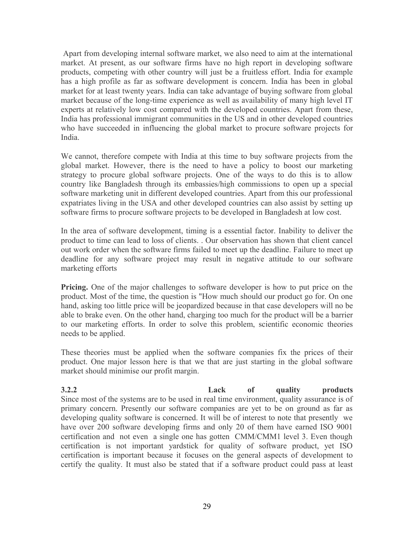Apart from developing internal software market, we also need to aim at the international market. At present, as our software firms have no high report in developing software products, competing with other country will just be a fruitless effort. India for example has a high profile as far as software development is concern. India has been in global market for at least twenty years. India can take advantage of buying software from global market because of the long-time experience as well as availability of many high level IT experts at relatively low cost compared with the developed countries. Apart from these, India has professional immigrant communities in the US and in other developed countries who have succeeded in influencing the global market to procure software projects for India.

We cannot, therefore compete with India at this time to buy software projects from the global market. However, there is the need to have a policy to boost our marketing strategy to procure global software projects. One of the ways to do this is to allow country like Bangladesh through its embassies/high commissions to open up a special software marketing unit in different developed countries. Apart from this our professional expatriates living in the USA and other developed countries can also assist by setting up software firms to procure software projects to be developed in Bangladesh at low cost.

In the area of software development, timing is a essential factor. Inability to deliver the product to time can lead to loss of clients. . Our observation has shown that client cancel out work order when the software firms failed to meet up the deadline. Failure to meet up deadline for any software project may result in negative attitude to our software marketing efforts

**Pricing.** One of the major challenges to software developer is how to put price on the product. Most of the time, the question is "How much should our product go for. On one hand, asking too little price will be jeopardized because in that case developers will no be able to brake even. On the other hand, charging too much for the product will be a barrier to our marketing efforts. In order to solve this problem, scientific economic theories needs to be applied.

These theories must be applied when the software companies fix the prices of their product. One major lesson here is that we that are just starting in the global software market should minimise our profit margin.

**3.2.2 Lack of quality products** Since most of the systems are to be used in real time environment, quality assurance is of primary concern. Presently our software companies are yet to be on ground as far as developing quality software is concerned. It will be of interest to note that presently we have over 200 software developing firms and only 20 of them have earned ISO 9001 certification and not even a single one has gotten CMM/CMM1 level 3. Even though certification is not important yardstick for quality of software product, yet ISO certification is important because it focuses on the general aspects of development to certify the quality. It must also be stated that if a software product could pass at least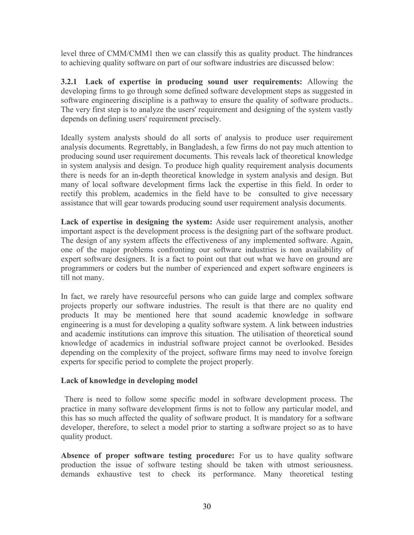level three of CMM/CMM1 then we can classify this as quality product. The hindrances to achieving quality software on part of our software industries are discussed below:

**3.2.1 Lack of expertise in producing sound user requirements:** Allowing the developing firms to go through some defined software development steps as suggested in software engineering discipline is a pathway to ensure the quality of software products.. The very first step is to analyze the users' requirement and designing of the system vastly depends on defining users' requirement precisely.

Ideally system analysts should do all sorts of analysis to produce user requirement analysis documents. Regrettably, in Bangladesh, a few firms do not pay much attention to producing sound user requirement documents. This reveals lack of theoretical knowledge in system analysis and design. To produce high quality requirement analysis documents there is needs for an in-depth theoretical knowledge in system analysis and design. But many of local software development firms lack the expertise in this field. In order to rectify this problem, academics in the field have to be consulted to give necessary assistance that will gear towards producing sound user requirement analysis documents.

**Lack of expertise in designing the system:** Aside user requirement analysis, another important aspect is the development process is the designing part of the software product. The design of any system affects the effectiveness of any implemented software. Again, one of the major problems confronting our software industries is non availability of expert software designers. It is a fact to point out that out what we have on ground are programmers or coders but the number of experienced and expert software engineers is till not many.

In fact, we rarely have resourceful persons who can guide large and complex software projects properly our software industries. The result is that there are no quality end products It may be mentioned here that sound academic knowledge in software engineering is a must for developing a quality software system. A link between industries and academic institutions can improve this situation. The utilisation of theoretical sound knowledge of academics in industrial software project cannot be overlooked. Besides depending on the complexity of the project, software firms may need to involve foreign experts for specific period to complete the project properly.

## **Lack of knowledge in developing model**

 There is need to follow some specific model in software development process. The practice in many software development firms is not to follow any particular model, and this has so much affected the quality of software product. It is mandatory for a software developer, therefore, to select a model prior to starting a software project so as to have quality product.

**Absence of proper software testing procedure:** For us to have quality software production the issue of software testing should be taken with utmost seriousness. demands exhaustive test to check its performance. Many theoretical testing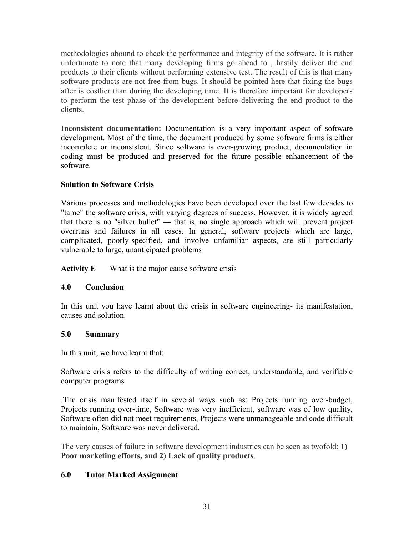methodologies abound to check the performance and integrity of the software. It is rather unfortunate to note that many developing firms go ahead to , hastily deliver the end products to their clients without performing extensive test. The result of this is that many software products are not free from bugs. It should be pointed here that fixing the bugs after is costlier than during the developing time. It is therefore important for developers to perform the test phase of the development before delivering the end product to the clients.

**Inconsistent documentation:** Documentation is a very important aspect of software development. Most of the time, the document produced by some software firms is either incomplete or inconsistent. Since software is ever-growing product, documentation in coding must be produced and preserved for the future possible enhancement of the software.

## **Solution to Software Crisis**

Various processes and methodologies have been developed over the last few decades to "tame" the software crisis, with varying degrees of success. However, it is widely agreed that there is [no "silver bullet"](http://en.wikipedia.org/wiki/No_Silver_Bullet) ― that is, no single approach which will prevent project overruns and failures in all cases. In general, software projects which are large, complicated, poorly-specified, and involve unfamiliar aspects, are still particularly vulnerable to large, unanticipated problems

**Activity E** What is the major cause software crisis

## **4.0 Conclusion**

In this unit you have learnt about the crisis in software engineering- its manifestation, causes and solution.

## **5.0 Summary**

In this unit, we have learnt that:

Software crisis refers to the difficulty of writing correct, understandable, and verifiable computer programs

.The crisis manifested itself in several ways such as: Projects running over-budget, Projects running over-time, Software was very inefficient, software was of low quality, Software often did not meet requirements, Projects were unmanageable and code difficult to maintain, Software was never delivered.

The very causes of failure in software development industries can be seen as twofold: **1) Poor marketing efforts, and 2) Lack of quality products**.

## **6.0 Tutor Marked Assignment**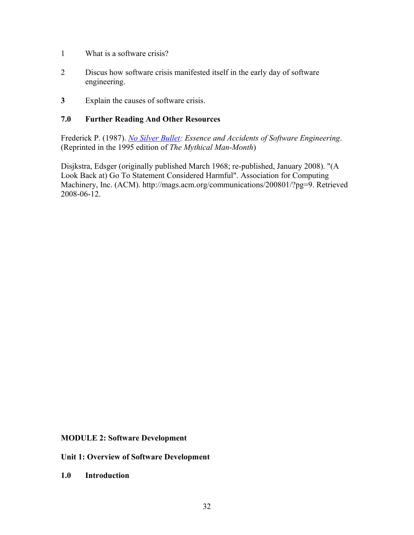- 1 What is a software crisis?
- 2 Discus how software crisis manifested itself in the early day of software engineering.
- **3** Explain the causes of software crisis.

## **7.0 Further Reading And Other Resources**

Frederick P. (1987). *[No Silver Bullet:](http://en.wikipedia.org/wiki/No_Silver_Bullet) Essence and Accidents of Software Engineering*. (Reprinted in the 1995 edition of *The Mythical Man-Month*)

Disjkstra, Edsger (originally published March 1968; re-published, January 2008). "(A Look Back at) Go To Statement Considered Harmful". Association for Computing Machinery, Inc. (ACM). http://mags.acm.org/communications/200801/?pg=9. Retrieved 2008-06-12.

#### **MODULE 2: Software Development**

#### **Unit 1: Overview of Software Development**

**1.0 Introduction**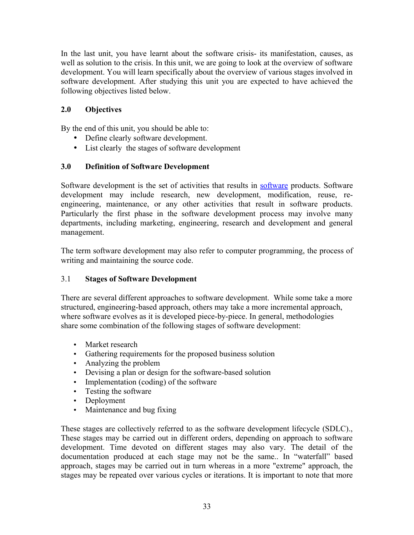In the last unit, you have learnt about the software crisis- its manifestation, causes, as well as solution to the crisis. In this unit, we are going to look at the overview of software development. You will learn specifically about the overview of various stages involved in software development. After studying this unit you are expected to have achieved the following objectives listed below.

## **2.0 Objectives**

By the end of this unit, you should be able to:

- Define clearly software development.
- List clearly the stages of software development

## **3.0 Definition of Software Development**

Software development is the set of activities that results in [software](http://en.wikipedia.org/wiki/Software) products. Software development may include research, new development, modification, reuse, reengineering, maintenance, or any other activities that result in software products. Particularly the first phase in the software development process may involve many departments, including [marketing,](http://en.wikipedia.org/wiki/Marketing) [engineering,](http://en.wikipedia.org/wiki/Engineering) [research and development](http://en.wikipedia.org/wiki/Research_and_development) and general [management.](http://en.wikipedia.org/wiki/Management)

The term software development may also refer to [computer programming,](http://en.wikipedia.org/wiki/Computer_programming) the process of writing and maintaining the source code.

## 3.1 **Stages of Software Development**

There are several different approaches to software development. While some take a more structured, engineering-based approach, others may take a more incremental approach, where software evolves as it is developed piece-by-piece. In general, methodologies share some combination of the following stages of software development:

- Market research
- Gathering requirements for the proposed business solution
- Analyzing the problem
- Devising a plan or design for the software-based solution
- Implementation (coding) of the software
- Testing the software
- Deployment
- Maintenance and bug fixing

These stages are collectively referred to as the software development lifecycle (SDLC)., These stages may be carried out in different orders, depending on approach to software development. Time devoted on different stages may also vary. The detail of the documentation produced at each stage may not be the same.. In "waterfall" based approach, stages may be carried out in turn whereas in a more "extreme" approach, the stages may be repeated over various cycles or iterations. It is important to note that more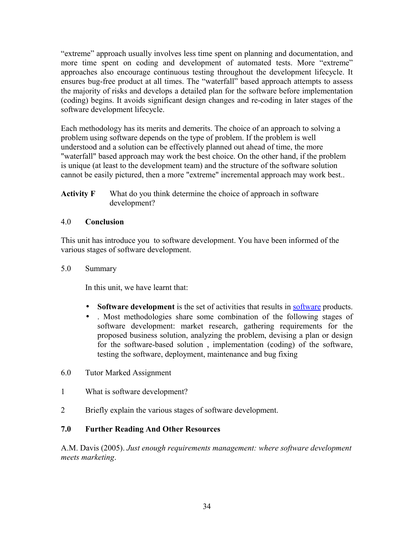"extreme" approach usually involves less time spent on planning and documentation, and more time spent on coding and development of automated tests. More "extreme" approaches also encourage continuous testing throughout the development lifecycle. It ensures bug-free product at all times. The "waterfall" based approach attempts to assess the majority of risks and develops a detailed plan for the software before implementation (coding) begins. It avoids significant design changes and re-coding in later stages of the software development lifecycle.

Each methodology has its merits and demerits. The choice of an approach to solving a problem using software depends on the type of problem. If the problem is well understood and a solution can be effectively planned out ahead of time, the more "waterfall" based approach may work the best choice. On the other hand, if the problem is unique (at least to the development team) and the structure of the software solution cannot be easily pictured, then a more "extreme" incremental approach may work best..

## **Activity F** What do you think determine the choice of approach in software development?

## 4.0 **Conclusion**

This unit has introduce you to software development. You have been informed of the various stages of software development.

5.0 Summary

In this unit, we have learnt that:

- **Software development** is the set of activities that results in [software](http://en.wikipedia.org/wiki/Software) products.
- . Most methodologies share some combination of the following stages of software development: market research, gathering requirements for the proposed business solution, analyzing the problem, devising a plan or design for the software-based solution , implementation (coding) of the software, testing the software, deployment, maintenance and bug fixing
- 6.0 Tutor Marked Assignment
- 1 What is software development?
- 2 Briefly explain the various stages of software development.

## **7.0 Further Reading And Other Resources**

A.M. Davis (2005). *Just enough requirements management: where software development meets marketing*.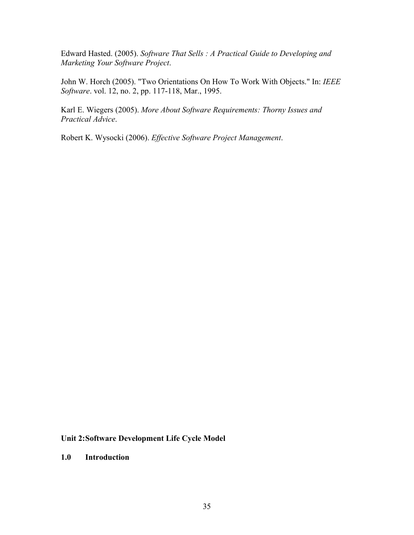Edward Hasted. (2005). *Software That Sells : A Practical Guide to Developing and Marketing Your Software Project*.

John W. Horch (2005). "Two Orientations On How To Work With Objects." In: *IEEE Software*. vol. 12, no. 2, pp. 117-118, Mar., 1995.

Karl E. Wiegers (2005). *More About Software Requirements: Thorny Issues and Practical Advice*.

Robert K. Wysocki (2006). *Effective Software Project Management*.

## **Unit 2:Software Development Life Cycle Model**

**1.0 Introduction**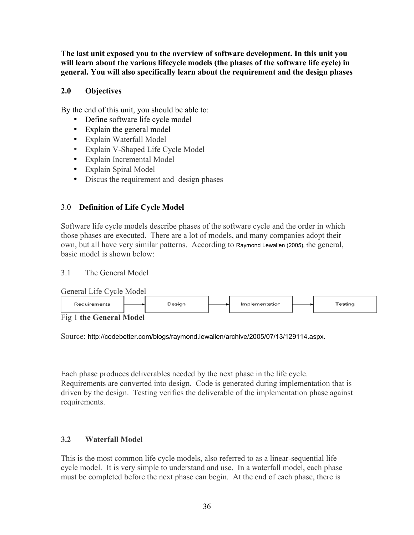**The last unit exposed you to the overview of software development. In this unit you will learn about the various lifecycle models (the phases of the software life cycle) in general. You will also specifically learn about the requirement and the design phases**

## **2.0 Objectives**

By the end of this unit, you should be able to:

- Define software life cycle model
- Explain the general model
- Explain Waterfall Model
- Explain V-Shaped Life Cycle Model
- Explain Incremental Model
- Explain Spiral Model
- Discus the requirement and design phases

## 3.0 **Definition of Life Cycle Model**

Software life cycle models describe phases of the software cycle and the order in which those phases are executed. There are a lot of models, and many companies adopt their own, but all have very similar patterns. According to Raymond Lewallen (2005), the general, basic model is shown below:

## 3.1 The General Model



Source: http://codebetter.com/blogs/raymond.lewallen/archive/2005/07/13/129114.aspx.

Each phase produces deliverables needed by the next phase in the life cycle. Requirements are converted into design. Code is generated during implementation that is driven by the design. Testing verifies the deliverable of the implementation phase against requirements.

## **3.2 Waterfall Model**

This is the most common life cycle models, also referred to as a linear-sequential life cycle model. It is very simple to understand and use. In a waterfall model, each phase must be completed before the next phase can begin. At the end of each phase, there is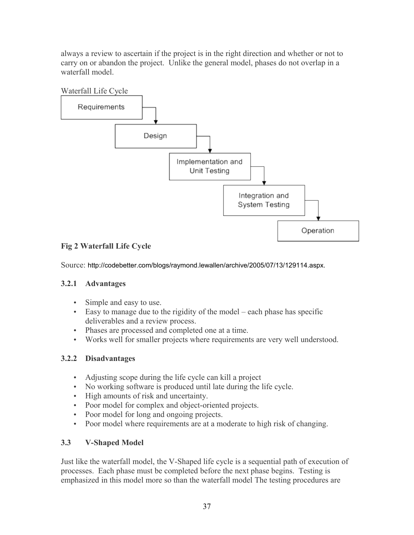always a review to ascertain if the project is in the right direction and whether or not to carry on or abandon the project. Unlike the general model, phases do not overlap in a waterfall model.



# **Fig 2 Waterfall Life Cycle**

Source: http://codebetter.com/blogs/raymond.lewallen/archive/2005/07/13/129114.aspx.

# **3.2.1 Advantages**

- Simple and easy to use.
- Easy to manage due to the rigidity of the model each phase has specific deliverables and a review process.
- Phases are processed and completed one at a time.
- Works well for smaller projects where requirements are very well understood.

# **3.2.2 Disadvantages**

- Adjusting scope during the life cycle can kill a project
- No working software is produced until late during the life cycle.
- High amounts of risk and uncertainty.
- Poor model for complex and object-oriented projects.
- Poor model for long and ongoing projects.
- Poor model where requirements are at a moderate to high risk of changing.

# **3.3 V-Shaped Model**

Just like the waterfall model, the V-Shaped life cycle is a sequential path of execution of processes. Each phase must be completed before the next phase begins. Testing is emphasized in this model more so than the waterfall model The testing procedures are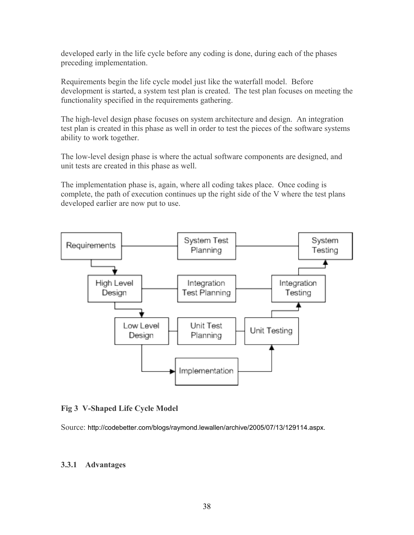developed early in the life cycle before any coding is done, during each of the phases preceding implementation.

Requirements begin the life cycle model just like the waterfall model. Before development is started, a system test plan is created. The test plan focuses on meeting the functionality specified in the requirements gathering.

The high-level design phase focuses on system architecture and design. An integration test plan is created in this phase as well in order to test the pieces of the software systems ability to work together.

The low-level design phase is where the actual software components are designed, and unit tests are created in this phase as well.

The implementation phase is, again, where all coding takes place. Once coding is complete, the path of execution continues up the right side of the V where the test plans developed earlier are now put to use.



### **Fig 3 V-Shaped Life Cycle Model**

Source: http://codebetter.com/blogs/raymond.lewallen/archive/2005/07/13/129114.aspx.

### **3.3.1 Advantages**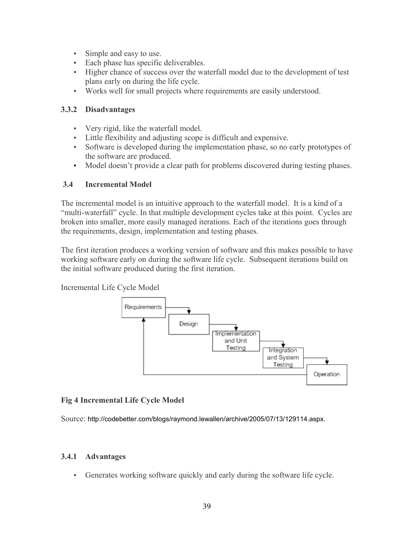- Simple and easy to use.
- Each phase has specific deliverables.
- Higher chance of success over the waterfall model due to the development of test plans early on during the life cycle.
- Works well for small projects where requirements are easily understood.

## **3.3.2 Disadvantages**

- Very rigid, like the waterfall model.
- Little flexibility and adjusting scope is difficult and expensive.
- Software is developed during the implementation phase, so no early prototypes of the software are produced.
- Model doesn't provide a clear path for problems discovered during testing phases.

## **3.4 Incremental Model**

The incremental model is an intuitive approach to the waterfall model. It is a kind of a "multi-waterfall" cycle. In that multiple development cycles take at this point. Cycles are broken into smaller, more easily managed iterations. Each of the iterations goes through the requirements, design, implementation and testing phases.

The first iteration produces a working version of software and this makes possible to have working software early on during the software life cycle. Subsequent iterations build on the initial software produced during the first iteration.

Incremental Life Cycle Model



### **Fig 4 Incremental Life Cycle Model**

Source: http://codebetter.com/blogs/raymond.lewallen/archive/2005/07/13/129114.aspx.

### **3.4.1 Advantages**

• Generates working software quickly and early during the software life cycle.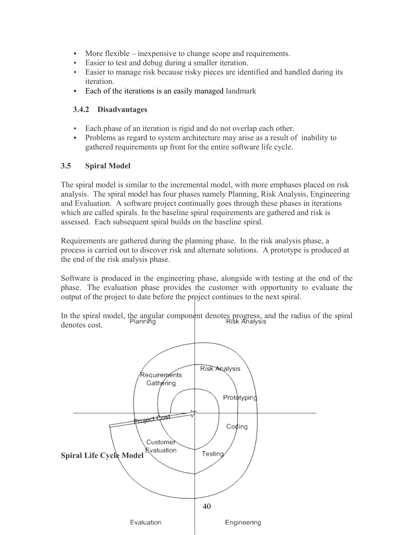- More flexible inexpensive to change scope and requirements.
- Easier to test and debug during a smaller iteration.
- Easier to manage risk because risky pieces are identified and handled during its iteration.
- Each of the iterations is an easily managed landmark

## **3.4.2 Disadvantages**

- Each phase of an iteration is rigid and do not overlap each other.
- Problems as regard to system architecture may arise as a result of inability to gathered requirements up front for the entire software life cycle.

## **3.5 Spiral Model**

The spiral model is similar to the incremental model, with more emphases placed on risk analysis. The spiral model has four phases namely Planning, Risk Analysis, Engineering and Evaluation. A software project continually goes through these phases in iterations which are called spirals. In the baseline spiral requirements are gathered and risk is assessed. Each subsequent spiral builds on the baseline spiral.

Requirements are gathered during the planning phase. In the risk analysis phase, a process is carried out to discover risk and alternate solutions. A prototype is produced at the end of the risk analysis phase.

Software is produced in the engineering phase, alongside with testing at the end of the phase. The evaluation phase provides the customer with opportunity to evaluate the output of the project to date before the project continues to the next spiral.

In the spiral model, the angular component denotes progress, and the radius of the spiral<br>denotes cost Planning<br>Risk Analysis denotes cost.

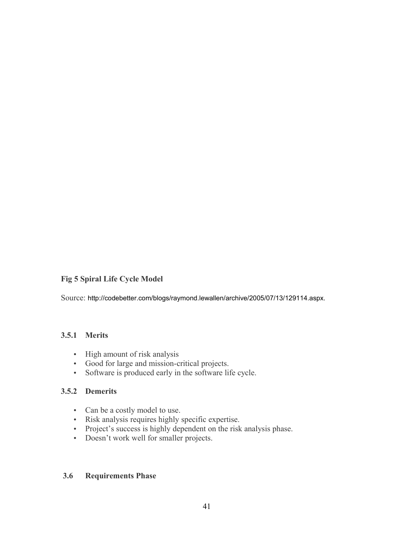### **Fig 5 Spiral Life Cycle Model**

Source: http://codebetter.com/blogs/raymond.lewallen/archive/2005/07/13/129114.aspx.

### **3.5.1 Merits**

- High amount of risk analysis
- Good for large and mission-critical projects.
- Software is produced early in the software life cycle.

## **3.5.2 Demerits**

- Can be a costly model to use.
- Risk analysis requires highly specific expertise.
- Project's success is highly dependent on the risk analysis phase.
- Doesn't work well for smaller projects.

#### **3.6 Requirements Phase**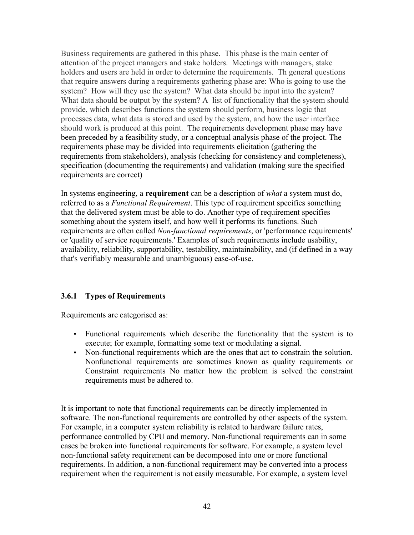Business requirements are gathered in this phase. This phase is the main center of attention of the project managers and stake holders. Meetings with managers, stake holders and users are held in order to determine the requirements. Th general questions that require answers during a requirements gathering phase are: Who is going to use the system? How will they use the system? What data should be input into the system? What data should be output by the system? A list of functionality that the system should provide, which describes functions the system should perform, business logic that processes data, what data is stored and used by the system, and how the user interface should work is produced at this point. The requirements development phase may have been preceded by a feasibility study, or a conceptual analysis phase of the project. The requirements phase may be divided into requirements elicitation (gathering the requirements from stakeholders), analysis (checking for consistency and completeness), specification (documenting the requirements) and validation (making sure the specified requirements are correct)

In systems engineering, a **requirement** can be a description of *what* a system must do, referred to as a *Functional Requirement*. This type of requirement specifies something that the delivered system must be able to do. Another type of requirement specifies something about the system itself, and how well it performs its functions. Such requirements are often called *Non-functional requirements*, or 'performance requirements' or 'quality of service requirements.' Examples of such requirements include usability, availability, reliability, supportability, testability, maintainability, and (if defined in a way that's verifiably measurable and unambiguous) ease-of-use.

### **3.6.1 Types of Requirements**

Requirements are categorised as:

- Functional requirements which describe the functionality that the system is to execute; for example, formatting some text or modulating a signal.
- Non-functional requirements which are the ones that act to constrain the solution. Nonfunctional requirements are sometimes known as quality requirements or Constraint requirements No matter how the problem is solved the constraint requirements must be adhered to.

It is important to note that functional requirements can be directly implemented in software. The non-functional requirements are controlled by other aspects of the system. For example, in a computer system reliability is related to hardware failure rates, performance controlled by CPU and memory. Non-functional requirements can in some cases be broken into functional requirements for software. For example, a system level non-functional safety requirement can be decomposed into one or more functional requirements. In addition, a non-functional requirement may be converted into a process requirement when the requirement is not easily measurable. For example, a system level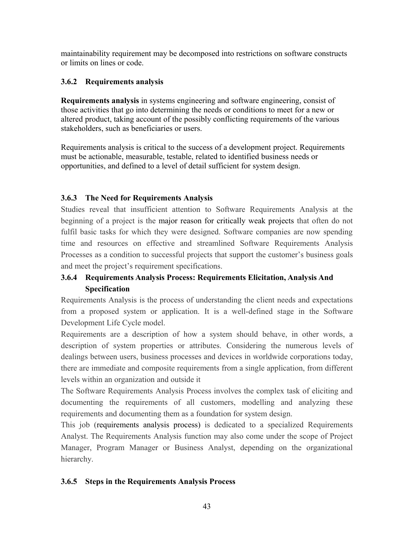maintainability requirement may be decomposed into restrictions on software constructs or limits on lines or code.

# **3.6.2 Requirements analysis**

**Requirements analysis** in systems engineering and software engineering, consist of those activities that go into determining the needs or conditions to meet for a new or altered product, taking account of the possibly conflicting requirements of the various stakeholders, such as beneficiaries or users.

Requirements analysis is critical to the success of a development project. Requirements must be actionable, measurable, testable, related to identified business needs or opportunities, and defined to a level of detail sufficient for system design.

# **3.6.3 The Need for Requirements Analysis**

Studies reveal that insufficient attention to Software Requirements Analysis at the beginning of a project is the major reason for critically weak projects that often do not fulfil basic tasks for which they were designed. Software companies are now spending time and resources on effective and streamlined Software Requirements Analysis Processes as a condition to successful projects that support the customer's business goals and meet the project's requirement specifications.

# **3.6.4 Requirements Analysis Process: Requirements Elicitation, Analysis And Specification**

Requirements Analysis is the process of understanding the client needs and expectations from a proposed system or application. It is a well-defined stage in the Software Development Life Cycle model.

Requirements are a description of how a system should behave, in other words, a description of system properties or attributes. Considering the numerous levels of dealings between users, business processes and devices in worldwide corporations today, there are immediate and composite requirements from a single application, from different levels within an organization and outside it

The Software Requirements Analysis Process involves the complex task of eliciting and documenting the requirements of all customers, modelling and analyzing these requirements and documenting them as a foundation for system design.

This job (requirements analysis process) is dedicated to a specialized Requirements Analyst. The Requirements Analysis function may also come under the scope of Project Manager, Program Manager or Business Analyst, depending on the organizational hierarchy.

# **3.6.5 Steps in the Requirements Analysis Process**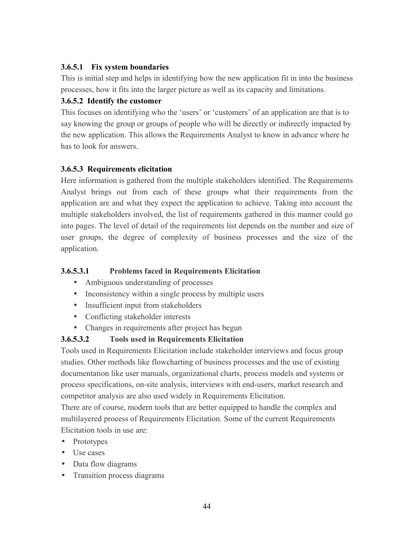# **3.6.5.1 Fix system boundaries**

This is initial step and helps in identifying how the new application fit in into the business processes, how it fits into the larger picture as well as its capacity and limitations.

# **3.6.5.2 Identify the customer**

This focuses on identifying who the 'users' or 'customers' of an application are that is to say knowing the group or groups of people who will be directly or indirectly impacted by the new application. This allows the Requirements Analyst to know in advance where he has to look for answers.

# **3.6.5.3 Requirements elicitation**

Here information is gathered from the multiple stakeholders identified. The Requirements Analyst brings out from each of these groups what their requirements from the application are and what they expect the application to achieve. Taking into account the multiple stakeholders involved, the list of requirements gathered in this manner could go into pages. The level of detail of the requirements list depends on the number and size of user groups, the degree of complexity of business processes and the size of the application.

# **3.6.5.3.1 Problems faced in Requirements Elicitation**

- Ambiguous understanding of processes
- Inconsistency within a single process by multiple users
- Insufficient input from stakeholders
- Conflicting stakeholder interests
- Changes in requirements after project has begun

# **3.6.5.3.2 Tools used in Requirements Elicitation**

Tools used in Requirements Elicitation include stakeholder interviews and focus group studies. Other methods like flowcharting of business processes and the use of existing documentation like user manuals, organizational charts, process models and systems or process specifications, on-site analysis, interviews with end-users, market research and competitor analysis are also used widely in Requirements Elicitation.

There are of course, modern tools that are better equipped to handle the complex and multilayered process of Requirements Elicitation. Some of the current Requirements Elicitation tools in use are:

- Prototypes
- Use cases
- Data flow diagrams
- Transition process diagrams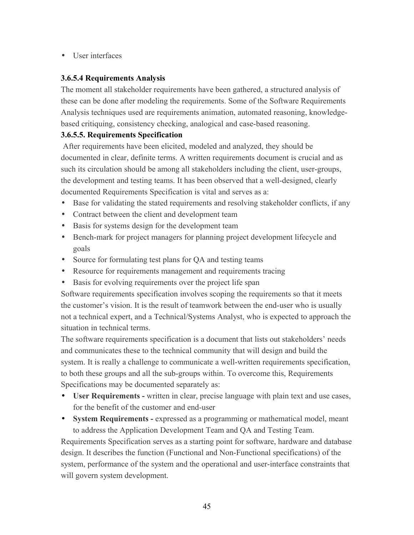• User interfaces

## **3.6.5.4 Requirements Analysis**

The moment all stakeholder requirements have been gathered, a structured analysis of these can be done after modeling the requirements. Some of the Software Requirements Analysis techniques used are requirements animation, automated reasoning, knowledgebased critiquing, consistency checking, analogical and case-based reasoning.

## **3.6.5.5. Requirements Specification**

 After requirements have been elicited, modeled and analyzed, they should be documented in clear, definite terms. A written requirements document is crucial and as such its circulation should be among all stakeholders including the client, user-groups, the development and testing teams. It has been observed that a well-designed, clearly documented Requirements Specification is vital and serves as a:

- Base for validating the stated requirements and resolving stakeholder conflicts, if any
- Contract between the client and development team
- Basis for systems design for the development team
- Bench-mark for project managers for planning project development lifecycle and goals
- Source for formulating test plans for QA and testing teams
- Resource for requirements management and requirements tracing
- Basis for evolving requirements over the project life span

Software requirements specification involves scoping the requirements so that it meets the customer's vision. It is the result of teamwork between the end-user who is usually not a technical expert, and a Technical/Systems Analyst, who is expected to approach the situation in technical terms.

The software requirements specification is a document that lists out stakeholders' needs and communicates these to the technical community that will design and build the system. It is really a challenge to communicate a well-written requirements specification, to both these groups and all the sub-groups within. To overcome this, Requirements Specifications may be documented separately as:

- **User Requirements -** written in clear, precise language with plain text and use cases, for the benefit of the customer and end-user
- **System Requirements -** expressed as a programming or mathematical model, meant to address the Application Development Team and QA and Testing Team.

Requirements Specification serves as a starting point for software, hardware and database design. It describes the function (Functional and Non-Functional specifications) of the system, performance of the system and the operational and user-interface constraints that will govern system development.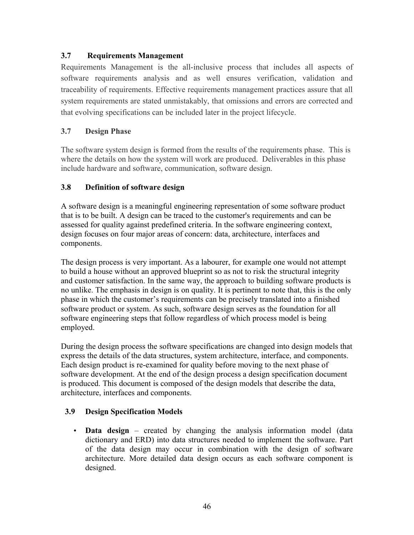# **3.7 Requirements Management**

Requirements Management is the all-inclusive process that includes all aspects of software requirements analysis and as well ensures verification, validation and traceability of requirements. Effective requirements management practices assure that all system requirements are stated unmistakably, that omissions and errors are corrected and that evolving specifications can be included later in the project lifecycle.

## **3.7 Design Phase**

The software system design is formed from the results of the requirements phase. This is where the details on how the system will work are produced. Deliverables in this phase include hardware and software, communication, software design.

## **3.8 Definition of software design**

A software design is a meaningful engineering representation of some software product that is to be built. A design can be traced to the customer's requirements and can be assessed for quality against predefined criteria. In the software engineering context, design focuses on four major areas of concern: data, architecture, interfaces and components.

The design process is very important. As a labourer, for example one would not attempt to build a house without an approved blueprint so as not to risk the structural integrity and customer satisfaction. In the same way, the approach to building software products is no unlike. The emphasis in design is on quality. It is pertinent to note that, this is the only phase in which the customer's requirements can be precisely translated into a finished software product or system. As such, software design serves as the foundation for all software engineering steps that follow regardless of which process model is being employed.

During the design process the software specifications are changed into design models that express the details of the data structures, system architecture, interface, and components. Each design product is re-examined for quality before moving to the next phase of software development. At the end of the design process a design specification document is produced. This document is composed of the design models that describe the data, architecture, interfaces and components.

### **3.9 Design Specification Models**

• **Data design** – created by changing the analysis information model (data dictionary and ERD) into data structures needed to implement the software. Part of the data design may occur in combination with the design of software architecture. More detailed data design occurs as each software component is designed.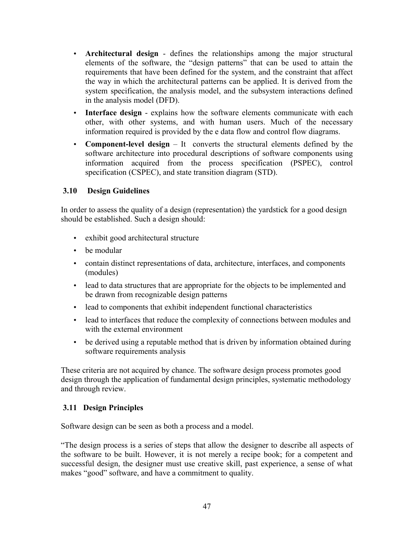- **Architectural design** defines the relationships among the major structural elements of the software, the "design patterns" that can be used to attain the requirements that have been defined for the system, and the constraint that affect the way in which the architectural patterns can be applied. It is derived from the system specification, the analysis model, and the subsystem interactions defined in the analysis model (DFD).
- **Interface design** explains how the software elements communicate with each other, with other systems, and with human users. Much of the necessary information required is provided by the e data flow and control flow diagrams.
- **Component-level design** It converts the structural elements defined by the software architecture into procedural descriptions of software components using information acquired from the process specification (PSPEC), control specification (CSPEC), and state transition diagram (STD).

## **3.10 Design Guidelines**

In order to assess the quality of a design (representation) the yardstick for a good design should be established. Such a design should:

- exhibit good architectural structure
- be modular
- contain distinct representations of data, architecture, interfaces, and components (modules)
- lead to data structures that are appropriate for the objects to be implemented and be drawn from recognizable design patterns
- lead to components that exhibit independent functional characteristics
- lead to interfaces that reduce the complexity of connections between modules and with the external environment
- be derived using a reputable method that is driven by information obtained during software requirements analysis

These criteria are not acquired by chance. The software design process promotes good design through the application of fundamental design principles, systematic methodology and through review.

### **3.11 Design Principles**

Software design can be seen as both a process and a model.

"The design process is a series of steps that allow the designer to describe all aspects of the software to be built. However, it is not merely a recipe book; for a competent and successful design, the designer must use creative skill, past experience, a sense of what makes "good" software, and have a commitment to quality.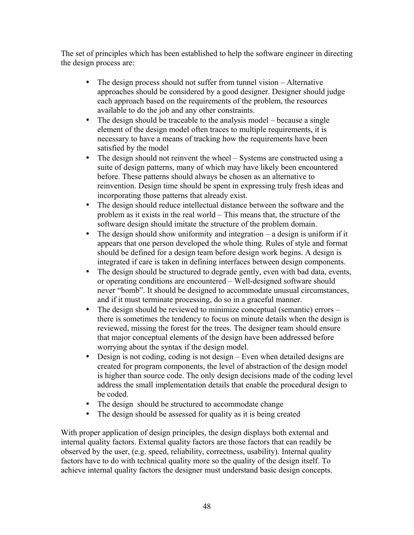The set of principles which has been established to help the software engineer in directing the design process are:

- The design process should not suffer from tunnel vision Alternative approaches should be considered by a good designer. Designer should judge each approach based on the requirements of the problem, the resources available to do the job and any other constraints.
- The design should be traceable to the analysis model because a single element of the design model often traces to multiple requirements, it is necessary to have a means of tracking how the requirements have been satisfied by the model
- The design should not reinvent the wheel Systems are constructed using a suite of design patterns, many of which may have likely been encountered before. These patterns should always be chosen as an alternative to reinvention. Design time should be spent in expressing truly fresh ideas and incorporating those patterns that already exist.
- The design should reduce intellectual distance between the software and the problem as it exists in the real world – This means that, the structure of the software design should imitate the structure of the problem domain.
- The design should show uniformity and integration  $-\alpha$  design is uniform if it appears that one person developed the whole thing. Rules of style and format should be defined for a design team before design work begins. A design is integrated if care is taken in defining interfaces between design components.
- The design should be structured to degrade gently, even with bad data, events, or operating conditions are encountered – Well-designed software should never "bomb". It should be designed to accommodate unusual circumstances, and if it must terminate processing, do so in a graceful manner.
- The design should be reviewed to minimize conceptual (semantic) errors there is sometimes the tendency to focus on minute details when the design is reviewed, missing the forest for the trees. The designer team should ensure that major conceptual elements of the design have been addressed before worrying about the syntax if the design model.
- Design is not coding, coding is not design Even when detailed designs are created for program components, the level of abstraction of the design model is higher than source code. The only design decisions made of the coding level address the small implementation details that enable the procedural design to be coded.
- The design should be structured to accommodate change
- The design should be assessed for quality as it is being created

With proper application of design principles, the design displays both external and internal quality factors. External quality factors are those factors that can readily be observed by the user, (e.g. speed, reliability, correctness, usability). Internal quality factors have to do with technical quality more so the quality of the design itself. To achieve internal quality factors the designer must understand basic design concepts.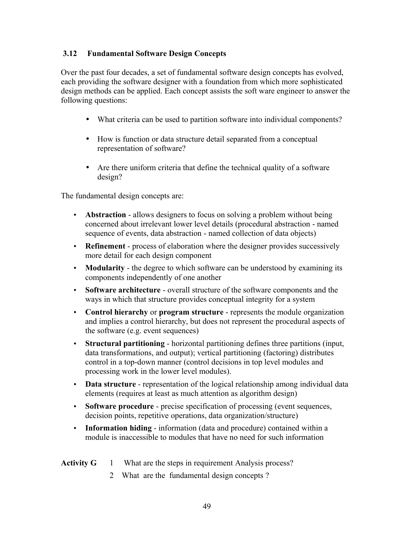## **3.12 Fundamental Software Design Concepts**

Over the past four decades, a set of fundamental software design concepts has evolved, each providing the software designer with a foundation from which more sophisticated design methods can be applied. Each concept assists the soft ware engineer to answer the following questions:

- What criteria can be used to partition software into individual components?
- How is function or data structure detail separated from a conceptual representation of software?
- Are there uniform criteria that define the technical quality of a software design?

The fundamental design concepts are:

- **Abstraction** allows designers to focus on solving a problem without being concerned about irrelevant lower level details (procedural abstraction - named sequence of events, data abstraction - named collection of data objects)
- **Refinement** process of elaboration where the designer provides successively more detail for each design component
- **Modularity** the degree to which software can be understood by examining its components independently of one another
- **Software architecture** overall structure of the software components and the ways in which that structure provides conceptual integrity for a system
- **Control hierarchy** or **program structure** represents the module organization and implies a control hierarchy, but does not represent the procedural aspects of the software (e.g. event sequences)
- **Structural partitioning**  horizontal partitioning defines three partitions (input, data transformations, and output); vertical partitioning (factoring) distributes control in a top-down manner (control decisions in top level modules and processing work in the lower level modules).
- **Data structure** representation of the logical relationship among individual data elements (requires at least as much attention as algorithm design)
- **Software procedure**  precise specification of processing (event sequences, decision points, repetitive operations, data organization/structure)
- **Information hiding** information (data and procedure) contained within a module is inaccessible to modules that have no need for such information
- Activity G 1 What are the steps in requirement Analysis process?
	- 2 What are the fundamental design concepts ?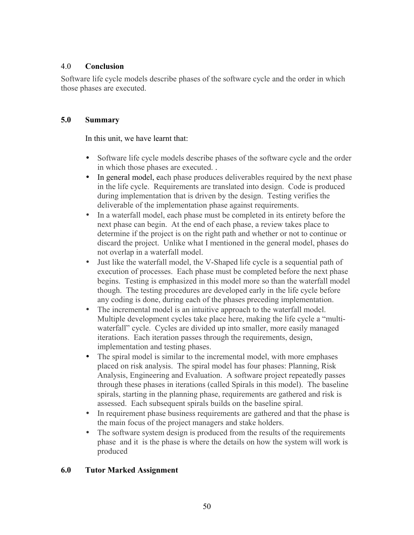## 4.0 **Conclusion**

Software life cycle models describe phases of the software cycle and the order in which those phases are executed.

# **5.0 Summary**

In this unit, we have learnt that:

- Software life cycle models describe phases of the software cycle and the order in which those phases are executed. .
- In general model, each phase produces deliverables required by the next phase in the life cycle. Requirements are translated into design. Code is produced during implementation that is driven by the design. Testing verifies the deliverable of the implementation phase against requirements.
- In a waterfall model, each phase must be completed in its entirety before the next phase can begin. At the end of each phase, a review takes place to determine if the project is on the right path and whether or not to continue or discard the project. Unlike what I mentioned in the general model, phases do not overlap in a waterfall model.
- Just like the waterfall model, the V-Shaped life cycle is a sequential path of execution of processes. Each phase must be completed before the next phase begins. Testing is emphasized in this model more so than the waterfall model though. The testing procedures are developed early in the life cycle before any coding is done, during each of the phases preceding implementation.
- The incremental model is an intuitive approach to the waterfall model. Multiple development cycles take place here, making the life cycle a "multiwaterfall" cycle. Cycles are divided up into smaller, more easily managed iterations. Each iteration passes through the requirements, design, implementation and testing phases.
- The spiral model is similar to the incremental model, with more emphases placed on risk analysis. The spiral model has four phases: Planning, Risk Analysis, Engineering and Evaluation. A software project repeatedly passes through these phases in iterations (called Spirals in this model). The baseline spirals, starting in the planning phase, requirements are gathered and risk is assessed. Each subsequent spirals builds on the baseline spiral.
- In requirement phase business requirements are gathered and that the phase is the main focus of the project managers and stake holders.
- The software system design is produced from the results of the requirements phase and it is the phase is where the details on how the system will work is produced

# **6.0 Tutor Marked Assignment**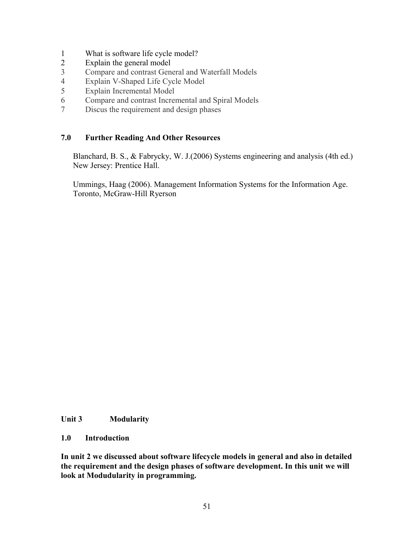- 1 What is software life cycle model?
- 2 Explain the general model
- 3 Compare and contrast General and Waterfall Models
- 4 Explain V-Shaped Life Cycle Model
- 5 Explain Incremental Model
- 6 Compare and contrast Incremental and Spiral Models
- 7 Discus the requirement and design phases

### **7.0 Further Reading And Other Resources**

Blanchard, B. S., & Fabrycky, W. J.(2006) Systems engineering and analysis (4th ed.) New Jersey: Prentice Hall.

Ummings, Haag (2006). Management Information Systems for the Information Age. Toronto, McGraw-Hill Ryerson

#### **Unit 3 Modularity**

#### **1.0 Introduction**

**In unit 2 we discussed about software lifecycle models in general and also in detailed the requirement and the design phases of software development. In this unit we will look at Modudularity in programming.**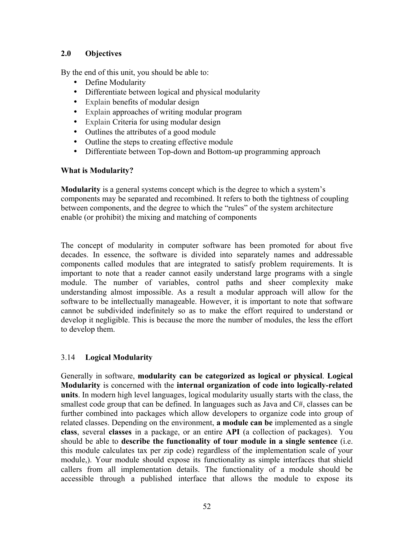# **2.0 Objectives**

By the end of this unit, you should be able to:

- Define Modularity
- Differentiate between logical and physical modularity
- Explain benefits of modular design
- Explain approaches of writing modular program
- Explain Criteria for using modular design
- Outlines the attributes of a good module
- Outline the steps to creating effective module
- Differentiate between Top-down and Bottom-up programming approach

# **What is Modularity?**

**Modularity** is a general systems concept which is the degree to which a system's components may be separated and recombined. It refers to both the tightness of coupling between components, and the degree to which the "rules" of the system architecture enable (or prohibit) the mixing and matching of components

The concept of modularity in computer software has been promoted for about five decades. In essence, the software is divided into separately names and addressable components called modules that are integrated to satisfy problem requirements. It is important to note that a reader cannot easily understand large programs with a single module. The number of variables, control paths and sheer complexity make understanding almost impossible. As a result a modular approach will allow for the software to be intellectually manageable. However, it is important to note that software cannot be subdivided indefinitely so as to make the effort required to understand or develop it negligible. This is because the more the number of modules, the less the effort to develop them.

# 3.14 **Logical Modularity**

Generally in software, **modularity can be categorized as logical or physical**. **Logical Modularity** is concerned with the **internal organization of code into logically-related units**. In modern high level languages, logical modularity usually starts with the class, the smallest code group that can be defined. In languages such as Java and C#, classes can be further combined into packages which allow developers to organize code into group of related classes. Depending on the environment, **a module can be** implemented as a single **class**, several **classes** in a package, or an entire **API** (a collection of packages). You should be able to **describe the functionality of tour module in a single sentence** (i.e. this module calculates tax per zip code) regardless of the implementation scale of your module,). Your module should expose its functionality as simple interfaces that shield callers from all implementation details. The functionality of a module should be accessible through a published interface that allows the module to expose its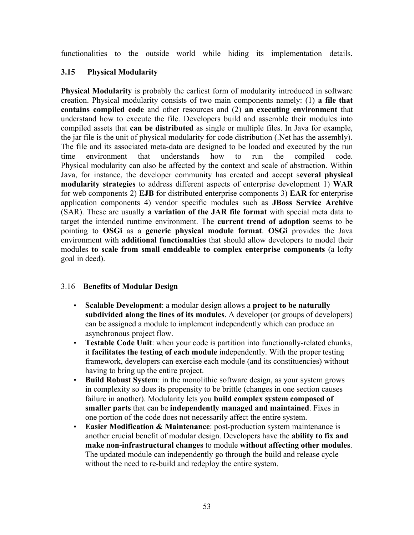functionalities to the outside world while hiding its implementation details.

## **3.15 Physical Modularity**

**Physical Modularity** is probably the earliest form of modularity introduced in software creation. Physical modularity consists of two main components namely: (1) **a file that contains compiled code** and other resources and (2) **an executing environment** that understand how to execute the file. Developers build and assemble their modules into compiled assets that **can be distributed** as single or multiple files. In Java for example, the jar file is the unit of physical modularity for code distribution (.Net has the assembly). The file and its associated meta-data are designed to be loaded and executed by the run time environment that understands how to run the compiled code. Physical modularity can also be affected by the context and scale of abstraction. Within Java, for instance, the developer community has created and accept s**everal physical modularity strategies** to address different aspects of enterprise development 1) **WAR** for web components 2) **EJB** for distributed enterprise components 3) **EAR** for enterprise application components 4) vendor specific modules such as **JBoss Service Archive** (SAR). These are usually **a variation of the JAR file format** with special meta data to target the intended runtime environment. The **current trend of adoption** seems to be pointing to **OSGi** as a **generic physical module format**. **OSGi** provides the Java environment with **additional functionalties** that should allow developers to model their modules **to scale from small emddeable to complex enterprise components** (a lofty goal in deed).

### 3.16 **Benefits of Modular Design**

- **Scalable Development**: a modular design allows a **project to be naturally subdivided along the lines of its modules**. A developer (or groups of developers) can be assigned a module to implement independently which can produce an asynchronous project flow.
- **Testable Code Unit**: when your code is partition into functionally-related chunks, it **facilitates the testing of each module** independently. With the proper testing framework, developers can exercise each module (and its constituencies) without having to bring up the entire project.
- **Build Robust System**: in the monolithic software design, as your system grows in complexity so does its propensity to be brittle (changes in one section causes failure in another). Modularity lets you **build complex system composed of smaller parts** that can be **independently managed and maintained**. Fixes in one portion of the code does not necessarily affect the entire system.
- **Easier Modification & Maintenance**: post-production system maintenance is another crucial benefit of modular design. Developers have the **ability to fix and make non-infrastructural changes** to module **without affecting other modules**. The updated module can independently go through the build and release cycle without the need to re-build and redeploy the entire system.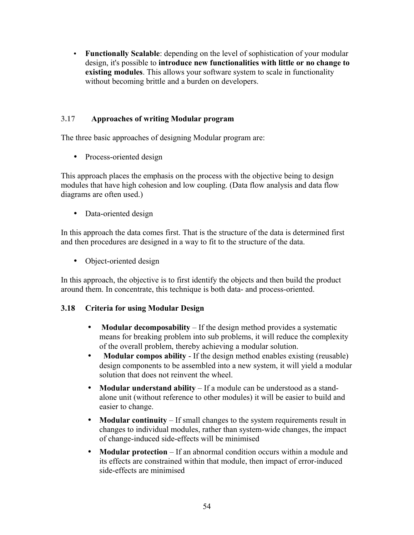• **Functionally Scalable**: depending on the level of sophistication of your modular design, it's possible to **introduce new functionalities with little or no change to existing modules**. This allows your software system to scale in functionality without becoming brittle and a burden on developers.

## **3.17 Approaches of writing Modular program**

The three basic approaches of designing Modular program are:

• Process-oriented design

This approach places the emphasis on the process with the objective being to design modules that have high cohesion and low coupling. (Data flow analysis and data flow diagrams are often used.)

• Data-oriented design

In this approach the data comes first. That is the structure of the data is determined first and then procedures are designed in a way to fit to the structure of the data.

• Object-oriented design

In this approach, the objective is to first identify the objects and then build the product around them. In concentrate, this technique is both data- and process-oriented.

### **3.18 Criteria for using Modular Design**

- **Modular decomposability** If the design method provides a systematic means for breaking problem into sub problems, it will reduce the complexity of the overall problem, thereby achieving a modular solution.
- **Modular compos ability** If the design method enables existing (reusable) design components to be assembled into a new system, it will yield a modular solution that does not reinvent the wheel.
- **Modular understand ability** If a module can be understood as a standalone unit (without reference to other modules) it will be easier to build and easier to change.
- **Modular continuity** If small changes to the system requirements result in changes to individual modules, rather than system-wide changes, the impact of change-induced side-effects will be minimised
- **Modular protection** If an abnormal condition occurs within a module and its effects are constrained within that module, then impact of error-induced side-effects are minimised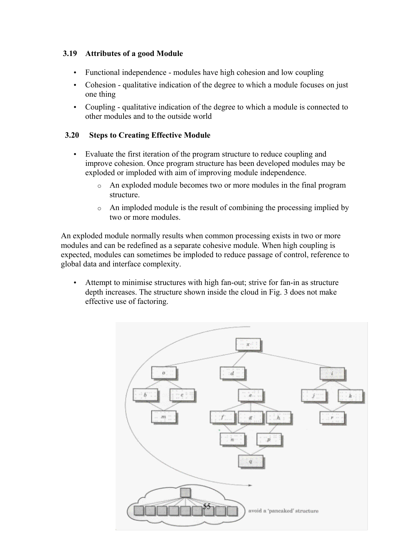## **3.19 Attributes of a good Module**

- Functional independence modules have high cohesion and low coupling
- Cohesion qualitative indication of the degree to which a module focuses on just one thing
- Coupling qualitative indication of the degree to which a module is connected to other modules and to the outside world

## **3.20 Steps to Creating Effective Module**

- Evaluate the first iteration of the program structure to reduce coupling and improve cohesion. Once program structure has been developed modules may be exploded or imploded with aim of improving module independence.
	- o An exploded module becomes two or more modules in the final program structure.
	- o An imploded module is the result of combining the processing implied by two or more modules.

An exploded module normally results when common processing exists in two or more modules and can be redefined as a separate cohesive module. When high coupling is expected, modules can sometimes be imploded to reduce passage of control, reference to global data and interface complexity.

• Attempt to minimise structures with high fan-out; strive for fan-in as structure depth increases. The structure shown inside the cloud in Fig. 3 does not make effective use of factoring.

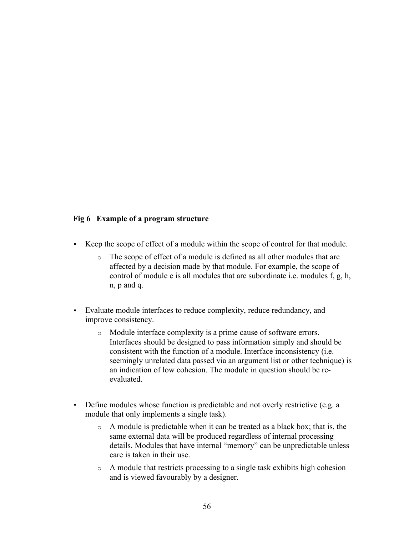#### **Fig 6 Example of a program structure**

- Keep the scope of effect of a module within the scope of control for that module.
	- o The scope of effect of a module is defined as all other modules that are affected by a decision made by that module. For example, the scope of control of module e is all modules that are subordinate i.e. modules f, g, h, n, p and q.
- Evaluate module interfaces to reduce complexity, reduce redundancy, and improve consistency.
	- o Module interface complexity is a prime cause of software errors. Interfaces should be designed to pass information simply and should be consistent with the function of a module. Interface inconsistency (i.e. seemingly unrelated data passed via an argument list or other technique) is an indication of low cohesion. The module in question should be reevaluated.
- Define modules whose function is predictable and not overly restrictive (e.g. a module that only implements a single task).
	- o A module is predictable when it can be treated as a black box; that is, the same external data will be produced regardless of internal processing details. Modules that have internal "memory" can be unpredictable unless care is taken in their use.
	- o A module that restricts processing to a single task exhibits high cohesion and is viewed favourably by a designer.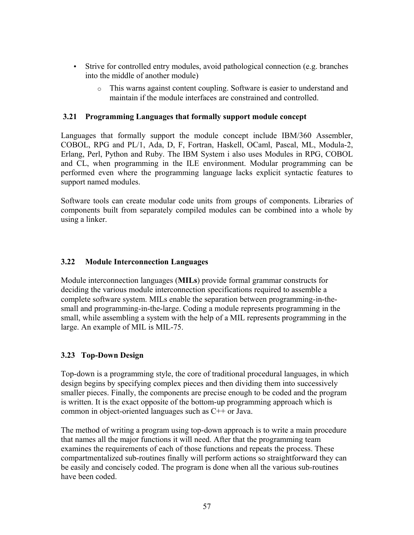- Strive for controlled entry modules, avoid pathological connection (e.g. branches into the middle of another module)
	- o This warns against content coupling. Software is easier to understand and maintain if the module interfaces are constrained and controlled.

#### **3.21 Programming Languages that formally support module concept**

Languages that formally support the module concept include IBM/360 Assembler, COBOL, RPG and PL/1, Ada, D, F, Fortran, Haskell, OCaml, Pascal, ML, Modula-2, Erlang, Perl, Python and Ruby. The IBM System i also uses Modules in RPG, COBOL and CL, when programming in the ILE environment. Modular programming can be performed even where the programming language lacks explicit syntactic features to support named modules.

Software tools can create modular code units from groups of components. Libraries of components built from separately compiled modules can be combined into a whole by using a linker.

#### **3.22 Module Interconnection Languages**

Module interconnection languages (**MILs**) provide formal grammar constructs for deciding the various module interconnection specifications required to assemble a complete software system. MILs enable the separation between programming-in-thesmall and programming-in-the-large. Coding a module represents programming in the small, while assembling a system with the help of a MIL represents programming in the large. An example of MIL is MIL-75.

### **3.23 Top-Down Design**

Top-down is a programming style, the core of traditional procedural languages, in which design begins by specifying complex pieces and then dividing them into successively smaller pieces. Finally, the components are precise enough to be coded and the program is written. It is the exact opposite of the bottom-up programming approach which is common in object-oriented languages such as C++ or Java.

The method of writing a program using top-down approach is to write a main procedure that names all the major functions it will need. After that the programming team examines the requirements of each of those functions and repeats the process. These compartmentalized sub-routines finally will perform actions so straightforward they can be easily and concisely coded. The program is done when all the various sub-routines have been coded.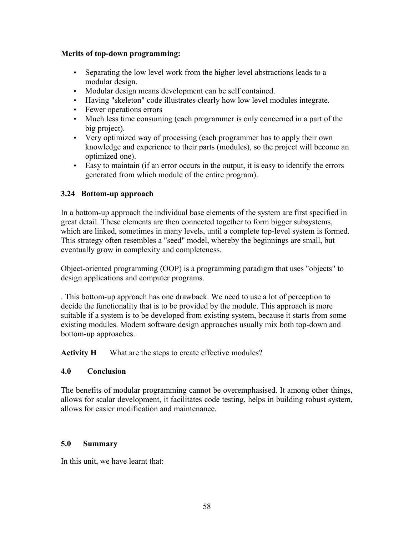### **Merits of top-down programming:**

- Separating the low level work from the higher level abstractions leads to a modular design.
- Modular design means development can be self contained.
- Having "skeleton" code illustrates clearly how low level modules integrate.
- Fewer operations errors
- Much less time consuming (each programmer is only concerned in a part of the big project).
- Very optimized way of processing (each programmer has to apply their own knowledge and experience to their parts (modules), so the project will become an optimized one).
- Easy to maintain (if an error occurs in the output, it is easy to identify the errors generated from which module of the entire program).

## **3.24 Bottom-up approach**

In a bottom-up approach the individual base elements of the system are first specified in great detail. These elements are then connected together to form bigger subsystems, which are linked, sometimes in many levels, until a complete top-level system is formed. This strategy often resembles a "seed" model, whereby the beginnings are small, but eventually grow in complexity and completeness.

Object-oriented programming (OOP) is a programming paradigm that uses "objects" to design applications and computer programs.

. This bottom-up approach has one drawback. We need to use a lot of perception to decide the functionality that is to be provided by the module. This approach is more suitable if a system is to be developed from existing system, because it starts from some existing modules. Modern software design approaches usually mix both top-down and bottom-up approaches.

**Activity H** What are the steps to create effective modules?

### **4.0 Conclusion**

The benefits of modular programming cannot be overemphasised. It among other things, allows for scalar development, it facilitates code testing, helps in building robust system, allows for easier modification and maintenance.

### **5.0 Summary**

In this unit, we have learnt that: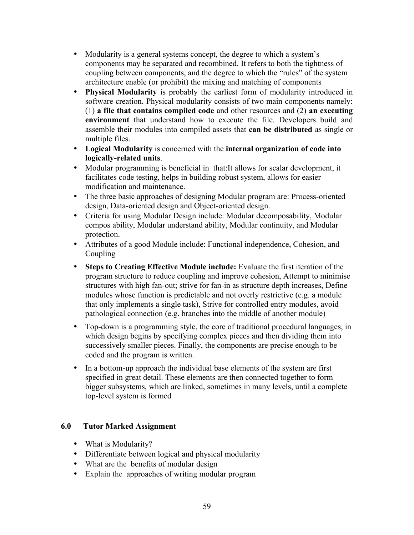- Modularity is a general systems concept, the degree to which a system's components may be separated and recombined. It refers to both the tightness of coupling between components, and the degree to which the "rules" of the system architecture enable (or prohibit) the mixing and matching of components
- **Physical Modularity** is probably the earliest form of modularity introduced in software creation. Physical modularity consists of two main components namely: (1) **a file that contains compiled code** and other resources and (2) **an executing environment** that understand how to execute the file. Developers build and assemble their modules into compiled assets that **can be distributed** as single or multiple files.
- **Logical Modularity** is concerned with the **internal organization of code into logically-related units**.
- Modular programming is beneficial in that:It allows for scalar development, it facilitates code testing, helps in building robust system, allows for easier modification and maintenance.
- The three basic approaches of designing Modular program are: Process-oriented design, Data-oriented design and Object-oriented design.
- Criteria for using Modular Design include: Modular decomposability, Modular compos ability, Modular understand ability, Modular continuity, and Modular protection.
- Attributes of a good Module include: Functional independence, Cohesion, and Coupling
- **Steps to Creating Effective Module include:** Evaluate the first iteration of the program structure to reduce coupling and improve cohesion, Attempt to minimise structures with high fan-out; strive for fan-in as structure depth increases, Define modules whose function is predictable and not overly restrictive (e.g. a module that only implements a single task), Strive for controlled entry modules, avoid pathological connection (e.g. branches into the middle of another module)
- Top-down is a programming style, the core of traditional procedural languages, in which design begins by specifying complex pieces and then dividing them into successively smaller pieces. Finally, the components are precise enough to be coded and the program is written.
- In a bottom-up approach the individual base elements of the system are first specified in great detail. These elements are then connected together to form bigger subsystems, which are linked, sometimes in many levels, until a complete top-level system is formed

# **6.0 Tutor Marked Assignment**

- What is Modularity?
- Differentiate between logical and physical modularity
- What are the benefits of modular design
- Explain the approaches of writing modular program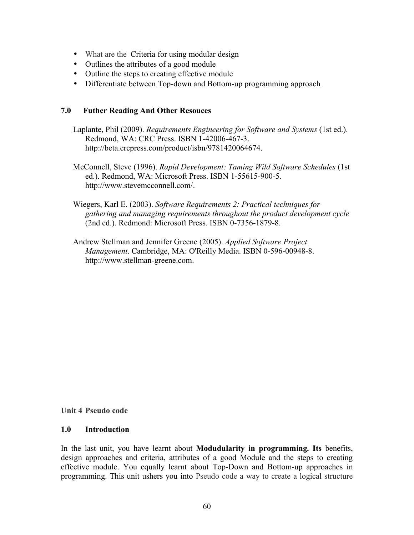- What are the Criteria for using modular design
- Outlines the attributes of a good module
- Outline the steps to creating effective module
- Differentiate between Top-down and Bottom-up programming approach

#### **7.0 Futher Reading And Other Resouces**

Laplante, Phil (2009). *Requirements Engineering for Software and Systems* (1st ed.). Redmond, WA: CRC Press. [ISBN 1-42006-467-3.](http://en.wikipedia.org/wiki/Special:BookSources/1420064673) http://beta.crcpress.com/product/isbn/9781420064674.

McConnell, Steve (1996). *Rapid Development: Taming Wild Software Schedules* (1st ed.). Redmond, WA: Microsoft Press. [ISBN 1-55615-900-5.](http://en.wikipedia.org/wiki/Special:BookSources/1556159005) http://www.stevemcconnell.com/.

Wiegers, Karl E. (2003). *Software Requirements 2: Practical techniques for gathering and managing requirements throughout the product development cycle* (2nd ed.). Redmond: Microsoft Press. ISBN 0-7356-1879-8.

Andrew Stellman and Jennifer Greene (2005). *Applied Software Project Management*. Cambridge, MA: O'Reilly Media. ISBN 0-596-00948-8. http://www.stellman-greene.com.

#### **Unit 4 Pseudo code**

#### **1.0 Introduction**

In the last unit, you have learnt about **Modudularity in programming. Its** benefits, design approaches and criteria, attributes of a good Module and the steps to creating effective module. You equally learnt about Top-Down and Bottom-up approaches in programming. This unit ushers you into Pseudo code a way to create a logical structure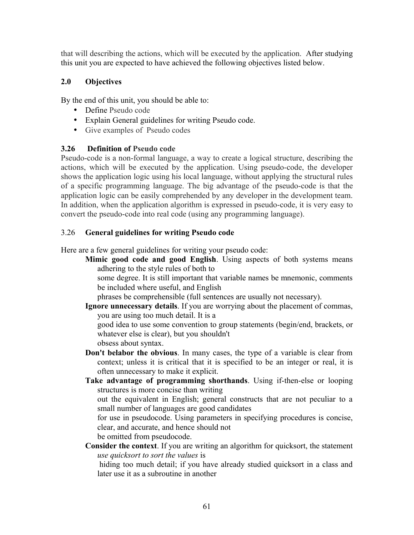that will describing the actions, which will be executed by the application. After studying this unit you are expected to have achieved the following objectives listed below.

# **2.0 Objectives**

By the end of this unit, you should be able to:

- Define Pseudo code
- Explain General guidelines for writing Pseudo code.
- Give examples of Pseudo codes

## **3.26 Definition of Pseudo code**

Pseudo-code is a non-formal language, a way to create a logical structure, describing the actions, which will be executed by the application. Using pseudo-code, the developer shows the application logic using his local language, without applying the structural rules of a specific programming language. The big advantage of the pseudo-code is that the application logic can be easily comprehended by any developer in the development team. In addition, when the application algorithm is expressed in pseudo-code, it is very easy to convert the pseudo-code into real code (using any programming language).

## 3.26 **General guidelines for writing Pseudo code**

Here are a few general guidelines for writing your pseudo code:

- **Mimic good code and good English**. Using aspects of both systems means adhering to the style rules of both to
	- some degree. It is still important that variable names be mnemonic, comments be included where useful, and English

phrases be comprehensible (full sentences are usually not necessary).

**Ignore unnecessary details**. If you are worrying about the placement of commas, you are using too much detail. It is a

good idea to use some convention to group statements (begin/end, brackets, or whatever else is clear), but you shouldn't

obsess about syntax.

- **Don't belabor the obvious**. In many cases, the type of a variable is clear from context; unless it is critical that it is specified to be an integer or real, it is often unnecessary to make it explicit.
- **Take advantage of programming shorthands**. Using if-then-else or looping structures is more concise than writing

out the equivalent in English; general constructs that are not peculiar to a small number of languages are good candidates

for use in pseudocode. Using parameters in specifying procedures is concise, clear, and accurate, and hence should not

be omitted from pseudocode.

**Consider the context**. If you are writing an algorithm for quicksort, the statement *use quicksort to sort the values* is

hiding too much detail; if you have already studied quicksort in a class and later use it as a subroutine in another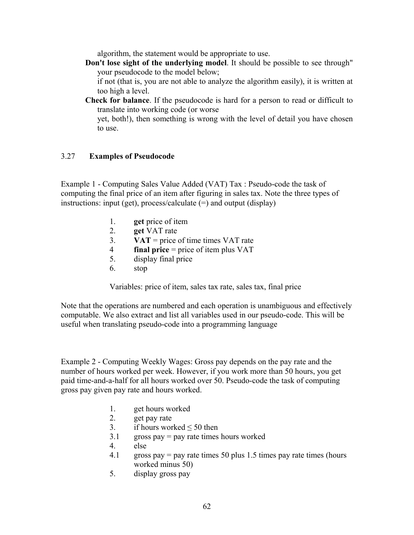algorithm, the statement would be appropriate to use.

**Don't lose sight of the underlying model**. It should be possible to see through" your pseudocode to the model below;

if not (that is, you are not able to analyze the algorithm easily), it is written at too high a level.

**Check for balance**. If the pseudocode is hard for a person to read or difficult to translate into working code (or worse

yet, both!), then something is wrong with the level of detail you have chosen to use.

### 3.27 **Examples of Pseudocode**

Example 1 - Computing Sales Value Added (VAT) Tax : Pseudo-code the task of computing the final price of an item after figuring in sales tax. Note the three types of instructions: input (get), process/calculate  $(=)$  and output (display)

- 1. **get** price of item
- 2. **get** VAT rate
- 3. **VAT** = price of time times VAT rate
- 4 **final price** = price of item plus VAT
- 5. display final price
- 6. stop

Variables: price of item, sales tax rate, sales tax, final price

Note that the operations are numbered and each operation is unambiguous and effectively computable. We also extract and list all variables used in our pseudo-code. This will be useful when translating pseudo-code into a programming language

Example 2 - Computing Weekly Wages: Gross pay depends on the pay rate and the number of hours worked per week. However, if you work more than 50 hours, you get paid time-and-a-half for all hours worked over 50. Pseudo-code the task of computing gross pay given pay rate and hours worked.

- 1. get hours worked
- 2. get pay rate
- 3. if hours worked  $\leq 50$  then
- 3.1 gross pay  $=$  pay rate times hours worked
- 4. else
- 4.1 gross pay = pay rate times 50 plus 1.5 times pay rate times (hours worked minus 50)
- 5. display gross pay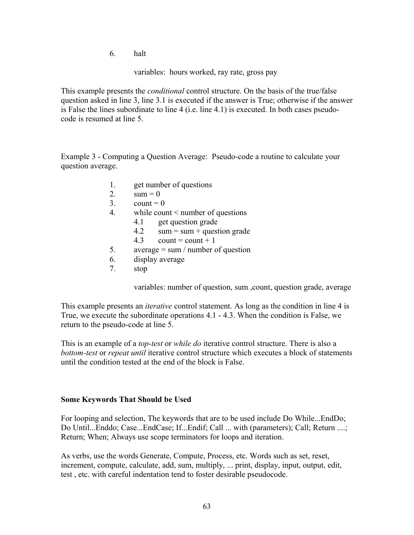6. halt

variables: hours worked, ray rate, gross pay

This example presents the *conditional* control structure. On the basis of the true/false question asked in line 3, line 3.1 is executed if the answer is True; otherwise if the answer is False the lines subordinate to line 4 (i.e. line 4.1) is executed. In both cases pseudocode is resumed at line 5.

Example 3 - Computing a Question Average: Pseudo-code a routine to calculate your question average.

- 1. get number of questions
- 2.  $sum = 0$
- $3$  count = 0
- 4. while count < number of questions
	- 4.1 get question grade
	- $4.2$  sum = sum + question grade
	- $4.3$  count = count + 1
- 5. average  $=$  sum / number of question
- 6. display average
- 7. stop

variables: number of question, sum ,count, question grade, average

This example presents an *iterative* control statement. As long as the condition in line 4 is True, we execute the subordinate operations 4.1 - 4.3. When the condition is False, we return to the pseudo-code at line 5.

This is an example of a *top-test* or *while do* iterative control structure. There is also a *bottom-test* or *repeat until* iterative control structure which executes a block of statements until the condition tested at the end of the block is False.

#### **Some Keywords That Should be Used**

For looping and selection, The keywords that are to be used include Do While...EndDo; Do Until...Enddo; Case...EndCase; If...Endif; Call ... with (parameters); Call; Return ....; Return; When; Always use scope terminators for loops and iteration.

As verbs, use the words Generate, Compute, Process, etc. Words such as set, reset, increment, compute, calculate, add, sum, multiply, ... print, display, input, output, edit, test , etc. with careful indentation tend to foster desirable pseudocode.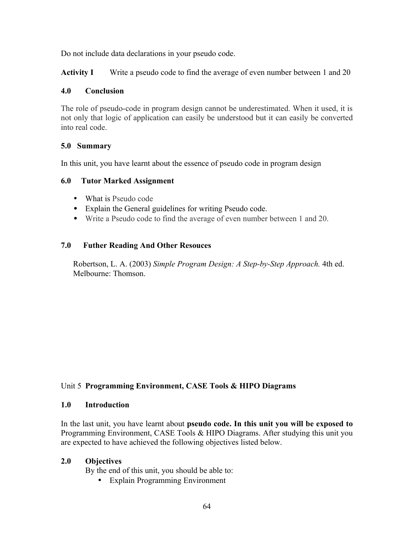Do not include data declarations in your pseudo code.

**Activity I** Write a pseudo code to find the average of even number between 1 and 20

### **4.0 Conclusion**

The role of pseudo-code in program design cannot be underestimated. When it used, it is not only that logic of application can easily be understood but it can easily be converted into real code.

#### **5.0 Summary**

In this unit, you have learnt about the essence of pseudo code in program design

#### **6.0 Tutor Marked Assignment**

- What is Pseudo code
- Explain the General guidelines for writing Pseudo code.
- Write a Pseudo code to find the average of even number between 1 and 20.

### **7.0 Futher Reading And Other Resouces**

Robertson, L. A. (2003) *Simple Program Design: A Step-by-Step Approach.* 4th ed. Melbourne: Thomson.

### Unit 5 **Programming Environment, CASE Tools & HIPO Diagrams**

#### **1.0 Introduction**

In the last unit, you have learnt about **pseudo code. In this unit you will be exposed to** Programming Environment, CASE Tools & HIPO Diagrams. After studying this unit you are expected to have achieved the following objectives listed below.

#### **2.0 Objectives**

By the end of this unit, you should be able to:

• Explain Programming Environment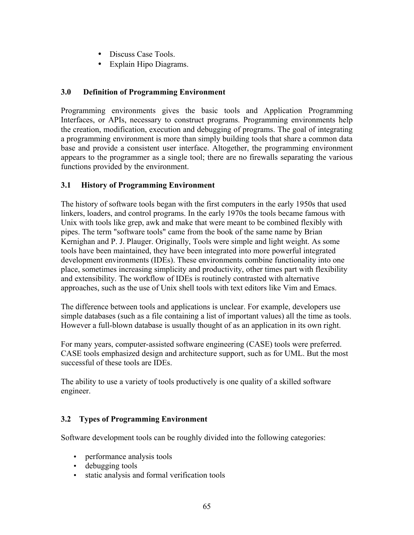- Discuss Case Tools.
- Explain Hipo Diagrams.

## **3.0 Definition of Programming Environment**

Programming environments gives the basic tools and Application Programming Interfaces, or APIs, necessary to construct programs. Programming environments help the creation, modification, execution and debugging of programs. The goal of integrating a programming environment is more than simply building tools that share a common data base and provide a consistent user interface. Altogether, the programming environment appears to the programmer as a single tool; there are no firewalls separating the various functions provided by the environment.

## **3.1 History of Programming Environment**

The history of software tools began with the first computers in the early 1950s that used linkers, loaders, and control programs. In the early 1970s the tools became famous with Unix with tools like grep, awk and make that were meant to be combined flexibly with pipes. The term "software tools" came from the book of the same name by Brian Kernighan and P. J. Plauger. Originally, Tools were simple and light weight. As some tools have been maintained, they have been integrated into more powerful integrated development environments (IDEs). These environments combine functionality into one place, sometimes increasing simplicity and productivity, other times part with flexibility and extensibility. The workflow of IDEs is routinely contrasted with alternative approaches, such as the use of Unix shell tools with text editors like Vim and Emacs.

The difference between tools and applications is unclear. For example, developers use simple databases (such as a file containing a list of important values) all the time as tools. However a full-blown database is usually thought of as an application in its own right.

For many years, computer-assisted software engineering (CASE) tools were preferred. CASE tools emphasized design and architecture support, such as for UML. But the most successful of these tools are IDEs.

The ability to use a variety of tools productively is one quality of a skilled software engineer.

### **3.2 Types of Programming Environment**

Software development tools can be roughly divided into the following categories:

- performance analysis tools
- debugging tools
- static analysis and formal verification tools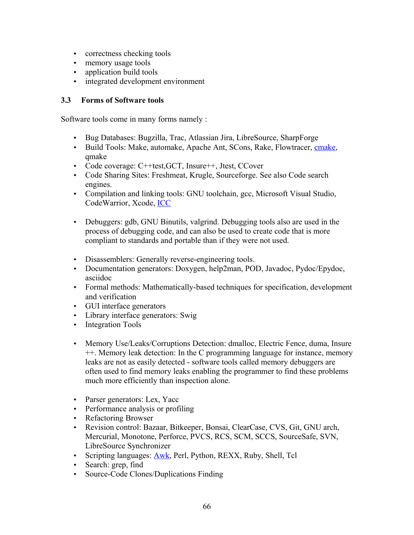- correctness checking tools
- memory usage tools
- application build tools
- integrated development environment

#### **3.3 Forms of Software tools**

Software tools come in many forms namely :

- Bug Databases: Bugzilla, [Trac,](http://en.wikipedia.org/wiki/Trac) Atlassian Jira, LibreSource, SharpForge
- Build Tools: Make, automake, Apache Ant, SCons, [Rake,](http://en.wikipedia.org/wiki/Rake_(software)) Flowtracer, [cmake,](http://en.wikipedia.org/wiki/Cmake) [qmake](http://en.wikipedia.org/wiki/Qmake)
- Code coverage: C++test, GCT, Insure++, Jtest, CCover
- Code Sharing Sites: Freshmeat, Krugle, Sourceforge. See also Code search engines.
- [Compilation](http://en.wikipedia.org/wiki/Compiler) and linking tools: GNU toolchain, [gcc,](http://en.wikipedia.org/wiki/GNU_Compiler_Collection) Microsoft Visual Studio, CodeWarrior, [Xcode,](http://en.wikipedia.org/wiki/Xcode) [ICC](http://en.wikipedia.org/wiki/Intel_C_Compiler)
- Debuggers: gdb, GNU Binutils, valgrind. Debugging tools also are used in the process of debugging code, and can also be used to create code that is more compliant to standards and portable than if they were not used.
- Disassemblers: Generally reverse-engineering tools.
- Documentation generators: Doxygen, help2man, [POD,](http://en.wikipedia.org/wiki/POD) Javadoc, Pydoc/Epydoc, asciidoc
- Formal methods: Mathematically-based techniques for specification, development and verification
- GUI interface generators
- Library interface generators: Swig
- Integration Tools
- Memory Use/Leaks/Corruptions Detection: dmalloc, Electric Fence, duma, Insure ++. Memory leak detection: In the C programming language for instance, memory leaks are not as easily detected - software tools called memory debuggers are often used to find memory leaks enabling the programmer to find these problems much more efficiently than inspection alone.
- Parser generators: Lex, Yacc
- Performance analysis or profiling
- Refactoring Browser
- Revision control: Bazaar, Bitkeeper, Bonsai, ClearCase, CVS, Git, GNU arch, [Mercurial,](http://en.wikipedia.org/wiki/Mercurial_(software)) Monotone, Perforce, PVCS, RCS, [SCM,](http://en.wikipedia.org/wiki/SCM) SCCS, SourceSafe, SVN, LibreSource Synchronizer
- Scripting languages: **Awk**, Perl, [Python,](http://en.wikipedia.org/wiki/Python_(programming_language)) REXX, Ruby, Shell, [Tcl](http://en.wikipedia.org/wiki/Tcl)
- Search: [grep,](http://en.wikipedia.org/wiki/Grep) [find](http://en.wikipedia.org/wiki/Find)
- Source-Code Clones/Duplications Finding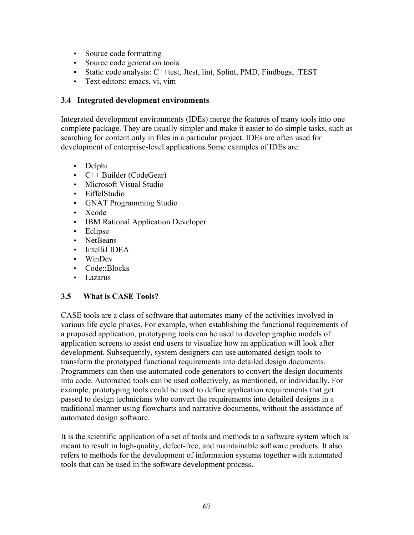- Source code formatting
- Source code generation tools
- Static code analysis: C++test, [Jtest,](http://en.wikipedia.org/wiki/Jtest) lint, Splint, PMD, Findbugs, .TEST
- Text editors: [emacs,](http://en.wikipedia.org/wiki/Emacs) [vi,](http://en.wikipedia.org/wiki/Vi) [vim](http://en.wikipedia.org/wiki/Vim)

## **3.4 Integrated development environments**

Integrated development environments (IDEs) merge the features of many tools into one complete package. They are usually simpler and make it easier to do simple tasks, such as searching for content only in files in a particular project. IDEs are often used for development of enterprise-level applications.Some examples of IDEs are:

- Delphi
- C++ Builder (CodeGear)
- Microsoft Visual Studio
- EiffelStudio
- GNAT Programming Studio
- Xcode
- IBM Rational Application Developer
- Eclipse
- NetBeans
- IntelliJ IDEA
- WinDev
- Code::Blocks
- Lazarus

### **3.5 What is CASE Tools?**

CASE tools are a class of software that automates many of the activities involved in various life cycle phases. For example, when establishing the functional requirements of a proposed application, prototyping tools can be used to develop graphic models of application screens to assist end users to visualize how an application will look after development. Subsequently, system designers can use automated design tools to transform the prototyped functional requirements into detailed design documents. Programmers can then use automated code generators to convert the design documents into code. Automated tools can be used collectively, as mentioned, or individually. For example, prototyping tools could be used to define application requirements that get passed to design technicians who convert the requirements into detailed designs in a traditional manner using flowcharts and narrative documents, without the assistance of automated design software.

It is the scientific application of a set of tools and methods to a software system which is meant to result in high-quality, defect-free, and maintainable software products. It also refers to methods for the development of information systems together with automated tools that can be used in the software development process.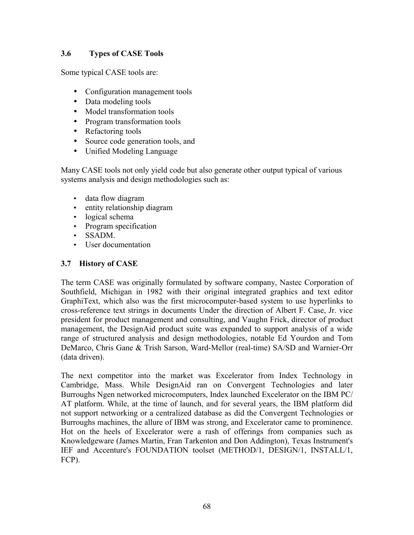# **3.6 Types of CASE Tools**

Some typical CASE tools are:

- Configuration management tools
- Data modeling tools
- Model transformation tools
- Program transformation tools
- Refactoring tools
- Source code generation tools, and
- Unified Modeling Language

Many CASE tools not only yield code but also generate other output typical of various systems analysis and design methodologies such as:

- data flow diagram
- entity relationship diagram
- logical schema
- Program specification
- SSADM.
- User documentation

## **3.7 History of CASE**

The term CASE was originally formulated by software company, Nastec Corporation of Southfield, Michigan in 1982 with their original integrated graphics and text editor GraphiText, which also was the first microcomputer-based system to use hyperlinks to cross-reference text strings in documents Under the direction of Albert F. Case, Jr. vice president for product management and consulting, and Vaughn Frick, director of product management, the DesignAid product suite was expanded to support analysis of a wide range of structured analysis and design methodologies, notable Ed Yourdon and Tom DeMarco, Chris Gane & Trish Sarson, Ward-Mellor (real-time) SA/SD and Warnier-Orr (data driven).

The next competitor into the market was Excelerator from Index Technology in Cambridge, Mass. While DesignAid ran on Convergent Technologies and later Burroughs Ngen networked microcomputers, Index launched Excelerator on the IBM PC/ AT platform. While, at the time of launch, and for several years, the IBM platform did not support networking or a centralized database as did the Convergent Technologies or Burroughs machines, the allure of IBM was strong, and Excelerator came to prominence. Hot on the heels of Excelerator were a rash of offerings from companies such as Knowledgeware (James Martin, Fran Tarkenton and Don Addington), Texas Instrument's IEF and Accenture's FOUNDATION toolset (METHOD/1, DESIGN/1, INSTALL/1, FCP).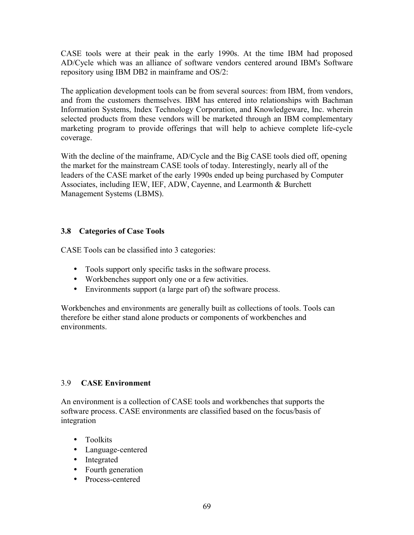CASE tools were at their peak in the early 1990s. At the time IBM had proposed AD/Cycle which was an alliance of software vendors centered around IBM's Software repository using IBM DB2 in mainframe and OS/2:

The application development tools can be from several sources: from IBM, from vendors, and from the customers themselves. IBM has entered into relationships with Bachman Information Systems, Index Technology Corporation, and Knowledgeware, Inc. wherein selected products from these vendors will be marketed through an IBM complementary marketing program to provide offerings that will help to achieve complete life-cycle coverage.

With the decline of the mainframe, AD/Cycle and the Big CASE tools died off, opening the market for the mainstream CASE tools of today. Interestingly, nearly all of the leaders of the CASE market of the early 1990s ended up being purchased by Computer Associates, including IEW, IEF, ADW, Cayenne, and Learmonth & Burchett Management Systems (LBMS).

# **3.8 Categories of Case Tools**

CASE Tools can be classified into 3 categories:

- Tools support only specific tasks in the software process.
- Workbenches support only one or a few activities.
- Environments support (a large part of) the software process.

Workbenches and environments are generally built as collections of tools. Tools can therefore be either stand alone products or components of workbenches and environments.

# 3.9 **CASE Environment**

An environment is a collection of CASE tools and workbenches that supports the software process. CASE environments are classified based on the focus/basis of integration

- Toolkits
- Language-centered
- Integrated
- Fourth generation
- Process-centered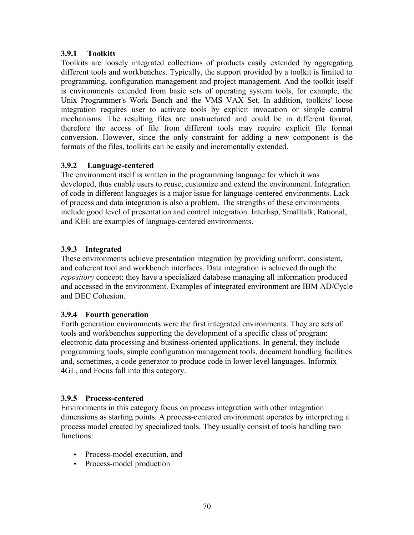## **3.9.1 Toolkits**

Toolkits are loosely integrated collections of products easily extended by aggregating different tools and workbenches. Typically, the support provided by a toolkit is limited to programming, configuration management and project management. And the toolkit itself is environments extended from basic sets of operating system tools, for example, the Unix Programmer's Work Bench and the VMS VAX Set. In addition, toolkits' loose integration requires user to activate tools by explicit invocation or simple control mechanisms. The resulting files are unstructured and could be in different format, therefore the access of file from different tools may require explicit file format conversion. However, since the only constraint for adding a new component is the formats of the files, toolkits can be easily and incrementally extended.

# **3.9.2 Language-centered**

The environment itself is written in the programming language for which it was developed, thus enable users to reuse, customize and extend the environment. Integration of code in different languages is a major issue for language-centered environments. Lack of process and data integration is also a problem. The strengths of these environments include good level of presentation and control integration. Interlisp, Smalltalk, Rational, and KEE are examples of language-centered environments.

# **3.9.3 Integrated**

These environments achieve presentation integration by providing uniform, consistent, and coherent tool and workbench interfaces. Data integration is achieved through the *repository* concept: they have a specialized database managing all information produced and accessed in the environment. Examples of integrated environment are IBM AD/Cycle and DEC Cohesion.

### **3.9.4 Fourth generation**

Forth generation environments were the first integrated environments. They are sets of tools and workbenches supporting the development of a specific class of program: electronic data processing and business-oriented applications. In general, they include programming tools, simple configuration management tools, document handling facilities and, sometimes, a code generator to produce code in lower level languages. Informix 4GL, and Focus fall into this category.

### **3.9.5 Process-centered**

Environments in this category focus on process integration with other integration dimensions as starting points. A process-centered environment operates by interpreting a process model created by specialized tools. They usually consist of tools handling two functions:

- Process-model execution, and
- Process-model production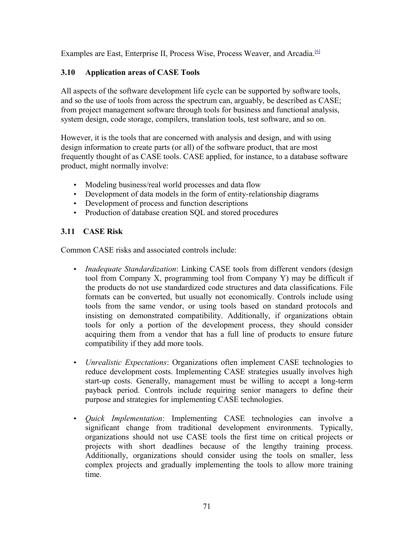Examples are East, Enterprise II, Process Wise, Process Weaver, and Arcadia.<sup>[\[6\]](http://en.wikipedia.org/wiki/CASE_Tool#cite_note-AF_93-5%23cite_note-AF_93-5)</sup>

## **3.10 Application areas of CASE Tools**

All aspects of the software development life cycle can be supported by software tools, and so the use of tools from across the spectrum can, arguably, be described as CASE; from project management software through tools for business and functional analysis, system design, code storage, compilers, translation tools, test software, and so on.

However, it is the tools that are concerned with analysis and design, and with using design information to create parts (or all) of the software product, that are most frequently thought of as CASE tools. CASE applied, for instance, to a database software product, might normally involve:

- Modeling business/real world processes and data flow
- Development of data models in the form of entity-relationship diagrams
- Development of process and function descriptions
- Production of database creation SQL and stored procedures

## **3.11 CASE Risk**

Common CASE risks and associated controls include:

- *Inadequate Standardization*: Linking CASE tools from different vendors (design tool from Company X, programming tool from Company Y) may be difficult if the products do not use standardized code structures and data classifications. File formats can be converted, but usually not economically. Controls include using tools from the same vendor, or using tools based on standard protocols and insisting on demonstrated compatibility. Additionally, if organizations obtain tools for only a portion of the development process, they should consider acquiring them from a vendor that has a full line of products to ensure future compatibility if they add more tools.
- *Unrealistic Expectations*: Organizations often implement CASE technologies to reduce development costs. Implementing CASE strategies usually involves high start-up costs. Generally, management must be willing to accept a long-term payback period. Controls include requiring senior managers to define their purpose and strategies for implementing CASE technologies.
- *Quick Implementation*: Implementing CASE technologies can involve a significant change from traditional development environments. Typically, organizations should not use CASE tools the first time on critical projects or projects with short deadlines because of the lengthy training process. Additionally, organizations should consider using the tools on smaller, less complex projects and gradually implementing the tools to allow more training time.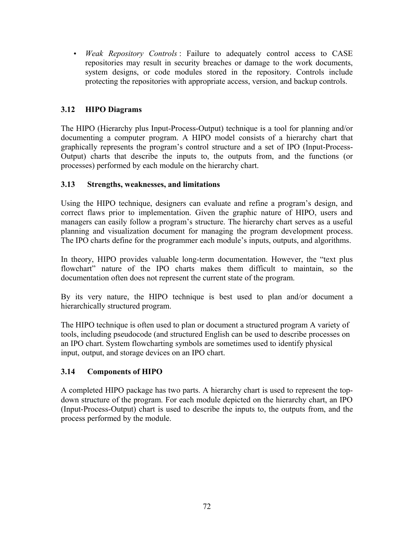• *Weak Repository Controls* : Failure to adequately control access to CASE repositories may result in security breaches or damage to the work documents, system designs, or code modules stored in the repository. Controls include protecting the repositories with appropriate access, version, and backup controls.

# **3.12 HIPO Diagrams**

The HIPO (Hierarchy plus Input-Process-Output) technique is a tool for planning and/or documenting a computer program. A HIPO model consists of a hierarchy chart that graphically represents the program's control structure and a set of IPO (Input-Process-Output) charts that describe the inputs to, the outputs from, and the functions (or processes) performed by each module on the hierarchy chart.

## **3.13 Strengths, weaknesses, and limitations**

Using the HIPO technique, designers can evaluate and refine a program's design, and correct flaws prior to implementation. Given the graphic nature of HIPO, users and managers can easily follow a program's structure. The hierarchy chart serves as a useful planning and visualization document for managing the program development process. The IPO charts define for the programmer each module's inputs, outputs, and algorithms.

In theory, HIPO provides valuable long-term documentation. However, the "text plus flowchart" nature of the IPO charts makes them difficult to maintain, so the documentation often does not represent the current state of the program.

By its very nature, the HIPO technique is best used to plan and/or document a hierarchically structured program.

The HIPO technique is often used to plan or document a structured program A variety of tools, including pseudocode (and structured English can be used to describe processes on an IPO chart. System flowcharting symbols are sometimes used to identify physical input, output, and storage devices on an IPO chart.

# **3.14 Components of HIPO**

A completed HIPO package has two parts. A hierarchy chart is used to represent the topdown structure of the program. For each module depicted on the hierarchy chart, an IPO (Input-Process-Output) chart is used to describe the inputs to, the outputs from, and the process performed by the module.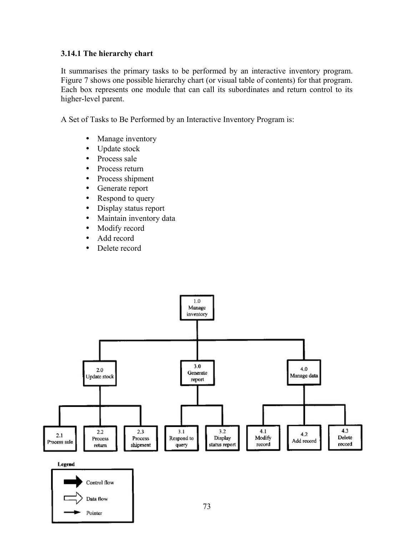#### **3.14.1 The hierarchy chart**

It summarises the primary tasks to be performed by an interactive inventory program. Figure 7 shows one possible hierarchy chart (or visual table of contents) for that program. Each box represents one module that can call its subordinates and return control to its higher-level parent.

A Set of Tasks to Be Performed by an Interactive Inventory Program is:

- Manage inventory
- Update stock
- Process sale
- Process return
- Process shipment
- Generate report
- Respond to query
- Display status report
- Maintain inventory data
- Modify record
- Add record
- Delete record

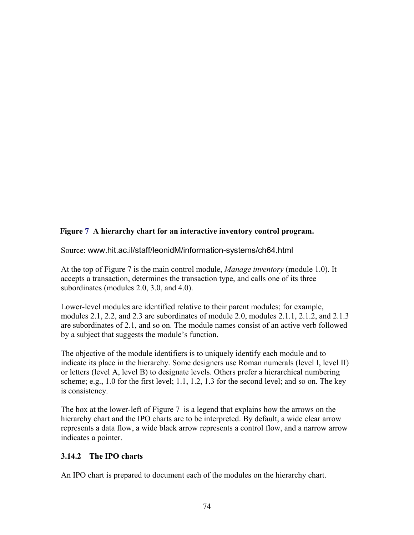### **Figure 7 A hierarchy chart for an interactive inventory control program.**

#### Source: www.hit.ac.il/staff/leonidM/information-systems/ch64.html

At the top of Figure 7 is the main control module, *Manage inventory* (module 1.0). It accepts a transaction, determines the transaction type, and calls one of its three subordinates (modules 2.0, 3.0, and 4.0).

Lower-level modules are identified relative to their parent modules; for example, modules 2.1, 2.2, and 2.3 are subordinates of module 2.0, modules 2.1.1, 2.1.2, and 2.1.3 are subordinates of 2.1, and so on. The module names consist of an active verb followed by a subject that suggests the module's function.

The objective of the module identifiers is to uniquely identify each module and to indicate its place in the hierarchy. Some designers use Roman numerals (level I, level II) or letters (level A, level B) to designate levels. Others prefer a hierarchical numbering scheme; e.g., 1.0 for the first level; 1.1, 1.2, 1.3 for the second level; and so on. The key is consistency.

The box at the lower-left of Figure 7 is a legend that explains how the arrows on the hierarchy chart and the IPO charts are to be interpreted. By default, a wide clear arrow represents a data flow, a wide black arrow represents a control flow, and a narrow arrow indicates a pointer.

#### **3.14.2 The IPO charts**

An IPO chart is prepared to document each of the modules on the hierarchy chart.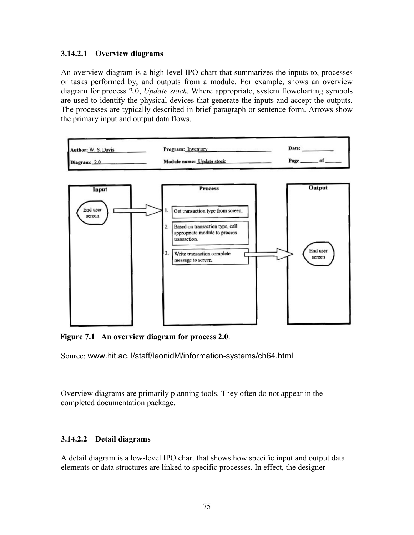### **3.14.2.1 Overview diagrams**

An overview diagram is a high-level IPO chart that summarizes the inputs to, processes or tasks performed by, and outputs from a module. For example, shows an overview diagram for process 2.0, *Update stock*. Where appropriate, system flowcharting symbols are used to identify the physical devices that generate the inputs and accept the outputs. The processes are typically described in brief paragraph or sentence form. Arrows show the primary input and output data flows.



**Figure 7.1 An overview diagram for process 2.0**.

Source: www.hit.ac.il/staff/leonidM/information-systems/ch64.html

Overview diagrams are primarily planning tools. They often do not appear in the completed documentation package.

### **3.14.2.2 Detail diagrams**

A detail diagram is a low-level IPO chart that shows how specific input and output data elements or data structures are linked to specific processes. In effect, the designer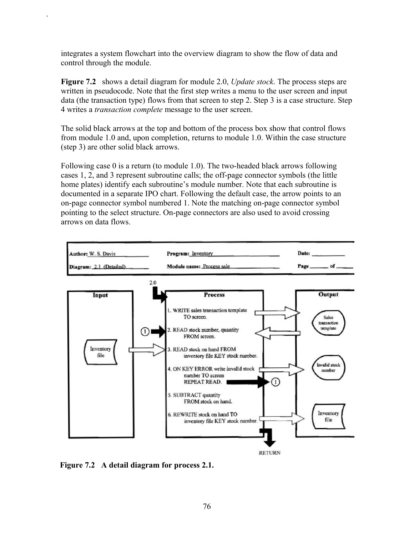integrates a system flowchart into the overview diagram to show the flow of data and control through the module.

.

**Figure 7.2** shows a detail diagram for module 2.0, *Update stock*. The process steps are written in pseudocode. Note that the first step writes a menu to the user screen and input data (the transaction type) flows from that screen to step 2. Step 3 is a case structure. Step 4 writes a *transaction complete* message to the user screen.

The solid black arrows at the top and bottom of the process box show that control flows from module 1.0 and, upon completion, returns to module 1.0. Within the case structure (step 3) are other solid black arrows.

Following case 0 is a return (to module 1.0). The two-headed black arrows following cases 1, 2, and 3 represent subroutine calls; the off-page connector symbols (the little home plates) identify each subroutine's module number. Note that each subroutine is documented in a separate IPO chart. Following the default case, the arrow points to an on-page connector symbol numbered 1. Note the matching on-page connector symbol pointing to the select structure. On-page connectors are also used to avoid crossing arrows on data flows.



**Figure 7.2 A detail diagram for process 2.1.**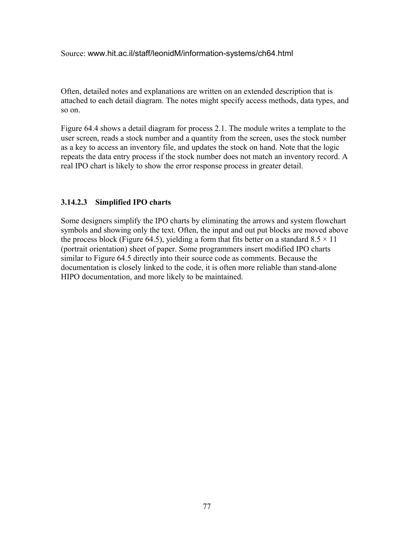Source: www.hit.ac.il/staff/leonidM/information-systems/ch64.html

Often, detailed notes and explanations are written on an extended description that is attached to each detail diagram. The notes might specify access methods, data types, and so on.

Figure 64.4 shows a detail diagram for process 2.1. The module writes a template to the user screen, reads a stock number and a quantity from the screen, uses the stock number as a key to access an inventory file, and updates the stock on hand. Note that the logic repeats the data entry process if the stock number does not match an inventory record. A real IPO chart is likely to show the error response process in greater detail.

# **3.14.2.3 Simplified IPO charts**

Some designers simplify the IPO charts by eliminating the arrows and system flowchart symbols and showing only the text. Often, the input and out put blocks are moved above the process block (Figure 64.5), yielding a form that fits better on a standard  $8.5 \times 11$ (portrait orientation) sheet of paper. Some programmers insert modified IPO charts similar to Figure 64.5 directly into their source code as comments. Because the documentation is closely linked to the code, it is often more reliable than stand-alone HIPO documentation, and more likely to be maintained.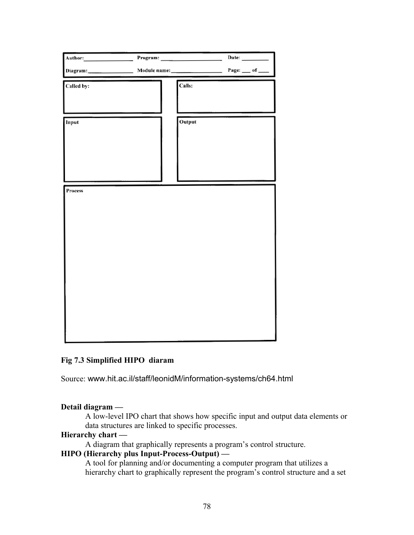| Author: Authorized by the contract of the state of the state of the state of the state of the state of the state of the state of the state of the state of the state of the state of the state of the state of the state of th |        | 1<br>Date: $\qquad \qquad$ |
|--------------------------------------------------------------------------------------------------------------------------------------------------------------------------------------------------------------------------------|--------|----------------------------|
| Diagram:                                                                                                                                                                                                                       |        | Page: $\_\_$ of $\_\_$     |
| Called by:                                                                                                                                                                                                                     | Calls: |                            |
| Input                                                                                                                                                                                                                          | Output |                            |
| Process                                                                                                                                                                                                                        |        |                            |

# **Fig 7.3 Simplified HIPO diaram**

Source: www.hit.ac.il/staff/leonidM/information-systems/ch64.html

#### **Detail diagram —**

A low-level IPO chart that shows how specific input and output data elements or data structures are linked to specific processes.

#### **Hierarchy chart —**

A diagram that graphically represents a program's control structure.

# **HIPO (Hierarchy plus Input-Process-Output) —**

A tool for planning and/or documenting a computer program that utilizes a hierarchy chart to graphically represent the program's control structure and a set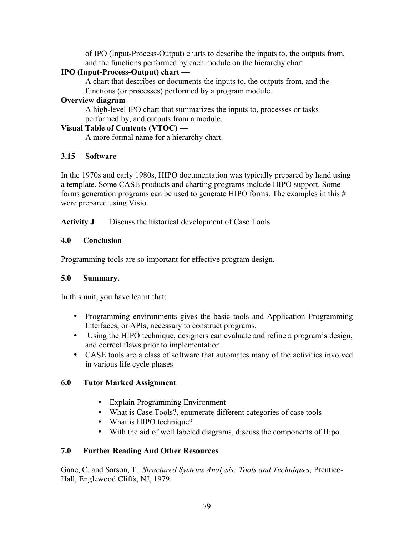of IPO (Input-Process-Output) charts to describe the inputs to, the outputs from, and the functions performed by each module on the hierarchy chart.

# **IPO (Input-Process-Output) chart —**

A chart that describes or documents the inputs to, the outputs from, and the functions (or processes) performed by a program module.

#### **Overview diagram —**

A high-level IPO chart that summarizes the inputs to, processes or tasks performed by, and outputs from a module.

### **Visual Table of Contents (VTOC) —**

A more formal name for a hierarchy chart.

# **3.15 Software**

In the 1970s and early 1980s, HIPO documentation was typically prepared by hand using a template. Some CASE products and charting programs include HIPO support. Some forms generation programs can be used to generate HIPO forms. The examples in this  $#$ were prepared using Visio.

**Activity J** Discuss the historical development of Case Tools

# **4.0 Conclusion**

Programming tools are so important for effective program design.

### **5.0 Summary.**

In this unit, you have learnt that:

- Programming environments gives the basic tools and Application Programming Interfaces, or APIs, necessary to construct programs.
- Using the HIPO technique, designers can evaluate and refine a program's design, and correct flaws prior to implementation.
- CASE tools are a class of software that automates many of the activities involved in various life cycle phases

# **6.0 Tutor Marked Assignment**

- Explain Programming Environment
- What is Case Tools?, enumerate different categories of case tools
- What is HIPO technique?
- With the aid of well labeled diagrams, discuss the components of Hipo.

# **7.0 Further Reading And Other Resources**

Gane, C. and Sarson, T., *Structured Systems Analysis: Tools and Techniques,* Prentice-Hall, Englewood Cliffs, NJ, 1979.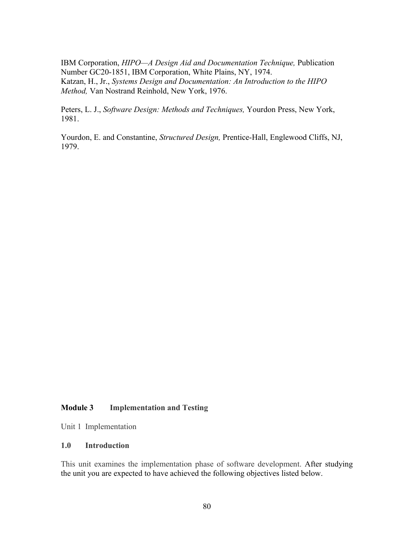IBM Corporation, *HIPO—A Design Aid and Documentation Technique,* Publication Number GC20-1851, IBM Corporation, White Plains, NY, 1974. Katzan, H., Jr., *Systems Design and Documentation: An Introduction to the HIPO Method,* Van Nostrand Reinhold, New York, 1976.

Peters, L. J., *Software Design: Methods and Techniques,* Yourdon Press, New York, 1981.

Yourdon, E. and Constantine, *Structured Design,* Prentice-Hall, Englewood Cliffs, NJ, 1979.

#### **Module 3 Implementation and Testing**

Unit 1 Implementation

#### **1.0 Introduction**

This unit examines the implementation phase of software development. After studying the unit you are expected to have achieved the following objectives listed below.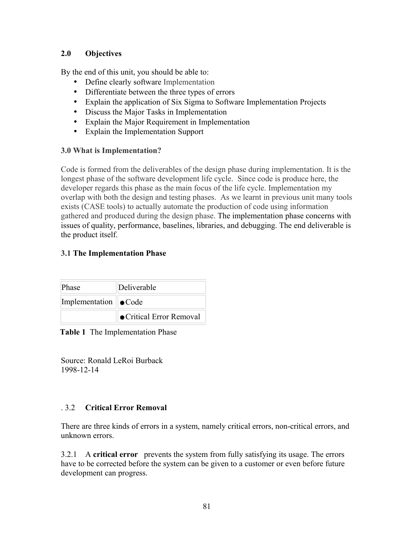# **2.0 Objectives**

By the end of this unit, you should be able to:

- Define clearly software Implementation
- Differentiate between the three types of errors
- Explain the application of Six Sigma to Software Implementation Projects
- Discuss the Major Tasks in Implementation
- Explain the Major Requirement in Implementation
- Explain the Implementation Support

# **3.0 What is Implementation?**

Code is formed from the deliverables of the design phase during implementation. It is the longest phase of the software development life cycle. Since code is produce here, the developer regards this phase as the main focus of the life cycle. Implementation my overlap with both the design and testing phases. As we learnt in previous unit many tools exists (CASE tools) to actually automate the production of code using information gathered and produced during the design phase. The implementation phase concerns with issues of quality, performance, baselines, libraries, and debugging. The end deliverable is the product itself.

# **3.1 The Implementation Phase**



**Table 1** The Implementation Phase

Source: Ronald LeRoi Burback 1998-12-14

# . 3.2 **Critical Error Removal**

There are three kinds of errors in a system, namely critical errors, non-critical errors, and unknown errors.

3.2.1 A **critical error** prevents the system from fully satisfying its usage. The errors have to be corrected before the system can be given to a customer or even before future development can progress.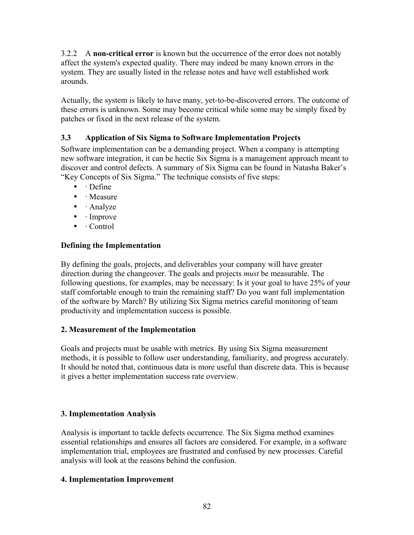3.2.2 A **non-critical error** is known but the occurrence of the error does not notably affect the system's expected quality. There may indeed be many known errors in the system. They are usually listed in the release notes and have well established work arounds.

Actually, the system is likely to have many, yet-to-be-discovered errors. The outcome of these errors is unknown. Some may become critical while some may be simply fixed by patches or fixed in the next release of the system.

# **3.3 Application of Six Sigma to Software Implementation Projects**

Software implementation can be a demanding project. When a company is attempting new software integration, it can be hectic Six Sigma is a management approach meant to discover and control defects. A summary of Six Sigma can be found in Natasha Baker's "Key Concepts of Six Sigma." The technique consists of five steps:

- $\bullet$  · Define
- · Measure
- $\bullet$  · Analyze
- $\bullet$  · Improve
- $\bullet$   $\cdot$  Control

### **Defining the Implementation**

By defining the goals, projects, and deliverables your company will have greater direction during the changeover. The goals and projects *must* be measurable. The following questions, for examples, may be necessary: Is it your goal to have 25% of your staff comfortable enough to train the remaining staff? Do you want full implementation of the software by March? By utilizing Six Sigma metrics careful monitoring of team productivity and implementation success is possible.

### **2. Measurement of the Implementation**

Goals and projects must be usable with metrics. By using Six Sigma measurement methods, it is possible to follow user understanding, familiarity, and progress accurately. It should be noted that, continuous data is more useful than discrete data. This is because it gives a better implementation success rate overview.

### **3. Implementation Analysis**

Analysis is important to tackle defects occurrence. The Six Sigma method examines essential relationships and ensures all factors are considered. For example, in a software implementation trial, employees are frustrated and confused by new processes. Careful analysis will look at the reasons behind the confusion.

### **4. Implementation Improvement**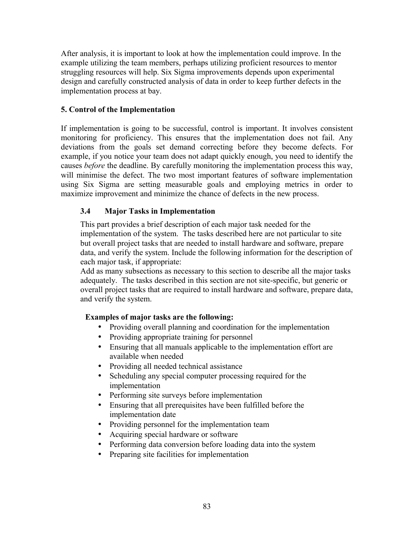After analysis, it is important to look at how the implementation could improve. In the example utilizing the team members, perhaps utilizing proficient resources to mentor struggling resources will help. Six Sigma improvements depends upon experimental design and carefully constructed analysis of data in order to keep further defects in the implementation process at bay.

# **5. Control of the Implementation**

If implementation is going to be successful, control is important. It involves consistent monitoring for proficiency. This ensures that the implementation does not fail. Any deviations from the goals set demand correcting before they become defects. For example, if you notice your team does not adapt quickly enough, you need to identify the causes *before* the deadline. By carefully monitoring the implementation process this way, will minimise the defect. The two most important features of software implementation using Six Sigma are setting measurable goals and employing metrics in order to maximize improvement and minimize the chance of defects in the new process.

### **3.4 Major Tasks in Implementation**

This part provides a brief description of each major task needed for the implementation of the system. The tasks described here are not particular to site but overall project tasks that are needed to install hardware and software, prepare data, and verify the system. Include the following information for the description of each major task, if appropriate:

Add as many subsections as necessary to this section to describe all the major tasks adequately. The tasks described in this section are not site-specific, but generic or overall project tasks that are required to install hardware and software, prepare data, and verify the system.

# **Examples of major tasks are the following:**

- Providing overall planning and coordination for the implementation
- Providing appropriate training for personnel
- Ensuring that all manuals applicable to the implementation effort are available when needed
- Providing all needed technical assistance
- Scheduling any special computer processing required for the implementation
- Performing site surveys before implementation
- Ensuring that all prerequisites have been fulfilled before the implementation date
- Providing personnel for the implementation team
- Acquiring special hardware or software
- Performing data conversion before loading data into the system
- Preparing site facilities for implementation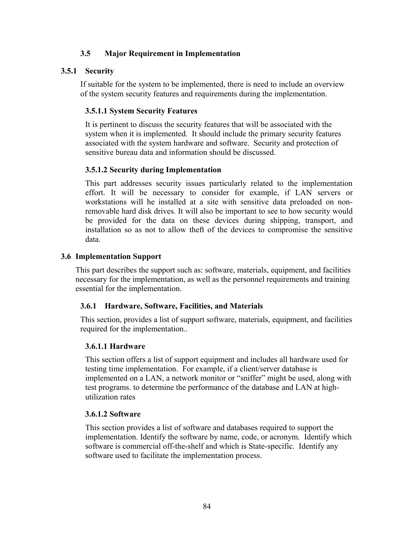### **3.5 Major Requirement in Implementation**

#### **3.5.1 Security**

If suitable for the system to be implemented, there is need to include an overview of the system security features and requirements during the implementation.

### **3.5.1.1 System Security Features**

It is pertinent to discuss the security features that will be associated with the system when it is implemented. It should include the primary security features associated with the system hardware and software. Security and protection of sensitive bureau data and information should be discussed.

#### **3.5.1.2 Security during Implementation**

This part addresses security issues particularly related to the implementation effort. It will be necessary to consider for example, if LAN servers or workstations will he installed at a site with sensitive data preloaded on nonremovable hard disk drives. It will also be important to see to how security would be provided for the data on these devices during shipping, transport, and installation so as not to allow theft of the devices to compromise the sensitive data.

#### **3.6 Implementation Support**

This part describes the support such as: software, materials, equipment, and facilities necessary for the implementation, as well as the personnel requirements and training essential for the implementation.

### **3.6.1 Hardware, Software, Facilities, and Materials**

This section, provides a list of support software, materials, equipment, and facilities required for the implementation..

#### **3.6.1.1 Hardware**

This section offers a list of support equipment and includes all hardware used for testing time implementation. For example, if a client/server database is implemented on a LAN, a network monitor or "sniffer" might be used, along with test programs. to determine the performance of the database and LAN at highutilization rates

#### **3.6.1.2 Software**

This section provides a list of software and databases required to support the implementation. Identify the software by name, code, or acronym. Identify which software is commercial off-the-shelf and which is State-specific. Identify any software used to facilitate the implementation process.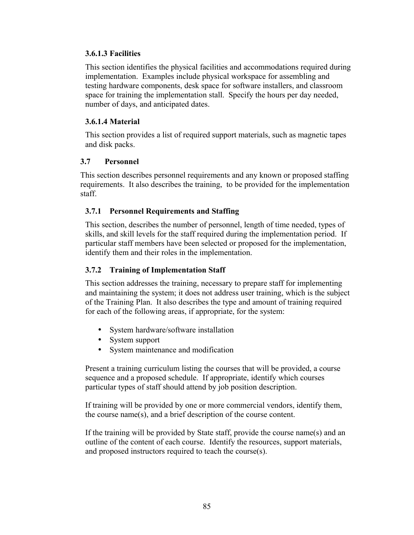### **3.6.1.3 Facilities**

This section identifies the physical facilities and accommodations required during implementation. Examples include physical workspace for assembling and testing hardware components, desk space for software installers, and classroom space for training the implementation stall. Specify the hours per day needed, number of days, and anticipated dates.

#### **3.6.1.4 Material**

This section provides a list of required support materials, such as magnetic tapes and disk packs.

### **3.7 Personnel**

This section describes personnel requirements and any known or proposed staffing requirements. It also describes the training, to be provided for the implementation staff.

#### **3.7.1 Personnel Requirements and Staffing**

This section, describes the number of personnel, length of time needed, types of skills, and skill levels for the staff required during the implementation period. If particular staff members have been selected or proposed for the implementation, identify them and their roles in the implementation.

### **3.7.2 Training of Implementation Staff**

This section addresses the training, necessary to prepare staff for implementing and maintaining the system; it does not address user training, which is the subject of the Training Plan. It also describes the type and amount of training required for each of the following areas, if appropriate, for the system:

- System hardware/software installation
- System support
- System maintenance and modification

Present a training curriculum listing the courses that will be provided, a course sequence and a proposed schedule. If appropriate, identify which courses particular types of staff should attend by job position description.

If training will be provided by one or more commercial vendors, identify them, the course name(s), and a brief description of the course content.

If the training will be provided by State staff, provide the course name(s) and an outline of the content of each course. Identify the resources, support materials, and proposed instructors required to teach the course(s).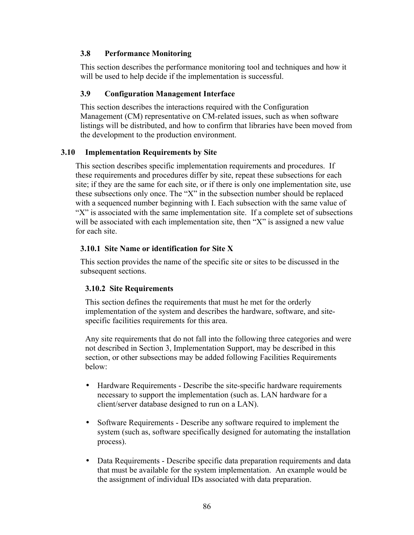### **3.8 Performance Monitoring**

This section describes the performance monitoring tool and techniques and how it will be used to help decide if the implementation is successful.

### **3.9 Configuration Management Interface**

This section describes the interactions required with the Configuration Management (CM) representative on CM*-*related issues, such as when software listings will be distributed, and how to confirm that libraries have been moved from the development to the production environment.

# **3.10 Implementation Requirements by Site**

This section describes specific implementation requirements and procedures. If these requirements and procedures differ by site, repeat these subsections for each site; if they are the same for each site, or if there is only one implementation site, use these subsections only once. The "X" in the subsection number should be replaced with a sequenced number beginning with I. Each subsection with the same value of "X" is associated with the same implementation site. If a complete set of subsections will be associated with each implementation site, then "X" is assigned a new value for each site.

# **3.10.1 Site Name or identification for Site X**

This section provides the name of the specific site or sites to be discussed in the subsequent sections.

### **3.10.2 Site Requirements**

This section defines the requirements that must he met for the orderly implementation of the system and describes the hardware, software, and sitespecific facilities requirements for this area.

Any site requirements that do not fall into the following three categories and were not described in Section 3, Implementation Support, may be described in this section, or other subsections may be added following Facilities Requirements below:

- Hardware Requirements Describe the site-specific hardware requirements necessary to support the implementation (such as. LAN hardware for a client/server database designed to run on a LAN).
- Software Requirements Describe any software required to implement the system (such as, software specifically designed for automating the installation process).
- Data Requirements Describe specific data preparation requirements and data that must be available for the system implementation. An example would be the assignment of individual IDs associated with data preparation.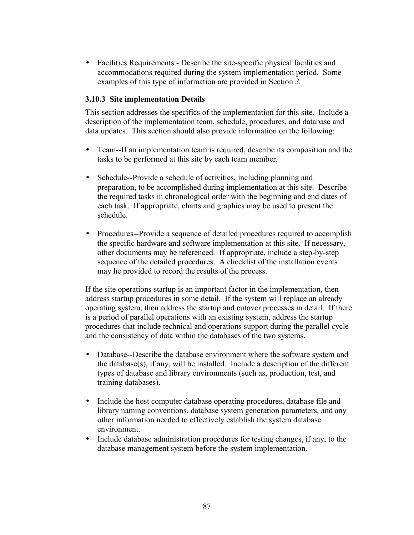• Facilities Requirements - Describe the site-specific physical facilities and accommodations required during the system implementation period. Some examples of this type of information are provided in Section *3.*

#### **3.10.3 Site implementation Details**

This section addresses the specifics of the implementation for this site. Include a description of the implementation team, schedule, procedures, and database and data updates. This section should also provide information on the following:

- Team--If an implementation team is required, describe its composition and the tasks to be performed at this site by each team member.
- Schedule--Provide a schedule of activities, including planning and preparation, to be accomplished during implementation at this site. Describe the required tasks in chronological order with the beginning and end dates of each task. If appropriate, charts and graphics may be used to present the schedule.
- Procedures--Provide a sequence of detailed procedures required to accomplish the specific hardware and software implementation at this site. If necessary, other documents may be referenced. If appropriate, include a step-by-step sequence of the detailed procedures. A checklist of the installation events may he provided to record the results of the process.

If the site operations startup is an important factor in the implementation, then address startup procedures in some detail. If the system will replace an already operating system, then address the startup and cutover processes in detail. If there is a period of parallel operations with an existing system, address the startup procedures that include technical and operations support during the parallel cycle and the consistency of data within the databases of the two systems.

- Database--Describe the database environment where the software system and the database(s), if any, will be installed. Include a description of the different types of database and library environments (such as, production, test, and training databases).
- Include the host computer database operating procedures, database file and library naming conventions, database system generation parameters, and any other information needed to effectively establish the system database environment.
- Include database administration procedures for testing changes, if any, to the database management system before the system implementation.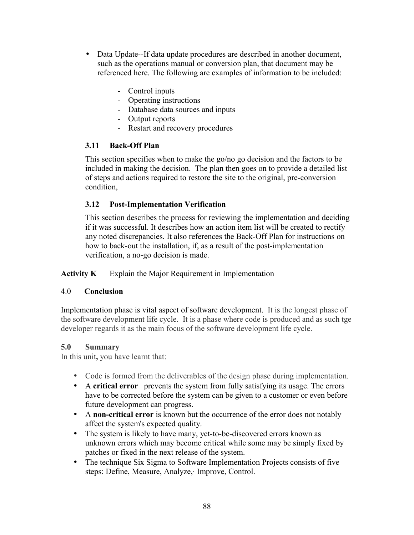- Data Update--If data update procedures are described in another document, such as the operations manual or conversion plan, that document may be referenced here. The following are examples of information to be included:
	- Control inputs
	- Operating instructions
	- Database data sources and inputs
	- Output reports
	- Restart and recovery procedures

### **3.11 Back-Off Plan**

This section specifies when to make the go/no go decision and the factors to be included in making the decision. The plan then goes on to provide a detailed list of steps and actions required to restore the site to the original, pre-conversion condition,

# **3.12 Post-Implementation Verification**

This section describes the process for reviewing the implementation and deciding if it was successful. It describes how an action item list will be created to rectify any noted discrepancies. It also references the Back-Off Plan for instructions on how to back-out the installation, if, as a result of the post-implementation verification, a no-go decision is made.

**Activity K** Explain the Major Requirement in Implementation

# 4.0 **Conclusion**

Implementation phase is vital aspect of software development. It is the longest phase of the software development life cycle. It is a phase where code is produced and as such tge developer regards it as the main focus of the software development life cycle.

### **5.0 Summary**

In this unit**,** you have learnt that:

- Code is formed from the deliverables of the design phase during implementation.
- A **critical error** prevents the system from fully satisfying its usage. The errors have to be corrected before the system can be given to a customer or even before future development can progress.
- A **non-critical error** is known but the occurrence of the error does not notably affect the system's expected quality.
- The system is likely to have many, yet-to-be-discovered errors known as unknown errors which may become critical while some may be simply fixed by patches or fixed in the next release of the system.
- The technique Six Sigma to Software Implementation Projects consists of five steps: Define, Measure, Analyze, Improve, Control.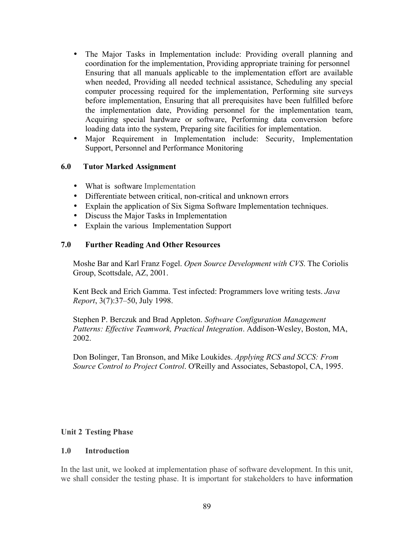- The Major Tasks in Implementation include: Providing overall planning and coordination for the implementation, Providing appropriate training for personnel Ensuring that all manuals applicable to the implementation effort are available when needed, Providing all needed technical assistance, Scheduling any special computer processing required for the implementation, Performing site surveys before implementation, Ensuring that all prerequisites have been fulfilled before the implementation date, Providing personnel for the implementation team, Acquiring special hardware or software, Performing data conversion before loading data into the system, Preparing site facilities for implementation.
- Major Requirement in Implementation include: Security, Implementation Support, Personnel and Performance Monitoring

#### **6.0 Tutor Marked Assignment**

- What is software Implementation
- Differentiate between critical, non-critical and unknown errors
- Explain the application of Six Sigma Software Implementation techniques.
- Discuss the Major Tasks in Implementation
- Explain the various Implementation Support

#### **7.0 Further Reading And Other Resources**

Moshe Bar and Karl Franz Fogel. *Open Source Development with CVS*. The Coriolis Group, Scottsdale, AZ, 2001.

Kent Beck and Erich Gamma. Test infected: Programmers love writing tests. *Java Report*, 3(7):37–50, July 1998.

Stephen P. Berczuk and Brad Appleton. *Software Configuration Management Patterns: Effective Teamwork, Practical Integration*. Addison-Wesley, Boston, MA, 2002.

Don Bolinger, Tan Bronson, and Mike Loukides. *Applying RCS and SCCS: From Source Control to Project Control*. O'Reilly and Associates, Sebastopol, CA, 1995.

#### **Unit 2 Testing Phase**

#### **1.0 Introduction**

In the last unit, we looked at implementation phase of software development. In this unit, we shall consider the testing phase. It is important for stakeholders to have information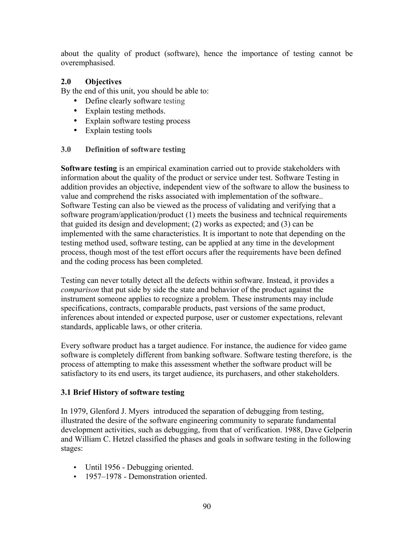about the quality of product (software), hence the importance of testing cannot be overemphasised.

# **2.0 Objectives**

By the end of this unit, you should be able to:

- Define clearly software testing
- Explain testing methods.
- Explain software testing process
- Explain testing tools

# **3.0 Definition of software testing**

**Software testing** is an empirical examination carried out to provide stakeholders with information about the quality of the product or service under test. Software Testing in addition provides an objective, independent view of the software to allow the business to value and comprehend the risks associated with implementation of the software.. Software Testing can also be viewed as the process of validating and verifying that a software program/application/product (1) meets the business and technical requirements that guided its design and development; (2) works as expected; and (3) can be implemented with the same characteristics. It is important to note that depending on the testing method used, software testing, can be applied at any time in the development process, though most of the test effort occurs after the requirements have been defined and the coding process has been completed.

Testing can never totally detect all the defects within software. Instead, it provides a *comparison* that put side by side the state and behavior of the product against the instrument someone applies to recognize a problem. These instruments may include specifications, contracts, comparable products, past versions of the same product, inferences about intended or expected purpose, user or customer expectations, relevant standards, applicable laws, or other criteria.

Every software product has a target audience. For instance, the audience for video game software is completely different from banking software. Software testing therefore, is the process of attempting to make this assessment whether the software product will be satisfactory to its end users, its target audience, its purchasers, and other stakeholders.

# **3.1 Brief History of software testing**

In 1979, Glenford J. Myers introduced the separation of debugging from testing, illustrated the desire of the software engineering community to separate fundamental development activities, such as debugging, from that of verification. 1988, Dave Gelperin and William C. Hetzel classified the phases and goals in software testing in the following stages:

- Until 1956 Debugging oriented.
- 1957–1978 Demonstration oriented.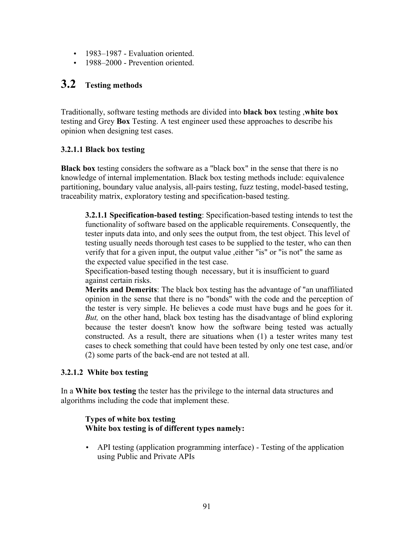- 1983–1987 Evaluation oriented.
- 1988–2000 Prevention oriented

# **3.2 Testing methods**

Traditionally, software testing methods are divided into **black box** testing ,**white box** testing and Grey **Box** Testing. A test engineer used these approaches to describe his opinion when designing test cases.

#### **3.2.1.1 Black box testing**

**Black box** testing considers the software as a "black box" in the sense that there is no knowledge of internal implementation. Black box testing methods include: equivalence partitioning, boundary value analysis, all-pairs testing, [fuzz testing,](http://en.wikipedia.org/wiki/Fuzz_testing) model-based testing, traceability matrix, exploratory testing and specification-based testing.

**3.2.1.1 Specification-based testing**: Specification-based testing intends to test the functionality of software based on the applicable requirements. Consequently, the tester inputs data into, and only sees the output from, the test object. This level of testing usually needs thorough test cases to be supplied to the tester, who can then verify that for a given input, the output value ,either "is" or "is not" the same as the expected value specified in the test case.

Specification-based testing though necessary, but it is insufficient to guard against certain risks.

**Merits and Demerits**: The black box testing has the advantage of "an unaffiliated opinion in the sense that there is no "bonds" with the code and the perception of the tester is very simple. He believes a code must have bugs and he goes for it. *But,* on the other hand, black box testing has the disadvantage of blind exploring because the tester doesn't know how the software being tested was actually constructed. As a result, there are situations when (1) a tester writes many test cases to check something that could have been tested by only one test case, and/or (2) some parts of the back-end are not tested at all.

#### **3.2.1.2 White box testing**

In a **White box testing** the tester has the privilege to the internal data structures and algorithms including the code that implement these.

#### **Types of white box testing White box testing is of different types namely:**

• [API](http://en.wikipedia.org/wiki/Application_programming_interface) testing (application programming interface) - Testing of the application using Public and Private APIs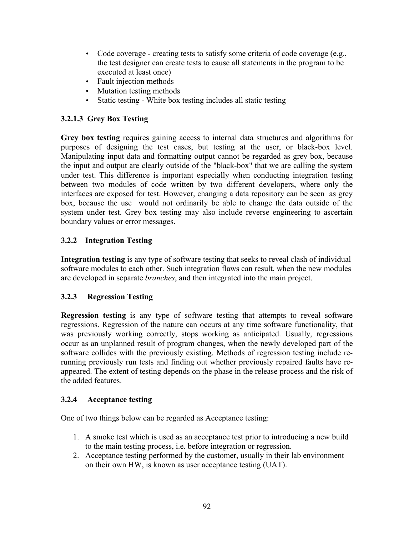- [Code coverage](http://en.wikipedia.org/wiki/Code_coverage)  creating tests to satisfy some criteria of code coverage (e.g., the test designer can create tests to cause all statements in the program to be executed at least once)
- [Fault injection](http://en.wikipedia.org/wiki/Fault_injection) methods
- [Mutation testing](http://en.wikipedia.org/wiki/Mutation_testing) methods
- [Static testing](http://en.wikipedia.org/wiki/Static_testing)  White box testing includes all static testing

# **3.2.1.3 Grey Box Testing**

**Grey box testing** requires gaining access to internal data structures and algorithms for purposes of designing the test cases, but testing at the user, or black-box level. Manipulating input data and formatting output cannot be regarded as grey box, because the input and output are clearly outside of the "black-box" that we are calling the system under test. This difference is important especially when conducting integration testing between two modules of code written by two different developers, where only the interfaces are exposed for test. However, changing a data repository can be seen as grey box, because the use would not ordinarily be able to change the data outside of the system under test. Grey box testing may also include reverse engineering to ascertain boundary values or error messages.

# **3.2.2 Integration Testing**

**Integration testing** is any type of software testing that seeks to reveal clash of individual software modules to each other. Such integration flaws can result, when the new modules are developed in separate *branches*, and then integrated into the main project.

### **3.2.3 Regression Testing**

**Regression testing** is any type of software testing that attempts to reveal software regressions. Regression of the nature can occurs at any time software functionality, that was previously working correctly, stops working as anticipated. Usually, regressions occur as an unplanned result of program changes, when the newly developed part of the software collides with the previously existing. Methods of regression testing include rerunning previously run tests and finding out whether previously repaired faults have reappeared. The extent of testing depends on the phase in the release process and the risk of the added features.

### **3.2.4 Acceptance testing**

One of two things below can be regarded as Acceptance testing:

- 1. A smoke test which is used as an acceptance test prior to introducing a new build to the main testing process, i.e. before integration or regression.
- 2. Acceptance testing performed by the customer, usually in their lab environment on their own HW, is known as user acceptance testing (UAT).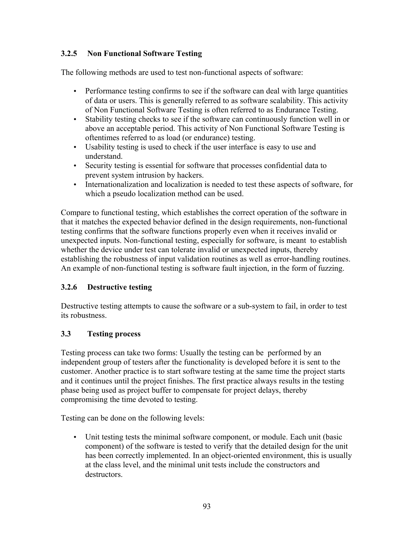# **3.2.5 Non Functional Software Testing**

The following methods are used to test non-functional aspects of software:

- Performance testing confirms to see if the software can deal with large quantities of data or users. This is generally referred to as software scalability. This activity of Non Functional Software Testing is often referred to as Endurance Testing.
- Stability testing checks to see if the software can continuously function well in or above an acceptable period. This activity of Non Functional Software Testing is oftentimes referred to as load (or endurance) testing.
- Usability testing is used to check if the user interface is easy to use and understand.
- Security testing is essential for software that processes confidential data to prevent system intrusion by hackers.
- Internationalization and localization is needed to test these aspects of software, for which a pseudo localization method can be used.

Compare to functional testing, which establishes the correct operation of the software in that it matches the expected behavior defined in the design requirements, non-functional testing confirms that the software functions properly even when it receives invalid or unexpected inputs. Non-functional testing, especially for software, is meant to establish whether the device under test can tolerate invalid or unexpected inputs, thereby establishing the robustness of input validation routines as well as error-handling routines. An example of non-functional testing is software fault injection, in the form of [fuzzing.](http://en.wikipedia.org/wiki/Fuzz_testing)

# **3.2.6 Destructive testing**

Destructive testing attempts to cause the software or a sub-system to fail, in order to test its robustness.

# **3.3 Testing process**

Testing process can take two forms: Usually the testing can be performed by an independent group of testers after the functionality is developed before it is sent to the customer. Another practice is to start software testing at the same time the project starts and it continues until the project finishes. The first practice always results in the testing phase being used as project buffer to compensate for project delays, thereby compromising the time devoted to testing.

Testing can be done on the following levels:

• Unit testing tests the minimal software component, or module. Each unit (basic component) of the software is tested to verify that the detailed design for the unit has been correctly implemented. In an object-oriented environment, this is usually at the class level, and the minimal unit tests include the constructors and destructors.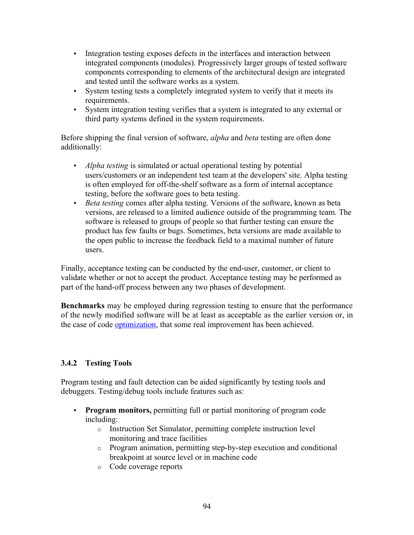- Integration testing exposes defects in the interfaces and interaction between integrated components (modules). Progressively larger groups of tested software components corresponding to elements of the architectural design are integrated and tested until the software works as a system.
- System testing tests a completely integrated system to verify that it meets its requirements.
- System integration testing verifies that a system is integrated to any external or third party systems defined in the system requirements.

Before shipping the final version of software, *alpha* and *beta* testing are often done additionally:

- *Alpha testing* is simulated or actual operational testing by potential users/customers or an independent test team at the developers' site. Alpha testing is often employed for off-the-shelf software as a form of internal acceptance testing, before the software goes to beta testing.
- *Beta testing* comes after alpha testing. Versions of the software, known as beta versions, are released to a limited audience outside of the programming team. The software is released to groups of people so that further testing can ensure the product has few faults or bugs. Sometimes, beta versions are made available to the open public to increase the feedback field to a maximal number of future users.

Finally, acceptance testing can be conducted by the end-user, customer, or client to validate whether or not to accept the product. Acceptance testing may be performed as part of the hand-off process between any two phases of development.

**[Benchmarks](http://en.wikipedia.org/wiki/Benchmark_(computing))** may be employed during regression testing to ensure that the performance of the newly modified software will be at least as acceptable as the earlier version or, in the case of code *optimization*, that some real improvement has been achieved.

### **3.4.2 Testing Tools**

Program testing and fault detection can be aided significantly by testing tools and debuggers. Testing/debug tools include features such as:

- **Program monitors,** permitting full or partial monitoring of program code including:
	- o Instruction Set Simulator, permitting complete instruction level monitoring and trace facilities
	- o Program animation, permitting step-by-step execution and conditional breakpoint at source level or in machine code
	- o Code coverage reports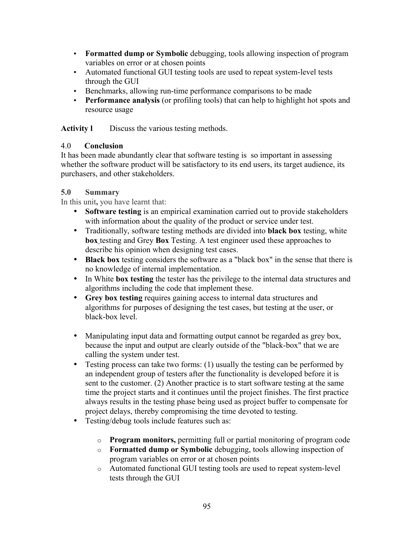- **Formatted dump or Symbolic** debugging, tools allowing inspection of program variables on error or at chosen points
- Automated functional GUI testing tools are used to repeat system-level tests through the GUI
- Benchmarks, allowing run-time performance comparisons to be made
- **Performance analysis** (or profiling tools) that can help to highlight hot spots and resource usage

**Activity l** Discuss the various testing methods.

### 4.0 **Conclusion**

It has been made abundantly clear that software testing is so important in assessing whether the software product will be satisfactory to its end users, its target audience, its purchasers, and other stakeholders.

### **5.0 Summary**

In this unit**,** you have learnt that:

- **Software testing** is an empirical examination carried out to provide stakeholders with information about the quality of the product or service under test.
- Traditionally, software testing methods are divided into **black box** testing, white **box** testing and Grey **Box** Testing. A test engineer used these approaches to describe his opinion when designing test cases.
- **Black box** testing considers the software as a "black box" in the sense that there is no knowledge of internal implementation.
- In White **box testing** the tester has the privilege to the internal data structures and algorithms including the code that implement these.
- **Grey box testing** requires gaining access to internal data structures and algorithms for purposes of designing the test cases, but testing at the user, or black-box level.
- Manipulating input data and formatting output cannot be regarded as grey box, because the input and output are clearly outside of the "black-box" that we are calling the system under test.
- Testing process can take two forms: (1) usually the testing can be performed by an independent group of testers after the functionality is developed before it is sent to the customer. (2) Another practice is to start software testing at the same time the project starts and it continues until the project finishes. The first practice always results in the testing phase being used as project buffer to compensate for project delays, thereby compromising the time devoted to testing.
- Testing/debug tools include features such as:
	- o **Program monitors,** permitting full or partial monitoring of program code
	- o **Formatted dump or Symbolic** debugging, tools allowing inspection of program variables on error or at chosen points
	- o Automated functional GUI testing tools are used to repeat system-level tests through the GUI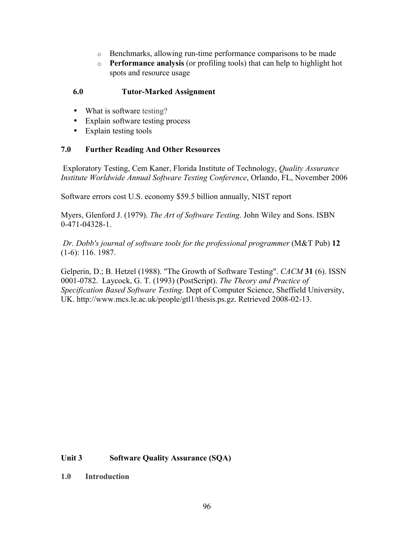- o Benchmarks, allowing run-time performance comparisons to be made
- o **Performance analysis** (or profiling tools) that can help to highlight hot spots and resource usage

### **6.0 Tutor-Marked Assignment**

- What is software testing?
- Explain software testing process
- Explain testing tools

### **7.0 Further Reading And Other Resources**

Exploratory Testing, Cem Kaner, Florida Institute of Technology, *Quality Assurance Institute Worldwide Annual Software Testing Conference*, Orlando, FL, November 2006

Software errors cost U.S. economy \$59.5 billion annually, NIST report

Myers, Glenford J. (1979). *The Art of Software Testing*. John Wiley and Sons. ISBN 0-471-04328-1.

*Dr. Dobb's journal of software tools for the professional programmer* (M&T Pub) **12** (1-6): 116. 1987.

Gelperin, D.; B. Hetzel (1988). "The Growth of Software Testing". *CACM* **31** (6). ISSN 0001-0782. Laycock, G. T. (1993) (PostScript). *The Theory and Practice of Specification Based Software Testing*. Dept of Computer Science, Sheffield University, UK. http://www.mcs.le.ac.uk/people/gtl1/thesis.ps.gz. Retrieved 2008-02-13.

**Unit 3 Software Quality Assurance (SQA)**

**1.0 Introduction**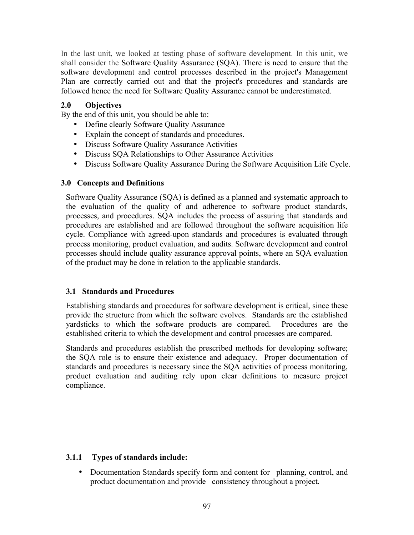In the last unit, we looked at testing phase of software development. In this unit, we shall consider the Software Quality Assurance (SQA). There is need to ensure that the software development and control processes described in the project's Management Plan are correctly carried out and that the project's procedures and standards are followed hence the need for Software Quality Assurance cannot be underestimated.

#### **2.0 Objectives**

By the end of this unit, you should be able to:

- Define clearly Software Quality Assurance
- Explain the concept of standards and procedures.
- Discuss Software Quality Assurance Activities
- Discuss SQA Relationships to Other Assurance Activities
- Discuss Software Quality Assurance During the Software Acquisition Life Cycle.

#### **3.0 Concepts and Definitions**

Software Quality Assurance (SQA) is defined as a planned and systematic approach to the evaluation of the quality of and adherence to software product standards, processes, and procedures. SQA includes the process of assuring that standards and procedures are established and are followed throughout the software acquisition life cycle. Compliance with agreed-upon standards and procedures is evaluated through process monitoring, product evaluation, and audits. Software development and control processes should include quality assurance approval points, where an SQA evaluation of the product may be done in relation to the applicable standards.

#### **3.1 Standards and Procedures**

Establishing standards and procedures for software development is critical, since these provide the structure from which the software evolves. Standards are the established yardsticks to which the software products are compared. Procedures are the established criteria to which the development and control processes are compared.

Standards and procedures establish the prescribed methods for developing software; the SQA role is to ensure their existence and adequacy. Proper documentation of standards and procedures is necessary since the SQA activities of process monitoring, product evaluation and auditing rely upon clear definitions to measure project compliance.

#### **3.1.1 Types of standards include:**

• Documentation Standards specify form and content for planning, control, and product documentation and provide consistency throughout a project.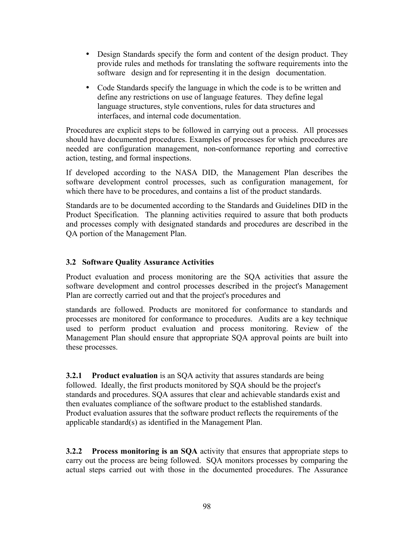- Design Standards specify the form and content of the design product. They provide rules and methods for translating the software requirements into the software design and for representing it in the design documentation.
- Code Standards specify the language in which the code is to be written and define any restrictions on use of language features. They define legal language structures, style conventions, rules for data structures and interfaces, and internal code documentation.

Procedures are explicit steps to be followed in carrying out a process. All processes should have documented procedures. Examples of processes for which procedures are needed are configuration management, non-conformance reporting and corrective action, testing, and formal inspections.

If developed according to the NASA DID, the Management Plan describes the software development control processes, such as configuration management, for which there have to be procedures, and contains a list of the product standards.

Standards are to be documented according to the Standards and Guidelines DID in the Product Specification. The planning activities required to assure that both products and processes comply with designated standards and procedures are described in the QA portion of the Management Plan.

# **3.2 Software Quality Assurance Activities**

Product evaluation and process monitoring are the SQA activities that assure the software development and control processes described in the project's Management Plan are correctly carried out and that the project's procedures and

standards are followed. Products are monitored for conformance to standards and processes are monitored for conformance to procedures. Audits are a key technique used to perform product evaluation and process monitoring. Review of the Management Plan should ensure that appropriate SQA approval points are built into these processes.

**3.2.1 Product evaluation** is an SQA activity that assures standards are being followed. Ideally, the first products monitored by SQA should be the project's standards and procedures. SQA assures that clear and achievable standards exist and then evaluates compliance of the software product to the established standards. Product evaluation assures that the software product reflects the requirements of the applicable standard(s) as identified in the Management Plan.

**3.2.2 Process monitoring is an SQA** activity that ensures that appropriate steps to carry out the process are being followed. SQA monitors processes by comparing the actual steps carried out with those in the documented procedures. The Assurance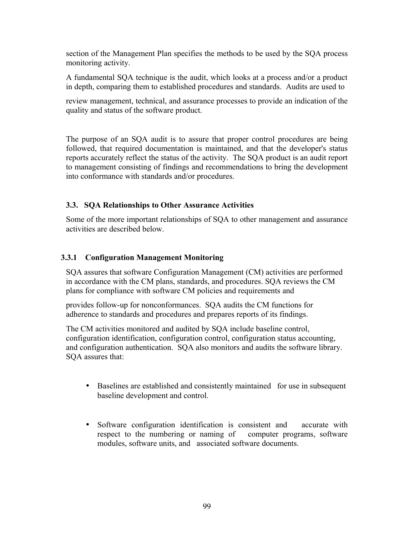section of the Management Plan specifies the methods to be used by the SQA process monitoring activity.

A fundamental SQA technique is the audit, which looks at a process and/or a product in depth, comparing them to established procedures and standards. Audits are used to

review management, technical, and assurance processes to provide an indication of the quality and status of the software product.

The purpose of an SQA audit is to assure that proper control procedures are being followed, that required documentation is maintained, and that the developer's status reports accurately reflect the status of the activity. The SQA product is an audit report to management consisting of findings and recommendations to bring the development into conformance with standards and/or procedures.

### **3.3. SQA Relationships to Other Assurance Activities**

Some of the more important relationships of SQA to other management and assurance activities are described below.

#### **3.3.1 Configuration Management Monitoring**

SQA assures that software Configuration Management (CM) activities are performed in accordance with the CM plans, standards, and procedures. SQA reviews the CM plans for compliance with software CM policies and requirements and

provides follow-up for nonconformances. SQA audits the CM functions for adherence to standards and procedures and prepares reports of its findings.

The CM activities monitored and audited by SQA include baseline control, configuration identification, configuration control, configuration status accounting, and configuration authentication. SQA also monitors and audits the software library. SQA assures that:

- Baselines are established and consistently maintained for use in subsequent baseline development and control.
- Software configuration identification is consistent and accurate with respect to the numbering or naming of computer programs, software modules, software units, and associated software documents.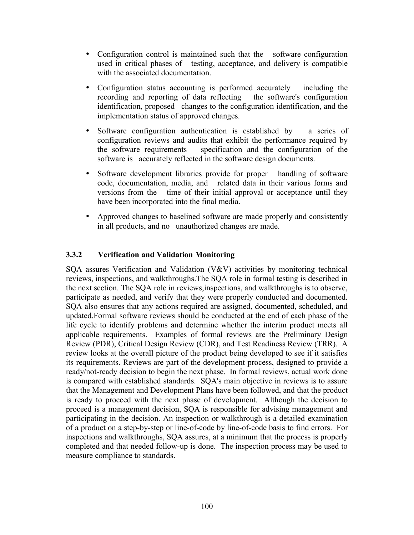- Configuration control is maintained such that the software configuration used in critical phases of testing, acceptance, and delivery is compatible with the associated documentation.
- Configuration status accounting is performed accurately including the recording and reporting of data reflecting the software's configuration identification, proposed changes to the configuration identification, and the implementation status of approved changes.
- Software configuration authentication is established by a series of configuration reviews and audits that exhibit the performance required by the software requirements specification and the configuration of the software is accurately reflected in the software design documents.
- Software development libraries provide for proper handling of software code, documentation, media, and related data in their various forms and versions from the time of their initial approval or acceptance until they have been incorporated into the final media.
- Approved changes to baselined software are made properly and consistently in all products, and no unauthorized changes are made.

# **3.3.2 Verification and Validation Monitoring**

SQA assures Verification and Validation (V&V) activities by monitoring technical reviews, inspections, and walkthroughs.The SQA role in formal testing is described in the next section. The SQA role in reviews,inspections, and walkthroughs is to observe, participate as needed, and verify that they were properly conducted and documented. SQA also ensures that any actions required are assigned, documented, scheduled, and updated.Formal software reviews should be conducted at the end of each phase of the life cycle to identify problems and determine whether the interim product meets all applicable requirements. Examples of formal reviews are the Preliminary Design Review (PDR), Critical Design Review (CDR), and Test Readiness Review (TRR). A review looks at the overall picture of the product being developed to see if it satisfies its requirements. Reviews are part of the development process, designed to provide a ready/not-ready decision to begin the next phase. In formal reviews, actual work done is compared with established standards. SQA's main objective in reviews is to assure that the Management and Development Plans have been followed, and that the product is ready to proceed with the next phase of development. Although the decision to proceed is a management decision, SQA is responsible for advising management and participating in the decision. An inspection or walkthrough is a detailed examination of a product on a step-by-step or line-of-code by line-of-code basis to find errors. For inspections and walkthroughs, SQA assures, at a minimum that the process is properly completed and that needed follow-up is done. The inspection process may be used to measure compliance to standards.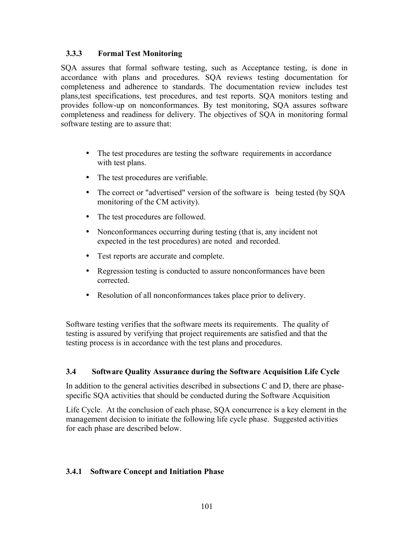#### **3.3.3 Formal Test Monitoring**

SQA assures that formal software testing, such as Acceptance testing, is done in accordance with plans and procedures. SQA reviews testing documentation for completeness and adherence to standards. The documentation review includes test plans,test specifications, test procedures, and test reports. SQA monitors testing and provides follow-up on nonconformances. By test monitoring, SQA assures software completeness and readiness for delivery. The objectives of SQA in monitoring formal software testing are to assure that:

- The test procedures are testing the software requirements in accordance with test plans.
- The test procedures are verifiable.
- The correct or "advertised" version of the software is being tested (by SQA monitoring of the CM activity).
- The test procedures are followed.
- Nonconformances occurring during testing (that is, any incident not expected in the test procedures) are noted and recorded.
- Test reports are accurate and complete.
- Regression testing is conducted to assure nonconformances have been corrected.
- Resolution of all nonconformances takes place prior to delivery.

Software testing verifies that the software meets its requirements. The quality of testing is assured by verifying that project requirements are satisfied and that the testing process is in accordance with the test plans and procedures.

### **3.4 Software Quality Assurance during the Software Acquisition Life Cycle**

In addition to the general activities described in subsections C and D, there are phasespecific SQA activities that should be conducted during the Software Acquisition

Life Cycle. At the conclusion of each phase, SQA concurrence is a key element in the management decision to initiate the following life cycle phase. Suggested activities for each phase are described below.

#### **3.4.1 Software Concept and Initiation Phase**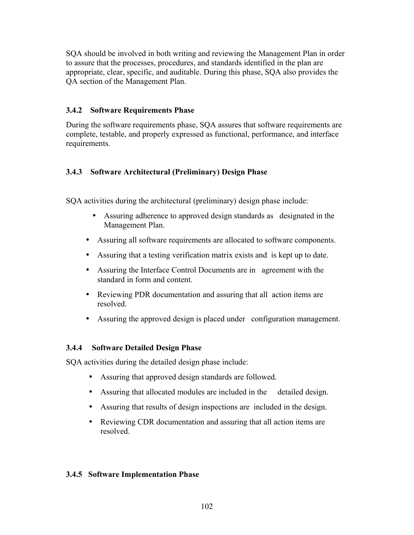SQA should be involved in both writing and reviewing the Management Plan in order to assure that the processes, procedures, and standards identified in the plan are appropriate, clear, specific, and auditable. During this phase, SQA also provides the QA section of the Management Plan.

### **3.4.2 Software Requirements Phase**

During the software requirements phase, SQA assures that software requirements are complete, testable, and properly expressed as functional, performance, and interface requirements.

# **3.4.3 Software Architectural (Preliminary) Design Phase**

SQA activities during the architectural (preliminary) design phase include:

- Assuring adherence to approved design standards as designated in the Management Plan.
- Assuring all software requirements are allocated to software components.
- Assuring that a testing verification matrix exists and is kept up to date.
- Assuring the Interface Control Documents are in agreement with the standard in form and content.
- Reviewing PDR documentation and assuring that all action items are resolved.
- Assuring the approved design is placed under configuration management.

### **3.4.4 Software Detailed Design Phase**

SQA activities during the detailed design phase include:

- Assuring that approved design standards are followed.
- Assuring that allocated modules are included in the detailed design.
- Assuring that results of design inspections are included in the design.
- Reviewing CDR documentation and assuring that all action items are resolved.

### **3.4.5 Software Implementation Phase**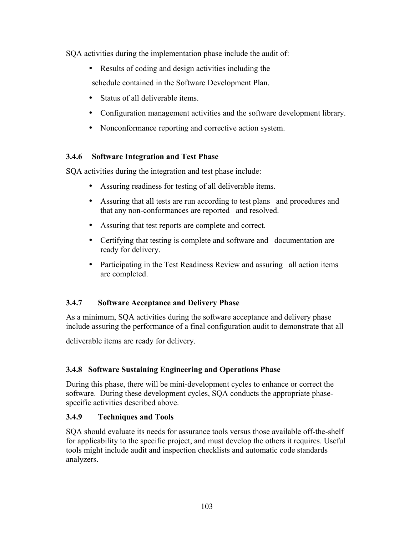SQA activities during the implementation phase include the audit of:

- Results of coding and design activities including the schedule contained in the Software Development Plan.
- Status of all deliverable items.
- Configuration management activities and the software development library.
- Nonconformance reporting and corrective action system.

# **3.4.6 Software Integration and Test Phase**

SQA activities during the integration and test phase include:

- Assuring readiness for testing of all deliverable items.
- Assuring that all tests are run according to test plans and procedures and that any non-conformances are reported and resolved.
- Assuring that test reports are complete and correct.
- Certifying that testing is complete and software and documentation are ready for delivery.
- Participating in the Test Readiness Review and assuring all action items are completed.

# **3.4.7 Software Acceptance and Delivery Phase**

As a minimum, SQA activities during the software acceptance and delivery phase include assuring the performance of a final configuration audit to demonstrate that all

deliverable items are ready for delivery.

# **3.4.8 Software Sustaining Engineering and Operations Phase**

During this phase, there will be mini-development cycles to enhance or correct the software. During these development cycles, SQA conducts the appropriate phasespecific activities described above.

### **3.4.9 Techniques and Tools**

SQA should evaluate its needs for assurance tools versus those available off-the-shelf for applicability to the specific project, and must develop the others it requires. Useful tools might include audit and inspection checklists and automatic code standards analyzers.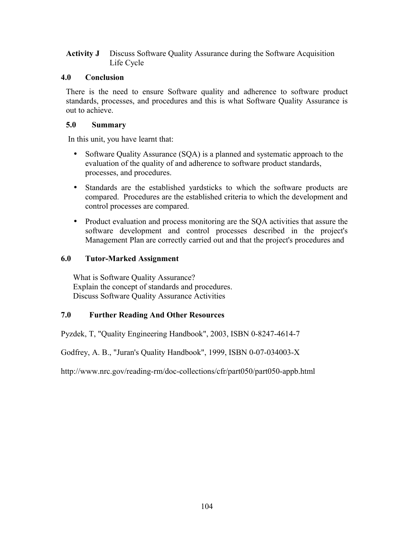**Activity J** Discuss Software Quality Assurance during the Software Acquisition Life Cycle

### **4.0 Conclusion**

There is the need to ensure Software quality and adherence to software product standards, processes, and procedures and this is what Software Quality Assurance is out to achieve.

# **5.0 Summary**

In this unit, you have learnt that:

- Software Quality Assurance (SQA) is a planned and systematic approach to the evaluation of the quality of and adherence to software product standards, processes, and procedures.
- Standards are the established yardsticks to which the software products are compared. Procedures are the established criteria to which the development and control processes are compared.
- Product evaluation and process monitoring are the SQA activities that assure the software development and control processes described in the project's Management Plan are correctly carried out and that the project's procedures and

# **6.0 Tutor-Marked Assignment**

What is Software Quality Assurance? Explain the concept of standards and procedures. Discuss Software Quality Assurance Activities

# **7.0 Further Reading And Other Resources**

Pyzdek, T, "Quality Engineering Handbook", 2003, ISBN 0-8247-4614-7

Godfrey, A. B., "Juran's Quality Handbook", 1999, ISBN 0-07-034003-X

http://www.nrc.gov/reading-rm/doc-collections/cfr/part050/part050-appb.html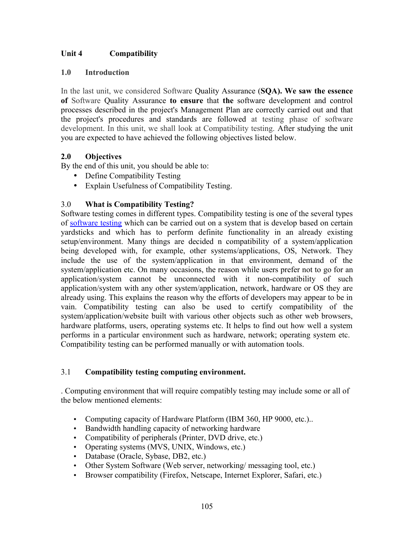# **Unit 4 Compatibility**

# **1.0 Introduction**

In the last unit, we considered Software Quality Assurance (**SQA). We saw the essence of** Software Quality Assurance **to ensure** that **the** software development and control processes described in the project's Management Plan are correctly carried out and that the project's procedures and standards are followed at testing phase of software development. In this unit, we shall look at Compatibility testing. After studying the unit you are expected to have achieved the following objectives listed below.

# **2.0 Objectives**

By the end of this unit, you should be able to:

- Define Compatibility Testing
- Explain Usefulness of Compatibility Testing.

# 3.0 **What is Compatibility Testing?**

Software testing comes in different types. Compatibility testing is one of the several types of [software testing](http://www.buzzle.com/articles/software-testing/) which can be carried out on a system that is develop based on certain yardsticks and which has to perform definite functionality in an already existing setup/environment. Many things are decided n compatibility of a system/application being developed with, for example, other systems/applications, OS, Network. They include the use of the system/application in that environment, demand of the system/application etc. On many occasions, the reason while users prefer not to go for an application/system cannot be unconnected with it non-compatibility of such application/system with any other system/application, network, hardware or OS they are already using. This explains the reason why the efforts of developers may appear to be in vain. Compatibility testing can also be used to certify compatibility of the system/application/website built with various other objects such as other web browsers, hardware platforms, users, operating systems etc. It helps to find out how well a system performs in a particular environment such as hardware, network; operating system etc. Compatibility testing can be performed manually or with automation tools.

# 3.1 **Compatibility testing computing environment.**

. Computing environment that will require compatibly testing may include some or all of the below mentioned elements:

- Computing capacity of Hardware Platform (IBM 360, HP 9000, etc.)..
- Bandwidth handling capacity of networking hardware
- Compatibility of peripherals (Printer, DVD drive, etc.)
- Operating systems (MVS, UNIX, Windows, etc.)
- Database (Oracle, Sybase, DB2, etc.)
- Other System Software (Web server, networking/ messaging tool, etc.)
- Browser compatibility (Firefox, Netscape, Internet Explorer, Safari, etc.)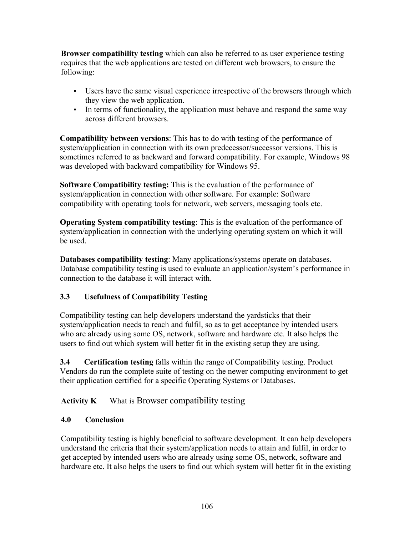**Browser compatibility testing** which can also be referred to as user experience testing requires that the web applications are tested on different web browsers, to ensure the following:

- Users have the same visual experience irrespective of the browsers through which they view the web application.
- In terms of functionality, the application must behave and respond the same way across different browsers.

**Compatibility between versions**: This has to do with testing of the performance of system/application in connection with its own predecessor/successor versions. This is sometimes referred to as backward and forward compatibility. For example, Windows 98 was developed with backward compatibility for Windows 95.

**Software Compatibility testing:** This is the evaluation of the performance of system/application in connection with other software. For example: Software compatibility with operating tools for network, web servers, messaging tools etc.

**Operating System compatibility testing**: This is the evaluation of the performance of system/application in connection with the underlying operating system on which it will be used.

**Databases compatibility testing**: Many applications/systems operate on databases. Database compatibility testing is used to evaluate an application/system's performance in connection to the database it will interact with.

# **3.3 Usefulness of Compatibility Testing**

Compatibility testing can help developers understand the yardsticks that their system/application needs to reach and fulfil, so as to get acceptance by intended users who are already using some OS, network, software and hardware etc. It also helps the users to find out which system will better fit in the existing setup they are using.

**3.4 Certification testing** falls within the range of Compatibility testing. Product Vendors do run the complete suite of testing on the newer computing environment to get their application certified for a specific Operating Systems or Databases.

# **Activity K** What is Browser compatibility testing

# **4.0 Conclusion**

Compatibility testing is highly beneficial to software development. It can help developers understand the criteria that their system/application needs to attain and fulfil, in order to get accepted by intended users who are already using some OS, network, software and hardware etc. It also helps the users to find out which system will better fit in the existing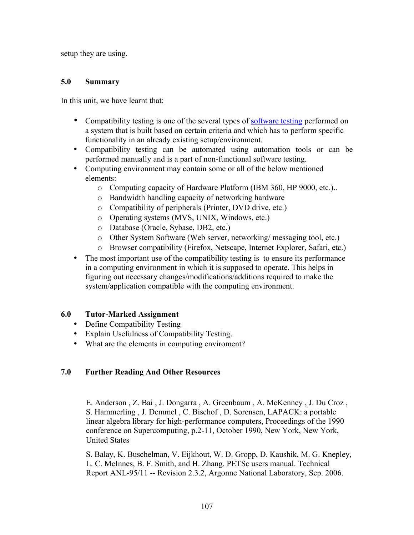setup they are using.

#### **5.0 Summary**

In this unit, we have learnt that:

- Compatibility testing is one of the several types of [software testing](http://www.buzzle.com/articles/software-testing/) performed on a system that is built based on certain criteria and which has to perform specific functionality in an already existing setup/environment.
- Compatibility testing can be automated using automation tools or can be performed manually and is a part of non-functional software testing.
- Computing environment may contain some or all of the below mentioned elements:
	- o Computing capacity of Hardware Platform (IBM 360, HP 9000, etc.)..
	- o Bandwidth handling capacity of networking hardware
	- o Compatibility of peripherals (Printer, DVD drive, etc.)
	- o Operating systems (MVS, UNIX, Windows, etc.)
	- o Database (Oracle, Sybase, DB2, etc.)
	- o Other System Software (Web server, networking/ messaging tool, etc.)
	- o Browser compatibility (Firefox, Netscape, Internet Explorer, Safari, etc.)
- The most important use of the compatibility testing is to ensure its performance in a computing environment in which it is supposed to operate. This helps in figuring out necessary changes/modifications/additions required to make the system/application compatible with the computing environment.

### **6.0 Tutor-Marked Assignment**

- Define Compatibility Testing
- Explain Usefulness of Compatibility Testing.
- What are the elements in computing enviroment?

### **7.0 Further Reading And Other Resources**

E. Anderson , Z. Bai , J. Dongarra , A. Greenbaum , A. McKenney , J. Du Croz , S. Hammerling , J. Demmel , C. Bischof , D. Sorensen, LAPACK: a portable linear algebra library for high-performance computers, Proceedings of the 1990 conference on Supercomputing, p.2-11, October 1990, New York, New York, United States

S. Balay, K. Buschelman, V. Eijkhout, W. D. Gropp, D. Kaushik, M. G. Knepley, L. C. McInnes, B. F. Smith, and H. Zhang. PETSc users manual. Technical Report ANL-95/11 -- Revision 2.3.2, Argonne National Laboratory, Sep. 2006.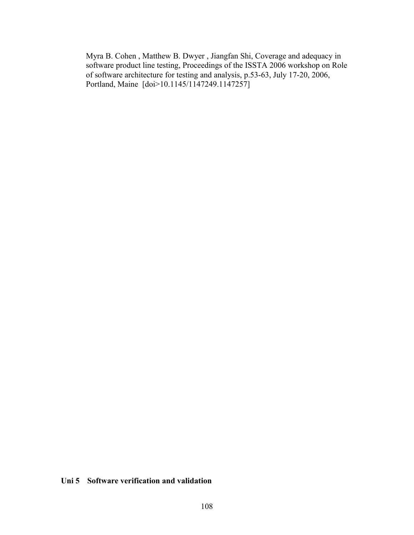Myra B. Cohen , Matthew B. Dwyer , Jiangfan Shi, Coverage and adequacy in software product line testing, Proceedings of the ISSTA 2006 workshop on Role of software architecture for testing and analysis, p.53-63, July 17-20, 2006, Portland, Maine [doi>10.1145/1147249.1147257]

### **Uni 5 Software verification and validation**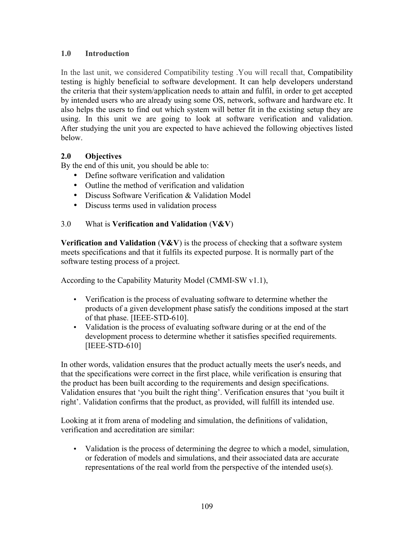## **1.0 Introduction**

In the last unit, we considered Compatibility testing .You will recall that, Compatibility testing is highly beneficial to software development. It can help developers understand the criteria that their system/application needs to attain and fulfil, in order to get accepted by intended users who are already using some OS, network, software and hardware etc. It also helps the users to find out which system will better fit in the existing setup they are using. In this unit we are going to look at software verification and validation. After studying the unit you are expected to have achieved the following objectives listed below.

# **2.0 Objectives**

By the end of this unit, you should be able to:

- Define software verification and validation
- Outline the method of verification and validation
- Discuss Software Verification & Validation Model
- Discuss terms used in validation process

# 3.0 What is **Verification and Validation** (**V&V**)

**Verification and Validation** (**V&V**) is the process of checking that a software system meets specifications and that it fulfils its expected purpose. It is normally part of the software testing process of a project.

According to the Capability Maturity Model (CMMI-SW v1.1),

- Verification is the process of evaluating software to determine whether the products of a given development phase satisfy the conditions imposed at the start of that phase. [IEEE-STD-610].
- Validation is the process of evaluating software during or at the end of the development process to determine whether it satisfies specified requirements. [IEEE-STD-610]

In other words, validation ensures that the product actually meets the user's needs, and that the specifications were correct in the first place, while verification is ensuring that the product has been built according to the requirements and design specifications. Validation ensures that 'you built the right thing'. Verification ensures that 'you built it right'. Validation confirms that the product, as provided, will fulfill its intended use.

Looking at it from arena of modeling and simulation, the definitions of validation, verification and accreditation are similar:

• Validation is the process of determining the degree to which a model, simulation, or federation of models and simulations, and their associated data are accurate representations of the real world from the perspective of the intended use(s).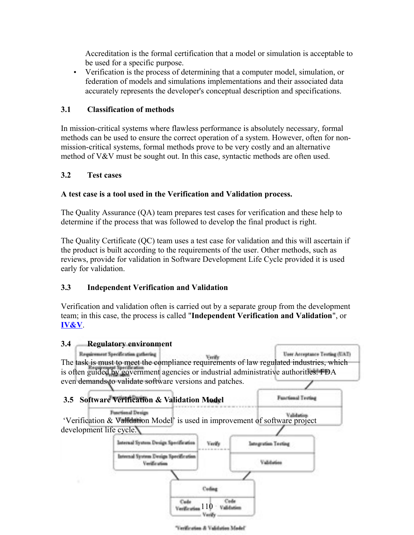Accreditation is the formal certification that a model or simulation is acceptable to be used for a specific purpose.

• Verification is the process of determining that a computer model, simulation, or federation of models and simulations implementations and their associated data accurately represents the developer's conceptual description and specifications.

#### **3.1 Classification of methods**

In mission-critical systems where flawless performance is absolutely necessary, formal methods can be used to ensure the correct operation of a system. However, often for nonmission-critical systems, formal methods prove to be very costly and an alternative method of V&V must be sought out. In this case, syntactic methods are often used.

#### **3.2 Test cases**

#### **A test case is a tool used in the Verification and Validation process.**

The Quality Assurance (QA) team prepares test cases for verification and these help to determine if the process that was followed to develop the final product is right.

The Quality Certificate (QC) team uses a test case for validation and this will ascertain if the product is built according to the requirements of the user. Other methods, such as reviews, provide for validation in Software Development Life Cycle provided it is used early for validation.

#### **3.3 Independent Verification and Validation**

Verification and validation often is carried out by a separate group from the development team; in this case, the process is called "**Independent Verification and Validation**", or **[IV&V](http://en.wikipedia.org/wiki/IV%26V)**.

#### **3.4 Regulatory environment**

Requirement Specification gathering Uner Acceptance Testing (UAT) The task is must to meet the compliance requirements of law regulated industries, which is often guided by government agencies or industrial administrative authorities. FDA even demands to validate software versions and patches.

Functional Testing

## **3.5 Software Verification & Validation Model**

**Fourthead Davies**  'Verification & Validation Model' is used in improvement of software project development life cycle.



Terifestas & Talifation Madel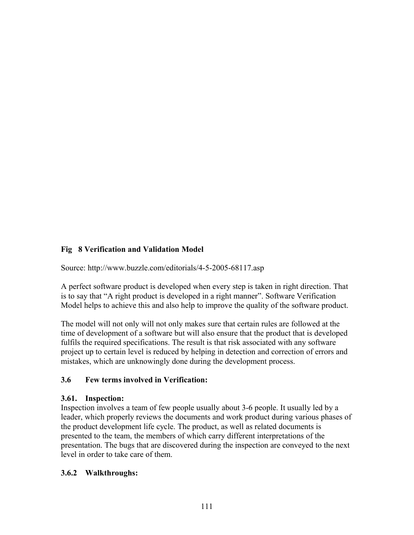## **Fig 8 Verification and Validation Model**

Source: http://www.buzzle.com/editorials/4-5-2005-68117.asp

A perfect software product is developed when every step is taken in right direction. That is to say that "A right product is developed in a right manner". Software Verification Model helps to achieve this and also help to improve the quality of the software product.

The model will not only will not only makes sure that certain rules are followed at the time of development of a software but will also ensure that the product that is developed fulfils the required specifications. The result is that risk associated with any software project up to certain level is reduced by helping in detection and correction of errors and mistakes, which are unknowingly done during the development process.

#### **3.6 Few terms involved in Verification:**

#### **3.61. Inspection:**

Inspection involves a team of few people usually about 3-6 people. It usually led by a leader, which properly reviews the documents and work product during various phases of the product development life cycle. The product, as well as related documents is presented to the team, the members of which carry different interpretations of the presentation. The bugs that are discovered during the inspection are conveyed to the next level in order to take care of them.

#### **3.6.2 Walkthroughs:**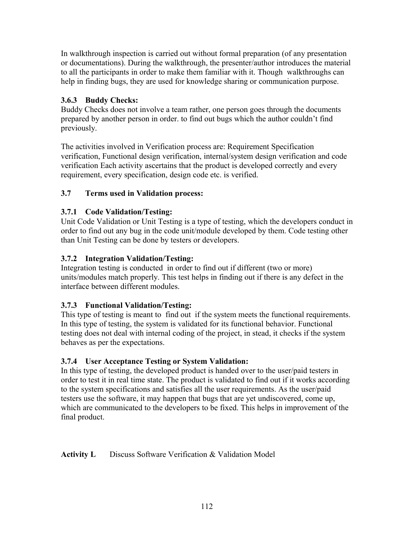In walkthrough inspection is carried out without formal preparation (of any presentation or documentations). During the walkthrough, the presenter/author introduces the material to all the participants in order to make them familiar with it. Though walkthroughs can help in finding bugs, they are used for knowledge sharing or communication purpose.

## **3.6.3 Buddy Checks:**

Buddy Checks does not involve a team rather, one person goes through the documents prepared by another person in order. to find out bugs which the author couldn't find previously.

The activities involved in Verification process are: Requirement Specification verification, Functional design verification, internal/system design verification and code verification Each activity ascertains that the product is developed correctly and every requirement, every specification, design code etc. is verified.

## **3.7 Terms used in Validation process:**

## **3.7.1 Code Validation/Testing:**

Unit Code Validation or Unit Testing is a type of testing, which the developers conduct in order to find out any bug in the code unit/module developed by them. Code testing other than Unit Testing can be done by testers or developers.

## **3.7.2 Integration Validation/Testing:**

Integration testing is conducted in order to find out if different (two or more) units/modules match properly. This test helps in finding out if there is any defect in the interface between different modules.

## **3.7.3 Functional Validation/Testing:**

This type of testing is meant to find out if the system meets the functional requirements. In this type of testing, the system is validated for its functional behavior. Functional testing does not deal with internal coding of the project, in stead, it checks if the system behaves as per the expectations.

#### **3.7.4 User Acceptance Testing or System Validation:**

In this type of testing, the developed product is handed over to the user/paid testers in order to test it in real time state. The product is validated to find out if it works according to the system specifications and satisfies all the user requirements. As the user/paid testers use the software, it may happen that bugs that are yet undiscovered, come up, which are communicated to the developers to be fixed. This helps in improvement of the final product.

#### **Activity L** Discuss Software Verification & Validation Model